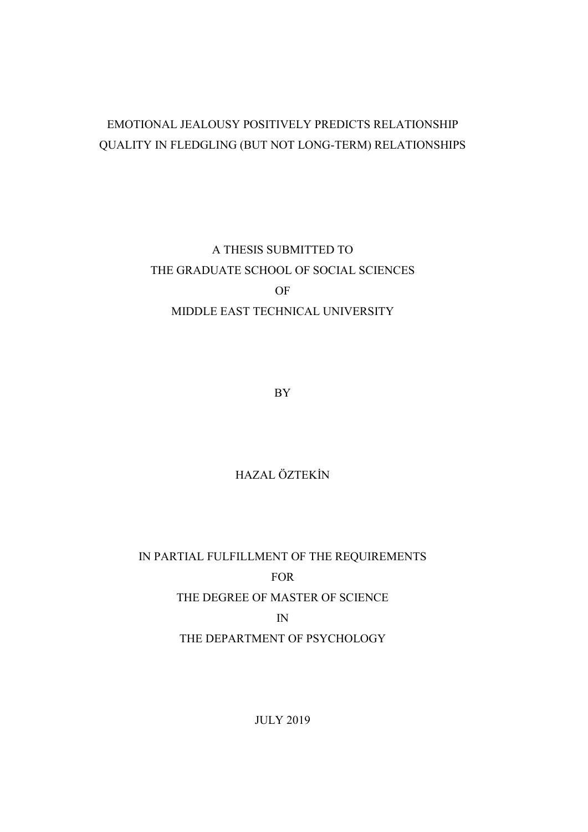# EMOTIONAL JEALOUSY POSITIVELY PREDICTS RELATIONSHIP QUALITY IN FLEDGLING (BUT NOT LONG-TERM) RELATIONSHIPS

A THESIS SUBMITTED TO THE GRADUATE SCHOOL OF SOCIAL SCIENCES OF MIDDLE EAST TECHNICAL UNIVERSITY

BY

## HAZAL ÖZTEKİN

IN PARTIAL FULFILLMENT OF THE REQUIREMENTS FOR THE DEGREE OF MASTER OF SCIENCE IN THE DEPARTMENT OF PSYCHOLOGY

JULY 2019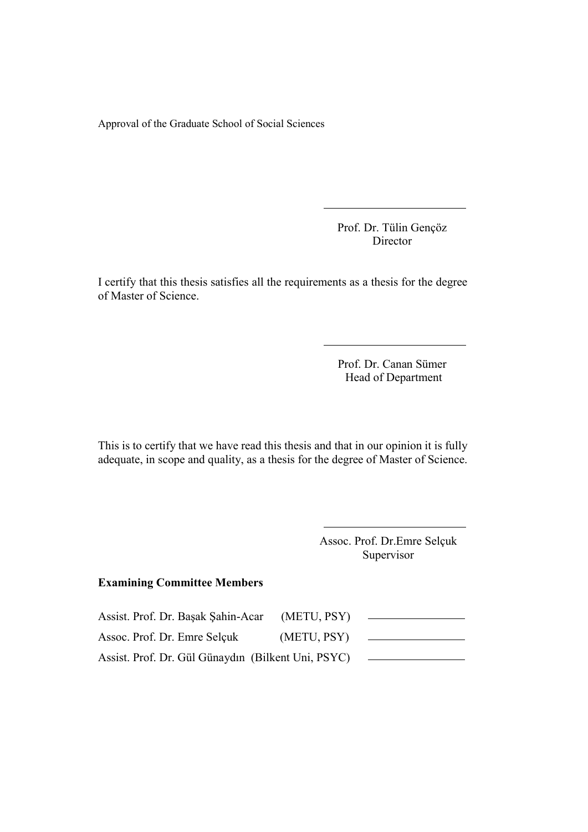Approval of the Graduate School of Social Sciences

 Prof. Dr. Tülin Gençöz Director

I certify that this thesis satisfies all the requirements as a thesis for the degree of Master of Science.

> Prof. Dr. Canan Sümer Head of Department

This is to certify that we have read this thesis and that in our opinion it is fully adequate, in scope and quality, as a thesis for the degree of Master of Science.

> Assoc. Prof. Dr.Emre Selçuk Supervisor

## Examining Committee Members

| Assist. Prof. Dr. Başak Şahin-Acar                 | (METU, PSY) |  |
|----------------------------------------------------|-------------|--|
| Assoc. Prof. Dr. Emre Selçuk                       | (METU, PSY) |  |
| Assist. Prof. Dr. Gül Günaydın (Bilkent Uni, PSYC) |             |  |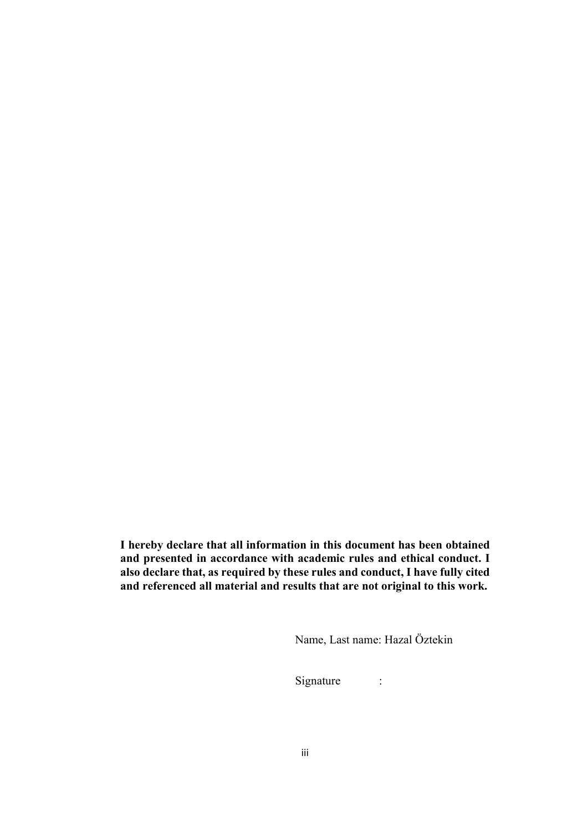<span id="page-3-0"></span>I hereby declare that all information in this document has been obtained and presented in accordance with academic rules and ethical conduct. I also declare that, as required by these rules and conduct, I have fully cited and referenced all material and results that are not original to this work.

Name, Last name: Hazal Öztekin

Signature :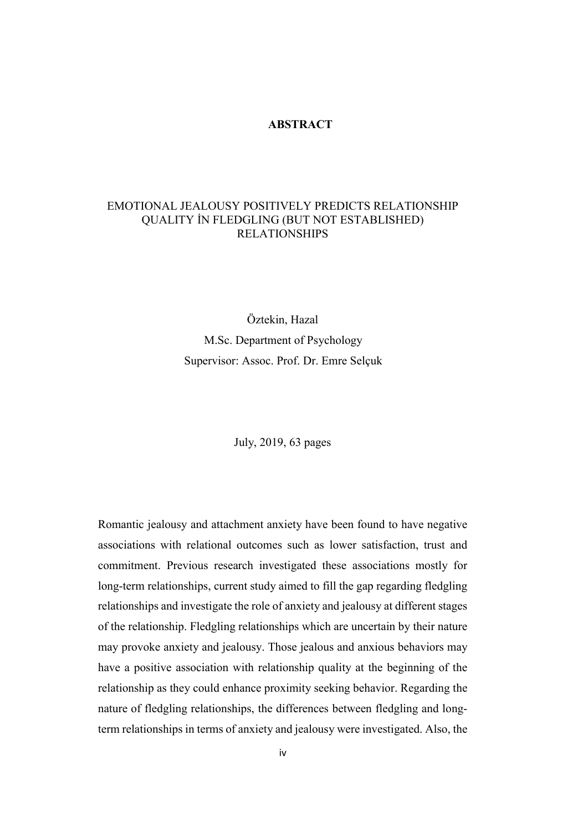## ABSTRACT

## <span id="page-4-0"></span>EMOTIONAL JEALOUSY POSITIVELY PREDICTS RELATIONSHIP QUALITY İN FLEDGLING (BUT NOT ESTABLISHED) RELATIONSHIPS

Öztekin, Hazal M.Sc. Department of Psychology Supervisor: Assoc. Prof. Dr. Emre Selçuk

July, 2019, 63 pages

Romantic jealousy and attachment anxiety have been found to have negative associations with relational outcomes such as lower satisfaction, trust and commitment. Previous research investigated these associations mostly for long-term relationships, current study aimed to fill the gap regarding fledgling relationships and investigate the role of anxiety and jealousy at different stages of the relationship. Fledgling relationships which are uncertain by their nature may provoke anxiety and jealousy. Those jealous and anxious behaviors may have a positive association with relationship quality at the beginning of the relationship as they could enhance proximity seeking behavior. Regarding the nature of fledgling relationships, the differences between fledgling and longterm relationships in terms of anxiety and jealousy were investigated. Also, the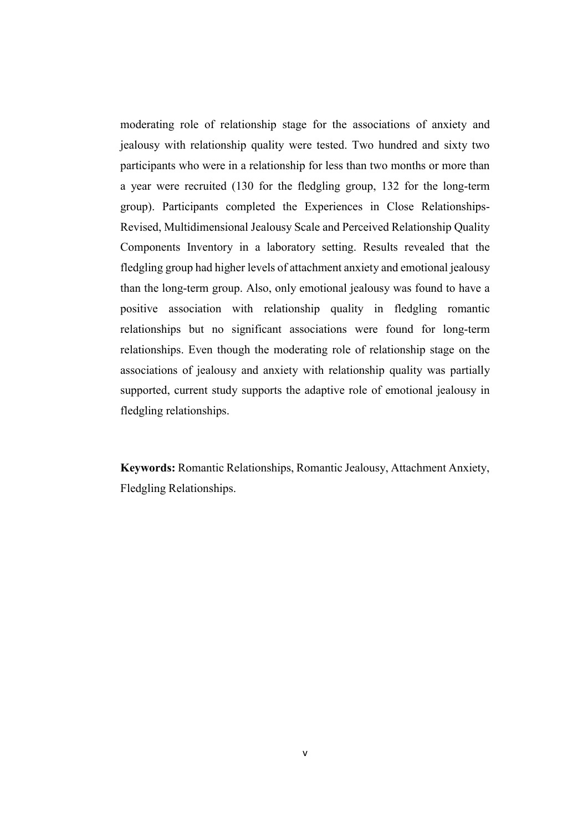moderating role of relationship stage for the associations of anxiety and jealousy with relationship quality were tested. Two hundred and sixty two participants who were in a relationship for less than two months or more than a year were recruited (130 for the fledgling group, 132 for the long-term group). Participants completed the Experiences in Close Relationships-Revised, Multidimensional Jealousy Scale and Perceived Relationship Quality Components Inventory in a laboratory setting. Results revealed that the fledgling group had higher levels of attachment anxiety and emotional jealousy than the long-term group. Also, only emotional jealousy was found to have a positive association with relationship quality in fledgling romantic relationships but no significant associations were found for long-term relationships. Even though the moderating role of relationship stage on the associations of jealousy and anxiety with relationship quality was partially supported, current study supports the adaptive role of emotional jealousy in fledgling relationships.

Keywords: Romantic Relationships, Romantic Jealousy, Attachment Anxiety, Fledgling Relationships.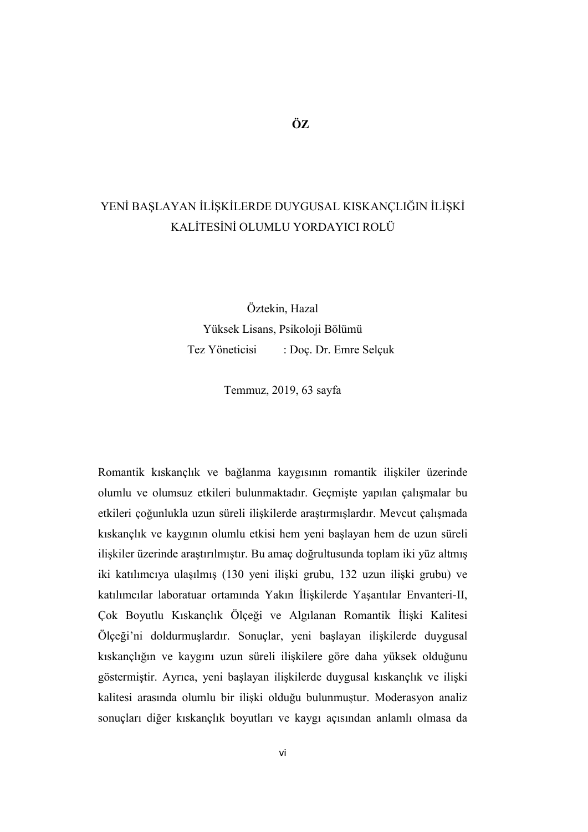# <span id="page-6-0"></span>YENİ BAŞLAYAN İLİŞKİLERDE DUYGUSAL KISKANÇLIĞIN İLİŞKİ KALİTESİNİ OLUMLU YORDAYICI ROLÜ

Öztekin, Hazal Yüksek Lisans, Psikoloji Bölümü Tez Yöneticisi : Doç. Dr. Emre Selçuk

Temmuz, 2019, 63 sayfa

Romantik kıskançlık ve bağlanma kaygısının romantik ilişkiler üzerinde olumlu ve olumsuz etkileri bulunmaktadır. Geçmişte yapılan çalışmalar bu etkileri çoğunlukla uzun süreli ilişkilerde araştırmışlardır. Mevcut çalışmada kıskançlık ve kaygının olumlu etkisi hem yeni başlayan hem de uzun süreli ilişkiler üzerinde araştırılmıştır. Bu amaç doğrultusunda toplam iki yüz altmış iki katılımcıya ulaşılmış (130 yeni ilişki grubu, 132 uzun ilişki grubu) ve katılımcılar laboratuar ortamında Yakın İlişkilerde Yaşantılar Envanteri-II, Çok Boyutlu Kıskançlık Ölçeği ve Algılanan Romantik İlişki Kalitesi Ölçeği'ni doldurmuşlardır. Sonuçlar, yeni başlayan ilişkilerde duygusal kıskançlığın ve kaygını uzun süreli ilişkilere göre daha yüksek olduğunu göstermiştir. Ayrıca, yeni başlayan ilişkilerde duygusal kıskançlık ve ilişki kalitesi arasında olumlu bir ilişki olduğu bulunmuştur. Moderasyon analiz sonuçları diğer kıskançlık boyutları ve kaygı açısından anlamlı olmasa da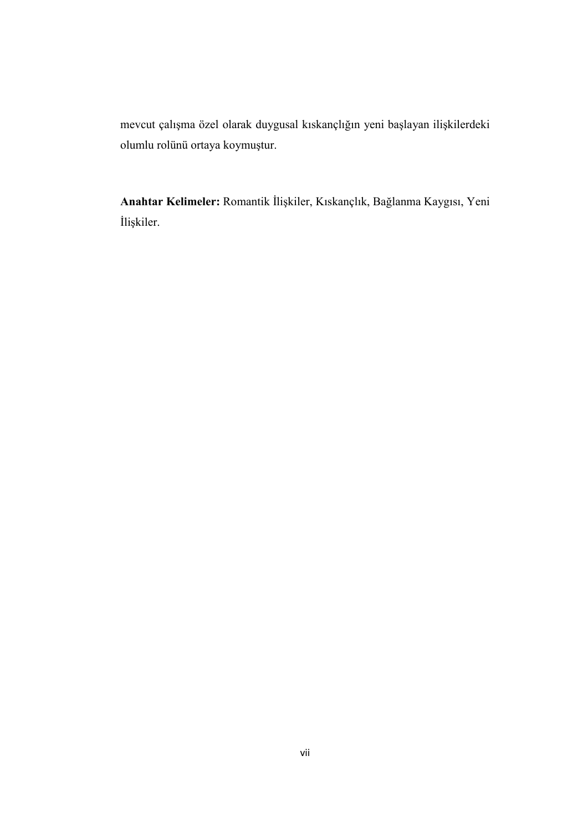mevcut çalışma özel olarak duygusal kıskançlığın yeni başlayan ilişkilerdeki olumlu rolünü ortaya koymuştur.

Anahtar Kelimeler: Romantik İlişkiler, Kıskançlık, Bağlanma Kaygısı, Yeni İlişkiler.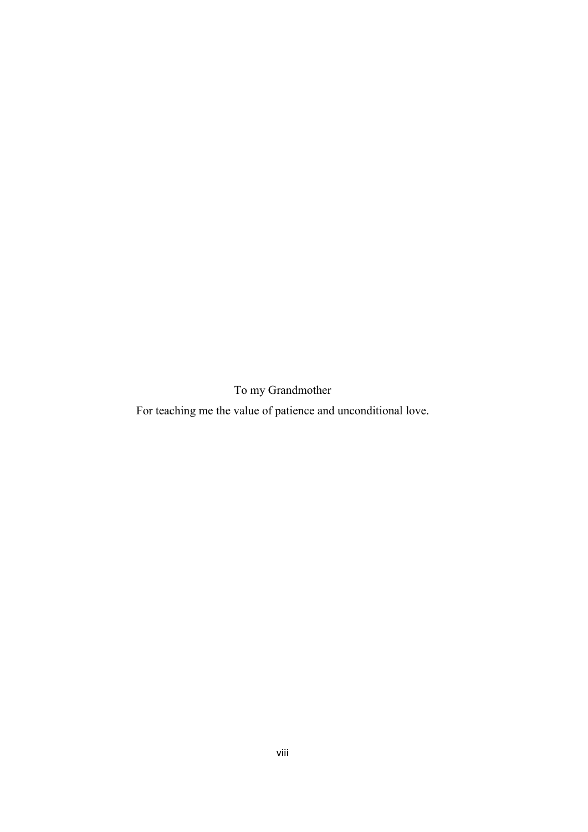To my Grandmother

<span id="page-8-0"></span>For teaching me the value of patience and unconditional love.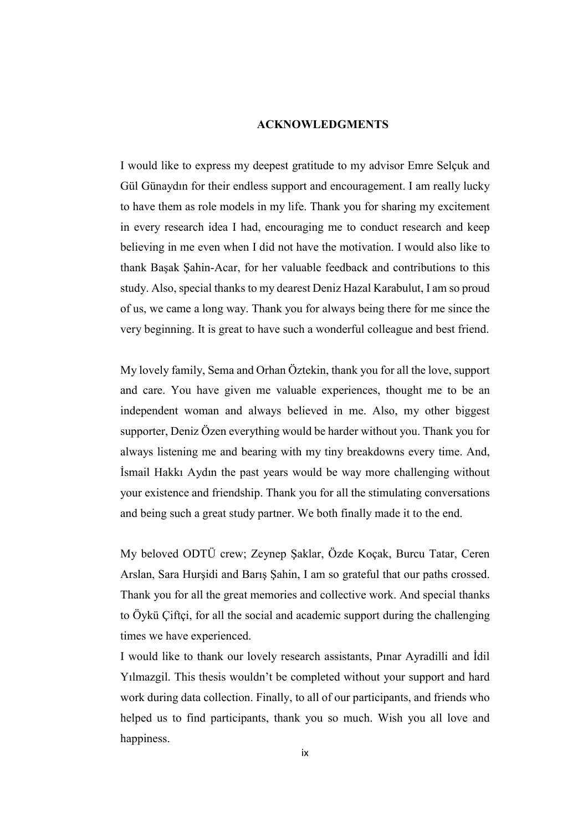#### ACKNOWLEDGMENTS

<span id="page-9-0"></span>I would like to express my deepest gratitude to my advisor Emre Selçuk and Gül Günaydın for their endless support and encouragement. I am really lucky to have them as role models in my life. Thank you for sharing my excitement in every research idea I had, encouraging me to conduct research and keep believing in me even when I did not have the motivation. I would also like to thank Başak Şahin-Acar, for her valuable feedback and contributions to this study. Also, special thanks to my dearest Deniz Hazal Karabulut, I am so proud of us, we came a long way. Thank you for always being there for me since the very beginning. It is great to have such a wonderful colleague and best friend.

My lovely family, Sema and Orhan Öztekin, thank you for all the love, support and care. You have given me valuable experiences, thought me to be an independent woman and always believed in me. Also, my other biggest supporter, Deniz Özen everything would be harder without you. Thank you for always listening me and bearing with my tiny breakdowns every time. And, İsmail Hakkı Aydın the past years would be way more challenging without your existence and friendship. Thank you for all the stimulating conversations and being such a great study partner. We both finally made it to the end.

My beloved ODTÜ crew; Zeynep Şaklar, Özde Koçak, Burcu Tatar, Ceren Arslan, Sara Hurşidi and Barış Şahin, I am so grateful that our paths crossed. Thank you for all the great memories and collective work. And special thanks to Öykü Çiftçi, for all the social and academic support during the challenging times we have experienced.

I would like to thank our lovely research assistants, Pınar Ayradilli and İdil Yılmazgil. This thesis wouldn't be completed without your support and hard work during data collection. Finally, to all of our participants, and friends who helped us to find participants, thank you so much. Wish you all love and happiness.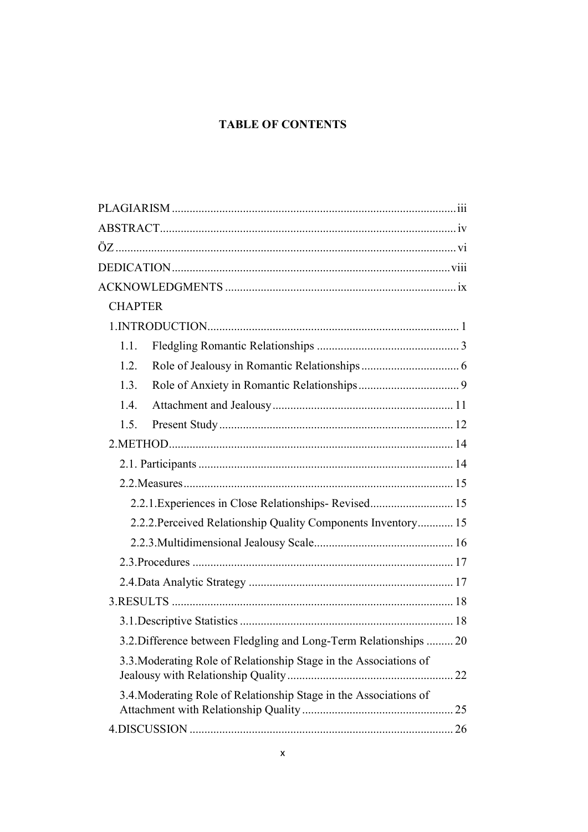## **TABLE OF CONTENTS**

| <b>CHAPTER</b>                                                    |    |
|-------------------------------------------------------------------|----|
|                                                                   |    |
| 1.1.                                                              |    |
| 1.2.                                                              |    |
| 1.3.                                                              |    |
| 1.4.                                                              |    |
| 1.5.                                                              |    |
|                                                                   |    |
|                                                                   |    |
|                                                                   |    |
| 2.2.1. Experiences in Close Relationships-Revised 15              |    |
| 2.2.2. Perceived Relationship Quality Components Inventory 15     |    |
|                                                                   |    |
|                                                                   |    |
|                                                                   |    |
|                                                                   |    |
|                                                                   |    |
| 3.2. Difference between Fledgling and Long-Term Relationships  20 |    |
| 3.3. Moderating Role of Relationship Stage in the Associations of |    |
| 3.4. Moderating Role of Relationship Stage in the Associations of |    |
|                                                                   | 26 |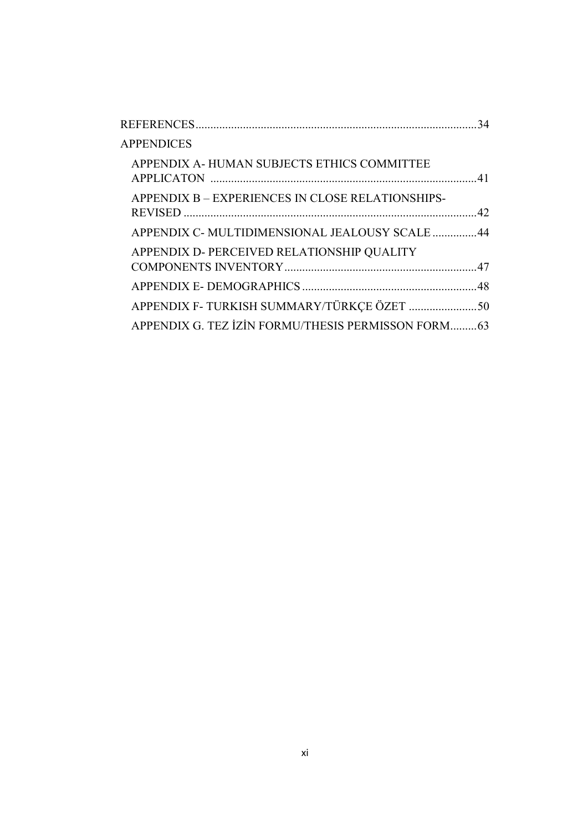|                                                    | 34 |
|----------------------------------------------------|----|
| <b>APPENDICES</b>                                  |    |
| APPENDIX A-HUMAN SUBJECTS ETHICS COMMITTEE         |    |
| APPENDIX B – EXPERIENCES IN CLOSE RELATIONSHIPS-   |    |
| APPENDIX C- MULTIDIMENSIONAL JEALOUSY SCALE 44     |    |
| APPENDIX D- PERCEIVED RELATIONSHIP QUALITY         |    |
|                                                    |    |
|                                                    |    |
| APPENDIX G. TEZ İZİN FORMU/THESIS PERMISSON FORM63 |    |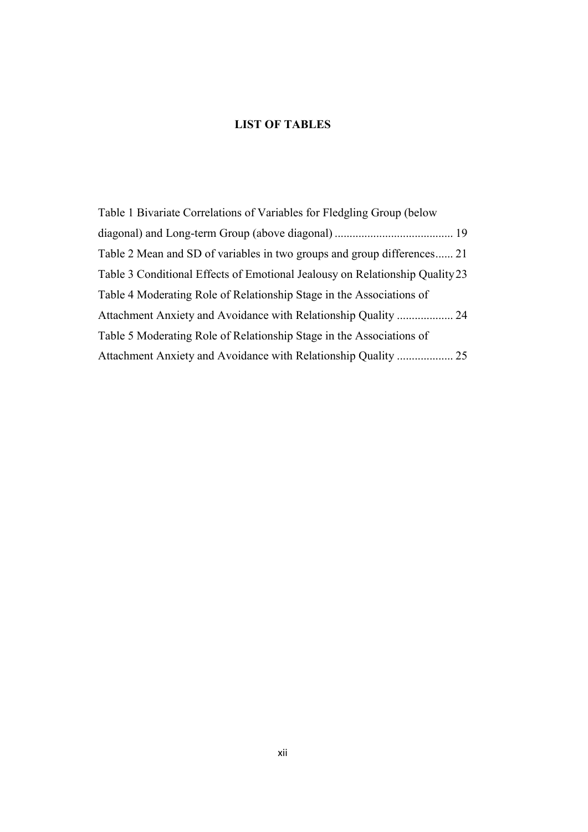## LIST OF TABLES

| Table 1 Bivariate Correlations of Variables for Fledgling Group (below       |    |
|------------------------------------------------------------------------------|----|
|                                                                              |    |
| Table 2 Mean and SD of variables in two groups and group differences 21      |    |
| Table 3 Conditional Effects of Emotional Jealousy on Relationship Quality 23 |    |
| Table 4 Moderating Role of Relationship Stage in the Associations of         |    |
|                                                                              |    |
| Table 5 Moderating Role of Relationship Stage in the Associations of         |    |
|                                                                              | 25 |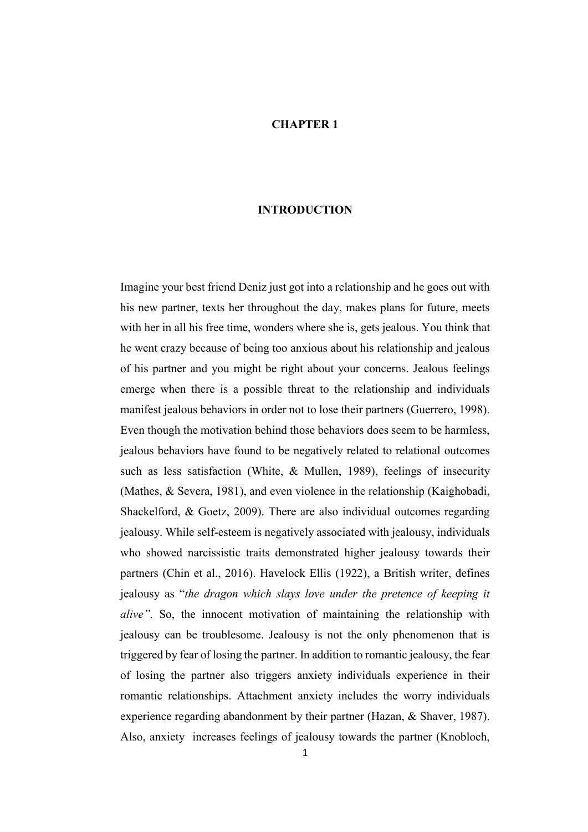#### CHAPTER 1

#### INTRODUCTION

<span id="page-13-0"></span>Imagine your best friend Deniz just got into a relationship and he goes out with his new partner, texts her throughout the day, makes plans for future, meets with her in all his free time, wonders where she is, gets jealous. You think that he went crazy because of being too anxious about his relationship and jealous of his partner and you might be right about your concerns. Jealous feelings emerge when there is a possible threat to the relationship and individuals manifest jealous behaviors in order not to lose their partners (Guerrero, 1998). Even though the motivation behind those behaviors does seem to be harmless, jealous behaviors have found to be negatively related to relational outcomes such as less satisfaction (White, & Mullen, 1989), feelings of insecurity (Mathes, & Severa, 1981), and even violence in the relationship (Kaighobadi, Shackelford, & Goetz, 2009). There are also individual outcomes regarding jealousy. While self-esteem is negatively associated with jealousy, individuals who showed narcissistic traits demonstrated higher jealousy towards their partners (Chin et al., 2016). Havelock Ellis (1922), a British writer, defines jealousy as "*the dragon which slays love under the pretence of keeping it alive"*. So, the innocent motivation of maintaining the relationship with jealousy can be troublesome. Jealousy is not the only phenomenon that is triggered by fear of losing the partner. In addition to romantic jealousy, the fear of losing the partner also triggers anxiety individuals experience in their romantic relationships. Attachment anxiety includes the worry individuals experience regarding abandonment by their partner (Hazan, & Shaver, 1987). Also, anxiety increases feelings of jealousy towards the partner (Knobloch,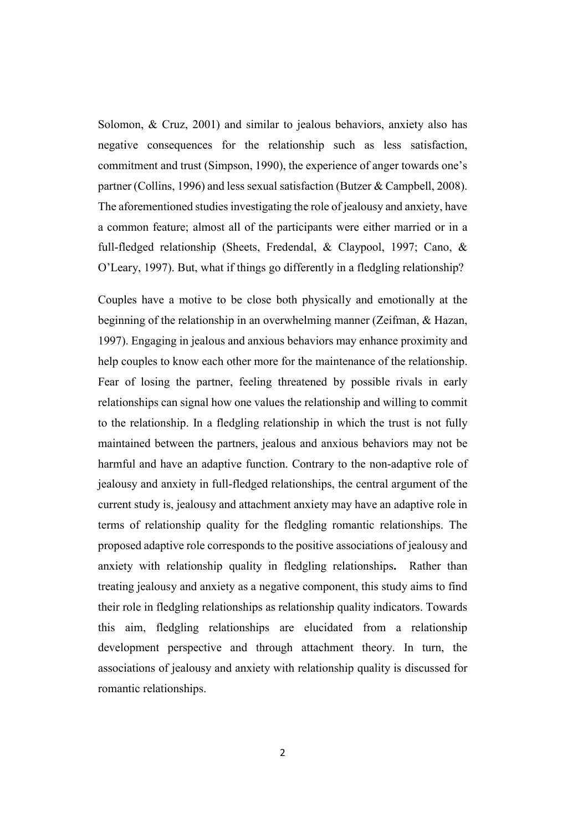Solomon, & Cruz, 2001) and similar to jealous behaviors, anxiety also has negative consequences for the relationship such as less satisfaction, commitment and trust (Simpson, 1990), the experience of anger towards one's partner (Collins, 1996) and less sexual satisfaction (Butzer & Campbell, 2008). The aforementioned studies investigating the role of jealousy and anxiety, have a common feature; almost all of the participants were either married or in a full-fledged relationship (Sheets, Fredendal, & Claypool, 1997; Cano, & O'Leary, 1997). But, what if things go differently in a fledgling relationship?

Couples have a motive to be close both physically and emotionally at the beginning of the relationship in an overwhelming manner (Zeifman, & Hazan, 1997). Engaging in jealous and anxious behaviors may enhance proximity and help couples to know each other more for the maintenance of the relationship. Fear of losing the partner, feeling threatened by possible rivals in early relationships can signal how one values the relationship and willing to commit to the relationship. In a fledgling relationship in which the trust is not fully maintained between the partners, jealous and anxious behaviors may not be harmful and have an adaptive function. Contrary to the non-adaptive role of jealousy and anxiety in full-fledged relationships, the central argument of the current study is, jealousy and attachment anxiety may have an adaptive role in terms of relationship quality for the fledgling romantic relationships. The proposed adaptive role corresponds to the positive associations of jealousy and anxiety with relationship quality in fledgling relationships. Rather than treating jealousy and anxiety as a negative component, this study aims to find their role in fledgling relationships as relationship quality indicators. Towards this aim, fledgling relationships are elucidated from a relationship development perspective and through attachment theory. In turn, the associations of jealousy and anxiety with relationship quality is discussed for romantic relationships.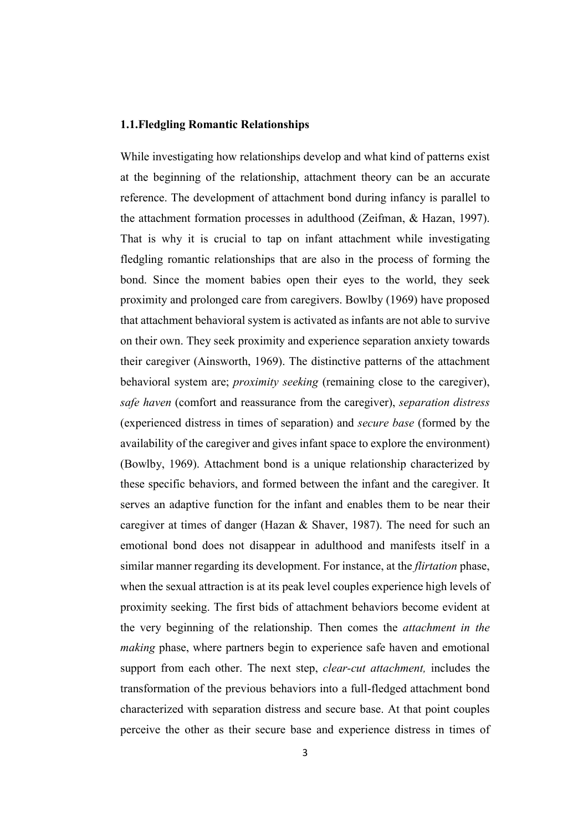#### <span id="page-15-0"></span>1.1.Fledgling Romantic Relationships

While investigating how relationships develop and what kind of patterns exist at the beginning of the relationship, attachment theory can be an accurate reference. The development of attachment bond during infancy is parallel to the attachment formation processes in adulthood (Zeifman, & Hazan, 1997). That is why it is crucial to tap on infant attachment while investigating fledgling romantic relationships that are also in the process of forming the bond. Since the moment babies open their eyes to the world, they seek proximity and prolonged care from caregivers. Bowlby (1969) have proposed that attachment behavioral system is activated as infants are not able to survive on their own. They seek proximity and experience separation anxiety towards their caregiver (Ainsworth, 1969). The distinctive patterns of the attachment behavioral system are; *proximity seeking* (remaining close to the caregiver), *safe haven* (comfort and reassurance from the caregiver), *separation distress* (experienced distress in times of separation) and *secure base* (formed by the availability of the caregiver and gives infant space to explore the environment) (Bowlby, 1969). Attachment bond is a unique relationship characterized by these specific behaviors, and formed between the infant and the caregiver. It serves an adaptive function for the infant and enables them to be near their caregiver at times of danger (Hazan & Shaver, 1987). The need for such an emotional bond does not disappear in adulthood and manifests itself in a similar manner regarding its development. For instance, at the *flirtation* phase, when the sexual attraction is at its peak level couples experience high levels of proximity seeking. The first bids of attachment behaviors become evident at the very beginning of the relationship. Then comes the *attachment in the making* phase, where partners begin to experience safe haven and emotional support from each other. The next step, *clear-cut attachment,* includes the transformation of the previous behaviors into a full-fledged attachment bond characterized with separation distress and secure base. At that point couples perceive the other as their secure base and experience distress in times of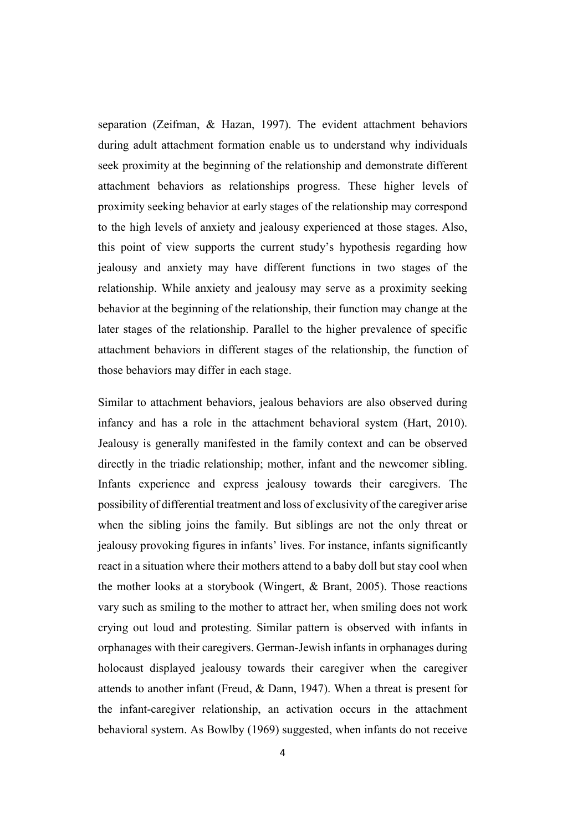separation (Zeifman, & Hazan, 1997). The evident attachment behaviors during adult attachment formation enable us to understand why individuals seek proximity at the beginning of the relationship and demonstrate different attachment behaviors as relationships progress. These higher levels of proximity seeking behavior at early stages of the relationship may correspond to the high levels of anxiety and jealousy experienced at those stages. Also, this point of view supports the current study's hypothesis regarding how jealousy and anxiety may have different functions in two stages of the relationship. While anxiety and jealousy may serve as a proximity seeking behavior at the beginning of the relationship, their function may change at the later stages of the relationship. Parallel to the higher prevalence of specific attachment behaviors in different stages of the relationship, the function of those behaviors may differ in each stage.

Similar to attachment behaviors, jealous behaviors are also observed during infancy and has a role in the attachment behavioral system (Hart, 2010). Jealousy is generally manifested in the family context and can be observed directly in the triadic relationship; mother, infant and the newcomer sibling. Infants experience and express jealousy towards their caregivers. The possibility of differential treatment and loss of exclusivity of the caregiver arise when the sibling joins the family. But siblings are not the only threat or jealousy provoking figures in infants' lives. For instance, infants significantly react in a situation where their mothers attend to a baby doll but stay cool when the mother looks at a storybook (Wingert, & Brant, 2005). Those reactions vary such as smiling to the mother to attract her, when smiling does not work crying out loud and protesting. Similar pattern is observed with infants in orphanages with their caregivers. German-Jewish infants in orphanages during holocaust displayed jealousy towards their caregiver when the caregiver attends to another infant (Freud, & Dann, 1947). When a threat is present for the infant-caregiver relationship, an activation occurs in the attachment behavioral system. As Bowlby (1969) suggested, when infants do not receive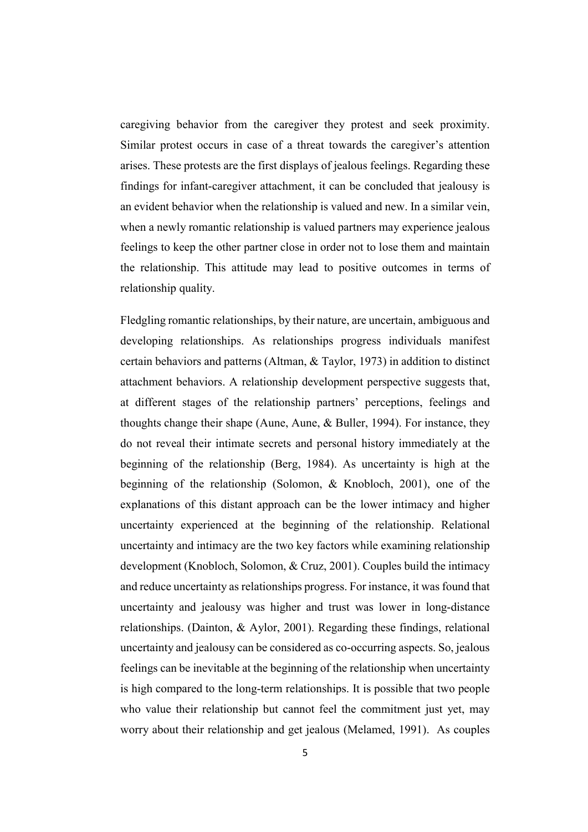caregiving behavior from the caregiver they protest and seek proximity. Similar protest occurs in case of a threat towards the caregiver's attention arises. These protests are the first displays of jealous feelings. Regarding these findings for infant-caregiver attachment, it can be concluded that jealousy is an evident behavior when the relationship is valued and new. In a similar vein, when a newly romantic relationship is valued partners may experience jealous feelings to keep the other partner close in order not to lose them and maintain the relationship. This attitude may lead to positive outcomes in terms of relationship quality.

Fledgling romantic relationships, by their nature, are uncertain, ambiguous and developing relationships. As relationships progress individuals manifest certain behaviors and patterns (Altman, & Taylor, 1973) in addition to distinct attachment behaviors. A relationship development perspective suggests that, at different stages of the relationship partners' perceptions, feelings and thoughts change their shape (Aune, Aune, & Buller, 1994). For instance, they do not reveal their intimate secrets and personal history immediately at the beginning of the relationship (Berg, 1984). As uncertainty is high at the beginning of the relationship (Solomon, & Knobloch, 2001), one of the explanations of this distant approach can be the lower intimacy and higher uncertainty experienced at the beginning of the relationship. Relational uncertainty and intimacy are the two key factors while examining relationship development (Knobloch, Solomon, & Cruz, 2001). Couples build the intimacy and reduce uncertainty as relationships progress. For instance, it was found that uncertainty and jealousy was higher and trust was lower in long-distance relationships. (Dainton, & Aylor, 2001). Regarding these findings, relational uncertainty and jealousy can be considered as co-occurring aspects. So, jealous feelings can be inevitable at the beginning of the relationship when uncertainty is high compared to the long-term relationships. It is possible that two people who value their relationship but cannot feel the commitment just yet, may worry about their relationship and get jealous (Melamed, 1991). As couples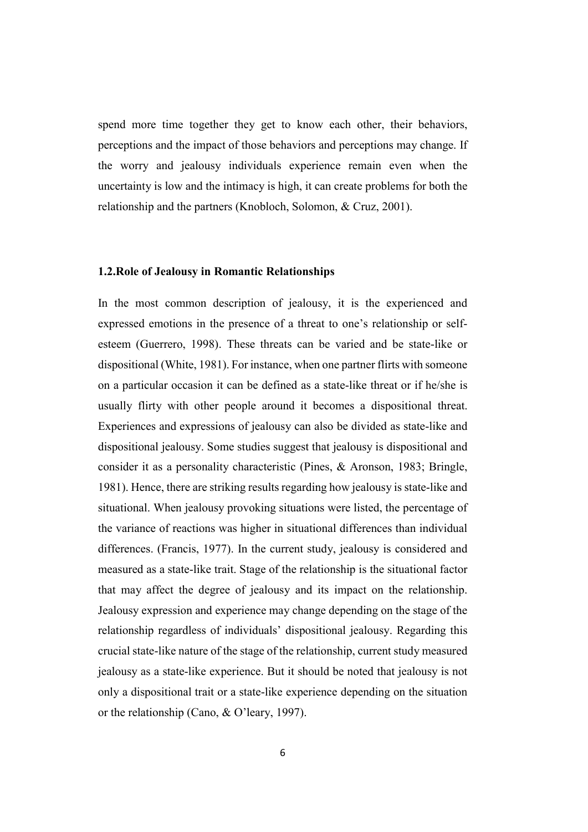spend more time together they get to know each other, their behaviors, perceptions and the impact of those behaviors and perceptions may change. If the worry and jealousy individuals experience remain even when the uncertainty is low and the intimacy is high, it can create problems for both the relationship and the partners (Knobloch, Solomon, & Cruz, 2001).

#### <span id="page-18-0"></span>1.2.Role of Jealousy in Romantic Relationships

In the most common description of jealousy, it is the experienced and expressed emotions in the presence of a threat to one's relationship or selfesteem (Guerrero, 1998). These threats can be varied and be state-like or dispositional (White, 1981). For instance, when one partner flirts with someone on a particular occasion it can be defined as a state-like threat or if he/she is usually flirty with other people around it becomes a dispositional threat. Experiences and expressions of jealousy can also be divided as state-like and dispositional jealousy. Some studies suggest that jealousy is dispositional and consider it as a personality characteristic (Pines, & Aronson, 1983; Bringle, 1981). Hence, there are striking results regarding how jealousy is state-like and situational. When jealousy provoking situations were listed, the percentage of the variance of reactions was higher in situational differences than individual differences. (Francis, 1977). In the current study, jealousy is considered and measured as a state-like trait. Stage of the relationship is the situational factor that may affect the degree of jealousy and its impact on the relationship. Jealousy expression and experience may change depending on the stage of the relationship regardless of individuals' dispositional jealousy. Regarding this crucial state-like nature of the stage of the relationship, current study measured jealousy as a state-like experience. But it should be noted that jealousy is not only a dispositional trait or a state-like experience depending on the situation or the relationship (Cano, & O'leary, 1997).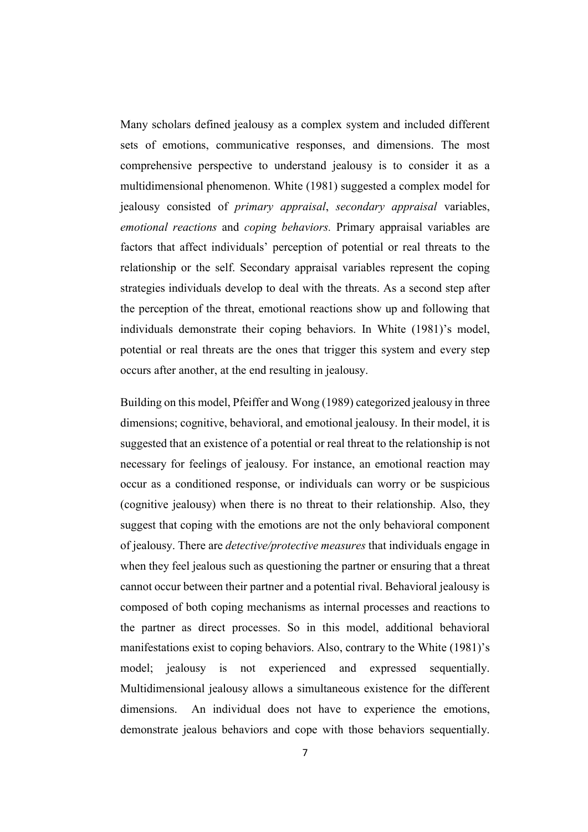Many scholars defined jealousy as a complex system and included different sets of emotions, communicative responses, and dimensions. The most comprehensive perspective to understand jealousy is to consider it as a multidimensional phenomenon. White (1981) suggested a complex model for jealousy consisted of *primary appraisal*, *secondary appraisal* variables, *emotional reactions* and *coping behaviors.* Primary appraisal variables are factors that affect individuals' perception of potential or real threats to the relationship or the self. Secondary appraisal variables represent the coping strategies individuals develop to deal with the threats. As a second step after the perception of the threat, emotional reactions show up and following that individuals demonstrate their coping behaviors. In White (1981)'s model, potential or real threats are the ones that trigger this system and every step occurs after another, at the end resulting in jealousy.

Building on this model, Pfeiffer and Wong (1989) categorized jealousy in three dimensions; cognitive, behavioral, and emotional jealousy. In their model, it is suggested that an existence of a potential or real threat to the relationship is not necessary for feelings of jealousy. For instance, an emotional reaction may occur as a conditioned response, or individuals can worry or be suspicious (cognitive jealousy) when there is no threat to their relationship. Also, they suggest that coping with the emotions are not the only behavioral component of jealousy. There are *detective/protective measures* that individuals engage in when they feel jealous such as questioning the partner or ensuring that a threat cannot occur between their partner and a potential rival. Behavioral jealousy is composed of both coping mechanisms as internal processes and reactions to the partner as direct processes. So in this model, additional behavioral manifestations exist to coping behaviors. Also, contrary to the White (1981)'s model; jealousy is not experienced and expressed sequentially. Multidimensional jealousy allows a simultaneous existence for the different dimensions. An individual does not have to experience the emotions, demonstrate jealous behaviors and cope with those behaviors sequentially.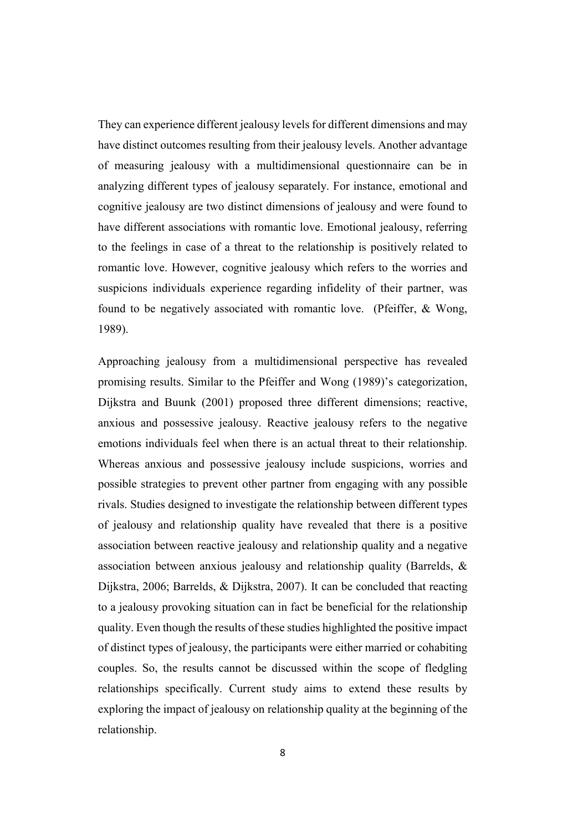They can experience different jealousy levels for different dimensions and may have distinct outcomes resulting from their jealousy levels. Another advantage of measuring jealousy with a multidimensional questionnaire can be in analyzing different types of jealousy separately. For instance, emotional and cognitive jealousy are two distinct dimensions of jealousy and were found to have different associations with romantic love. Emotional jealousy, referring to the feelings in case of a threat to the relationship is positively related to romantic love. However, cognitive jealousy which refers to the worries and suspicions individuals experience regarding infidelity of their partner, was found to be negatively associated with romantic love. (Pfeiffer, & Wong, 1989).

Approaching jealousy from a multidimensional perspective has revealed promising results. Similar to the Pfeiffer and Wong (1989)'s categorization, Dijkstra and Buunk (2001) proposed three different dimensions; reactive, anxious and possessive jealousy. Reactive jealousy refers to the negative emotions individuals feel when there is an actual threat to their relationship. Whereas anxious and possessive jealousy include suspicions, worries and possible strategies to prevent other partner from engaging with any possible rivals. Studies designed to investigate the relationship between different types of jealousy and relationship quality have revealed that there is a positive association between reactive jealousy and relationship quality and a negative association between anxious jealousy and relationship quality (Barrelds, & Dijkstra, 2006; Barrelds, & Dijkstra, 2007). It can be concluded that reacting to a jealousy provoking situation can in fact be beneficial for the relationship quality. Even though the results of these studies highlighted the positive impact of distinct types of jealousy, the participants were either married or cohabiting couples. So, the results cannot be discussed within the scope of fledgling relationships specifically. Current study aims to extend these results by exploring the impact of jealousy on relationship quality at the beginning of the relationship.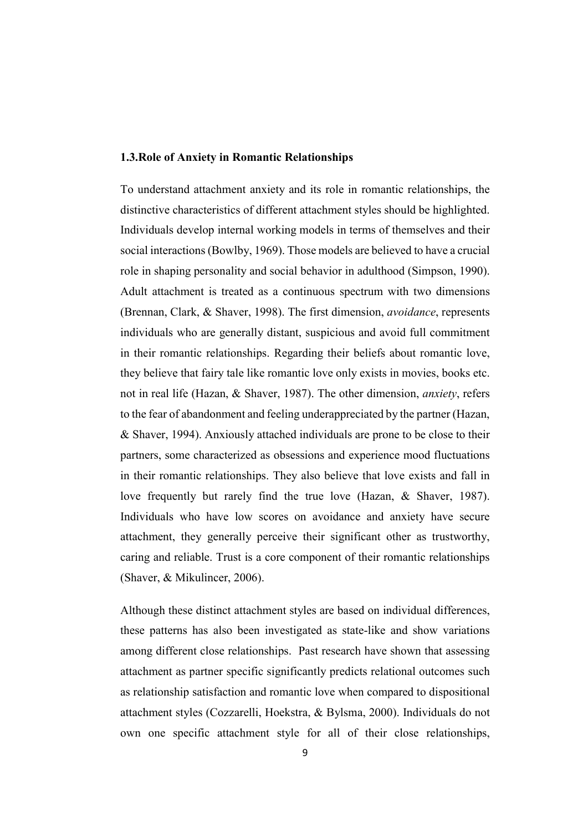#### <span id="page-21-0"></span>1.3.Role of Anxiety in Romantic Relationships

To understand attachment anxiety and its role in romantic relationships, the distinctive characteristics of different attachment styles should be highlighted. Individuals develop internal working models in terms of themselves and their social interactions (Bowlby, 1969). Those models are believed to have a crucial role in shaping personality and social behavior in adulthood (Simpson, 1990). Adult attachment is treated as a continuous spectrum with two dimensions (Brennan, Clark, & Shaver, 1998). The first dimension, *avoidance*, represents individuals who are generally distant, suspicious and avoid full commitment in their romantic relationships. Regarding their beliefs about romantic love, they believe that fairy tale like romantic love only exists in movies, books etc. not in real life (Hazan, & Shaver, 1987). The other dimension, *anxiety*, refers to the fear of abandonment and feeling underappreciated by the partner (Hazan, & Shaver, 1994). Anxiously attached individuals are prone to be close to their partners, some characterized as obsessions and experience mood fluctuations in their romantic relationships. They also believe that love exists and fall in love frequently but rarely find the true love (Hazan, & Shaver, 1987). Individuals who have low scores on avoidance and anxiety have secure attachment, they generally perceive their significant other as trustworthy, caring and reliable. Trust is a core component of their romantic relationships (Shaver, & Mikulincer, 2006).

Although these distinct attachment styles are based on individual differences, these patterns has also been investigated as state-like and show variations among different close relationships. Past research have shown that assessing attachment as partner specific significantly predicts relational outcomes such as relationship satisfaction and romantic love when compared to dispositional attachment styles (Cozzarelli, Hoekstra, & Bylsma, 2000). Individuals do not own one specific attachment style for all of their close relationships,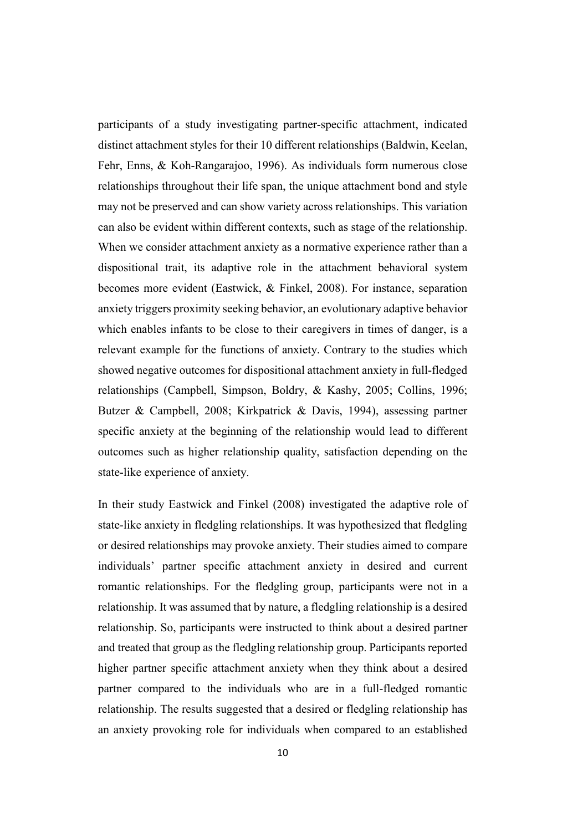participants of a study investigating partner-specific attachment, indicated distinct attachment styles for their 10 different relationships (Baldwin, Keelan, Fehr, Enns, & Koh-Rangarajoo, 1996). As individuals form numerous close relationships throughout their life span, the unique attachment bond and style may not be preserved and can show variety across relationships. This variation can also be evident within different contexts, such as stage of the relationship. When we consider attachment anxiety as a normative experience rather than a dispositional trait, its adaptive role in the attachment behavioral system becomes more evident (Eastwick, & Finkel, 2008). For instance, separation anxiety triggers proximity seeking behavior, an evolutionary adaptive behavior which enables infants to be close to their caregivers in times of danger, is a relevant example for the functions of anxiety. Contrary to the studies which showed negative outcomes for dispositional attachment anxiety in full-fledged relationships (Campbell, Simpson, Boldry, & Kashy, 2005; Collins, 1996; Butzer & Campbell, 2008; Kirkpatrick & Davis, 1994), assessing partner specific anxiety at the beginning of the relationship would lead to different outcomes such as higher relationship quality, satisfaction depending on the state-like experience of anxiety.

In their study Eastwick and Finkel (2008) investigated the adaptive role of state-like anxiety in fledgling relationships. It was hypothesized that fledgling or desired relationships may provoke anxiety. Their studies aimed to compare individuals' partner specific attachment anxiety in desired and current romantic relationships. For the fledgling group, participants were not in a relationship. It was assumed that by nature, a fledgling relationship is a desired relationship. So, participants were instructed to think about a desired partner and treated that group as the fledgling relationship group. Participants reported higher partner specific attachment anxiety when they think about a desired partner compared to the individuals who are in a full-fledged romantic relationship. The results suggested that a desired or fledgling relationship has an anxiety provoking role for individuals when compared to an established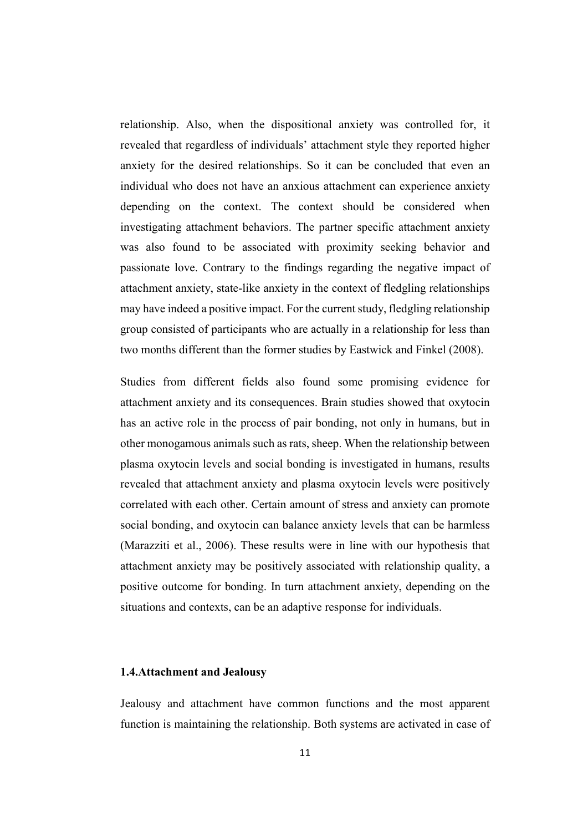relationship. Also, when the dispositional anxiety was controlled for, it revealed that regardless of individuals' attachment style they reported higher anxiety for the desired relationships. So it can be concluded that even an individual who does not have an anxious attachment can experience anxiety depending on the context. The context should be considered when investigating attachment behaviors. The partner specific attachment anxiety was also found to be associated with proximity seeking behavior and passionate love. Contrary to the findings regarding the negative impact of attachment anxiety, state-like anxiety in the context of fledgling relationships may have indeed a positive impact. For the current study, fledgling relationship group consisted of participants who are actually in a relationship for less than two months different than the former studies by Eastwick and Finkel (2008).

Studies from different fields also found some promising evidence for attachment anxiety and its consequences. Brain studies showed that oxytocin has an active role in the process of pair bonding, not only in humans, but in other monogamous animals such as rats, sheep. When the relationship between plasma oxytocin levels and social bonding is investigated in humans, results revealed that attachment anxiety and plasma oxytocin levels were positively correlated with each other. Certain amount of stress and anxiety can promote social bonding, and oxytocin can balance anxiety levels that can be harmless (Marazziti et al., 2006). These results were in line with our hypothesis that attachment anxiety may be positively associated with relationship quality, a positive outcome for bonding. In turn attachment anxiety, depending on the situations and contexts, can be an adaptive response for individuals.

### <span id="page-23-0"></span>1.4.Attachment and Jealousy

Jealousy and attachment have common functions and the most apparent function is maintaining the relationship. Both systems are activated in case of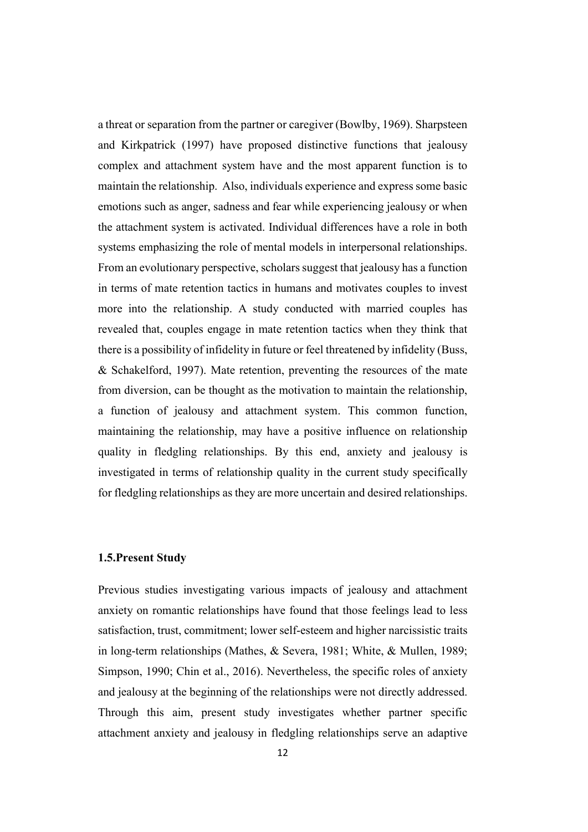a threat or separation from the partner or caregiver (Bowlby, 1969). Sharpsteen and Kirkpatrick (1997) have proposed distinctive functions that jealousy complex and attachment system have and the most apparent function is to maintain the relationship. Also, individuals experience and express some basic emotions such as anger, sadness and fear while experiencing jealousy or when the attachment system is activated. Individual differences have a role in both systems emphasizing the role of mental models in interpersonal relationships. From an evolutionary perspective, scholars suggest that jealousy has a function in terms of mate retention tactics in humans and motivates couples to invest more into the relationship. A study conducted with married couples has revealed that, couples engage in mate retention tactics when they think that there is a possibility of infidelity in future or feel threatened by infidelity (Buss, & Schakelford, 1997). Mate retention, preventing the resources of the mate from diversion, can be thought as the motivation to maintain the relationship, a function of jealousy and attachment system. This common function, maintaining the relationship, may have a positive influence on relationship quality in fledgling relationships. By this end, anxiety and jealousy is investigated in terms of relationship quality in the current study specifically for fledgling relationships as they are more uncertain and desired relationships.

## <span id="page-24-0"></span>1.5.Present Study

Previous studies investigating various impacts of jealousy and attachment anxiety on romantic relationships have found that those feelings lead to less satisfaction, trust, commitment; lower self-esteem and higher narcissistic traits in long-term relationships (Mathes, & Severa, 1981; White, & Mullen, 1989; Simpson, 1990; Chin et al., 2016). Nevertheless, the specific roles of anxiety and jealousy at the beginning of the relationships were not directly addressed. Through this aim, present study investigates whether partner specific attachment anxiety and jealousy in fledgling relationships serve an adaptive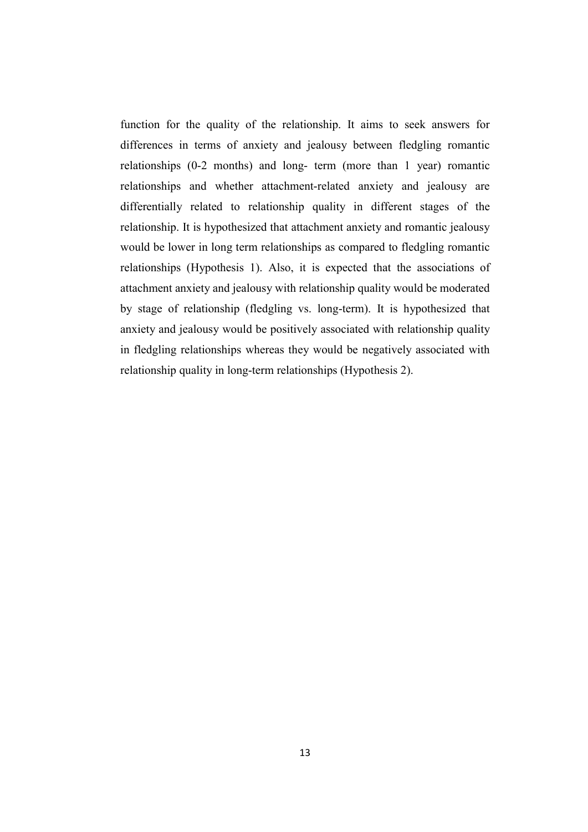function for the quality of the relationship. It aims to seek answers for differences in terms of anxiety and jealousy between fledgling romantic relationships (0-2 months) and long- term (more than 1 year) romantic relationships and whether attachment-related anxiety and jealousy are differentially related to relationship quality in different stages of the relationship. It is hypothesized that attachment anxiety and romantic jealousy would be lower in long term relationships as compared to fledgling romantic relationships (Hypothesis 1). Also, it is expected that the associations of attachment anxiety and jealousy with relationship quality would be moderated by stage of relationship (fledgling vs. long-term). It is hypothesized that anxiety and jealousy would be positively associated with relationship quality in fledgling relationships whereas they would be negatively associated with relationship quality in long-term relationships (Hypothesis 2).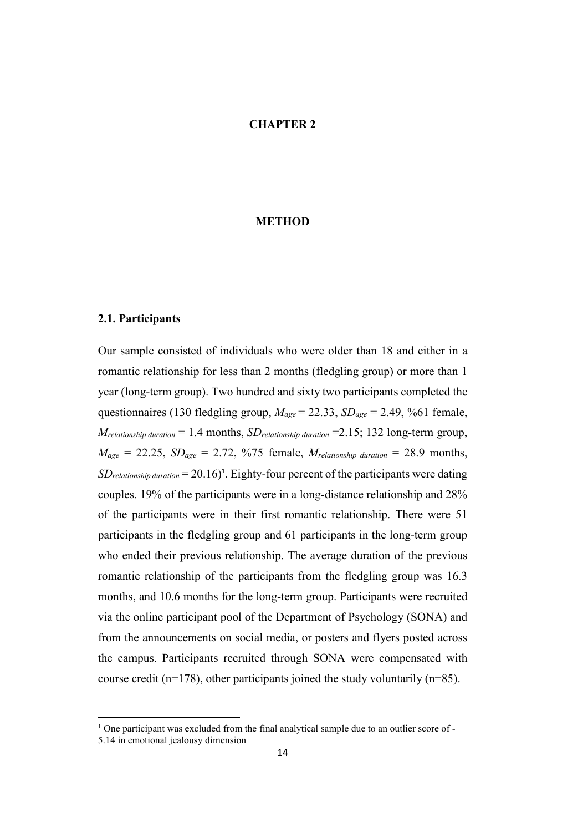## CHAPTER 2

#### METHOD

## <span id="page-26-1"></span><span id="page-26-0"></span>2.1. Participants

Our sample consisted of individuals who were older than 18 and either in a romantic relationship for less than 2 months (fledgling group) or more than 1 year (long-term group). Two hundred and sixty two participants completed the questionnaires (130 fledgling group, *Mage* = 22.33, *SDage* = 2.49, %61 female, *Mrelationship duration* = 1.4 months, *SDrelationship duration* =2.15; 132 long-term group,  $M_{\text{age}} = 22.25$ ,  $SD_{\text{age}} = 2.72$ , %75 female,  $M_{\text{relationship duration}} = 28.9$  months,  $SD_{relationship\ duration} = 20.16)^{1}$ . Eighty-four percent of the participants were dating couples. 19% of the participants were in a long-distance relationship and 28% of the participants were in their first romantic relationship. There were 51 participants in the fledgling group and 61 participants in the long-term group who ended their previous relationship. The average duration of the previous romantic relationship of the participants from the fledgling group was 16.3 months, and 10.6 months for the long-term group. Participants were recruited via the online participant pool of the Department of Psychology (SONA) and from the announcements on social media, or posters and flyers posted across the campus. Participants recruited through SONA were compensated with course credit (n=178), other participants joined the study voluntarily (n=85).

 $\ddot{\phantom{a}}$ 

<sup>&</sup>lt;sup>1</sup> One participant was excluded from the final analytical sample due to an outlier score of -

<sup>5.14</sup> in emotional jealousy dimension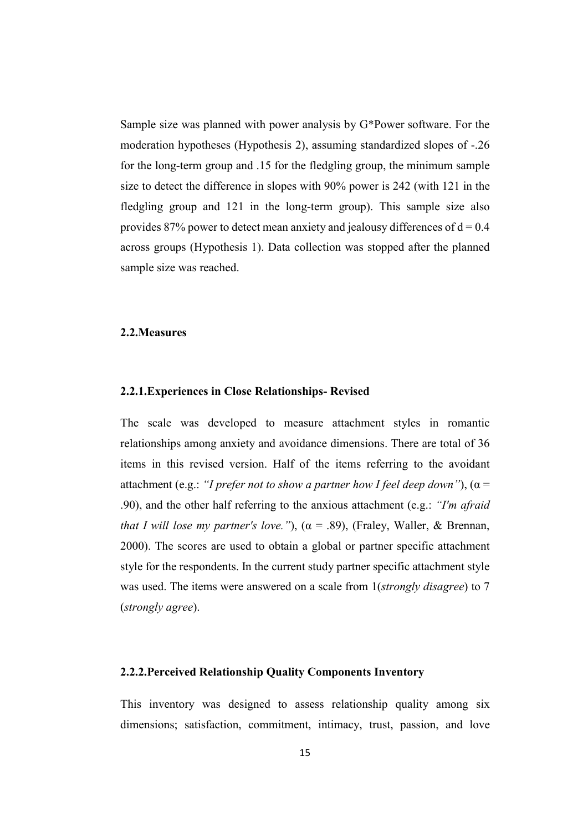Sample size was planned with power analysis by G\*Power software. For the moderation hypotheses (Hypothesis 2), assuming standardized slopes of -.26 for the long-term group and .15 for the fledgling group, the minimum sample size to detect the difference in slopes with 90% power is 242 (with 121 in the fledgling group and 121 in the long-term group). This sample size also provides 87% power to detect mean anxiety and jealousy differences of  $d = 0.4$ across groups (Hypothesis 1). Data collection was stopped after the planned sample size was reached.

### <span id="page-27-0"></span>2.2.Measures

#### <span id="page-27-1"></span>2.2.1.Experiences in Close Relationships- Revised

The scale was developed to measure attachment styles in romantic relationships among anxiety and avoidance dimensions. There are total of 36 items in this revised version. Half of the items referring to the avoidant attachment (e.g.: *"I prefer not to show a partner how I feel deep down"*), (α = .90), and the other half referring to the anxious attachment (e.g.: *"I'm afraid that I will lose my partner's love."*),  $(\alpha = .89)$ , (Fraley, Waller, & Brennan, 2000). The scores are used to obtain a global or partner specific attachment style for the respondents. In the current study partner specific attachment style was used. The items were answered on a scale from 1(*strongly disagree*) to 7 (*strongly agree*).

## <span id="page-27-2"></span>2.2.2.Perceived Relationship Quality Components Inventory

This inventory was designed to assess relationship quality among six dimensions; satisfaction, commitment, intimacy, trust, passion, and love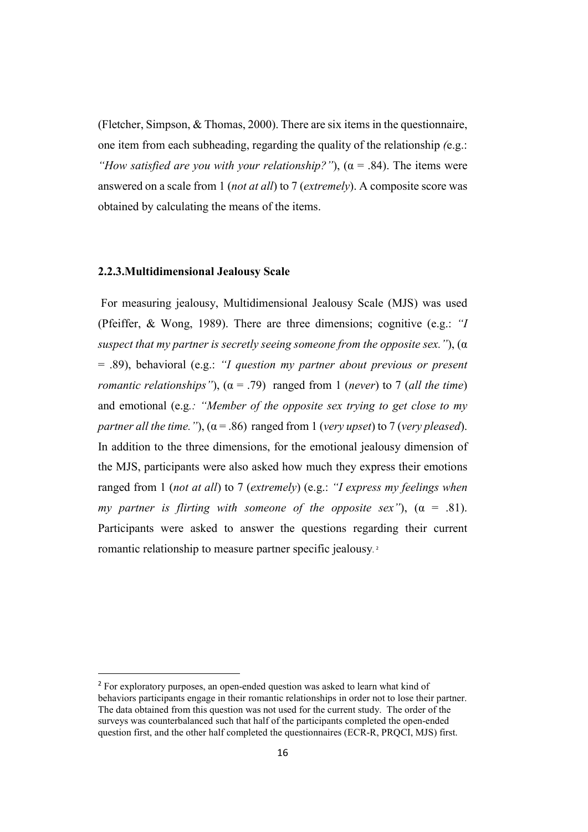(Fletcher, Simpson, & Thomas, 2000). There are six items in the questionnaire, one item from each subheading, regarding the quality of the relationship *(*e.g.: *"How satisfied are you with your relationship?"*),  $(\alpha = .84)$ . The items were answered on a scale from 1 (*not at all*) to 7 (*extremely*). A composite score was obtained by calculating the means of the items.

#### <span id="page-28-0"></span>2.2.3.Multidimensional Jealousy Scale

For measuring jealousy, Multidimensional Jealousy Scale (MJS) was used (Pfeiffer, & Wong, 1989). There are three dimensions; cognitive (e.g.: *"I suspect that my partner is secretly seeing someone from the opposite sex."*), (α = .89), behavioral (e.g.: *"I question my partner about previous or present romantic relationships"*),  $(a = .79)$  ranged from 1 (*never*) to 7 (*all the time*) and emotional (e.g*.: "Member of the opposite sex trying to get close to my partner all the time.*"),  $(a = .86)$  ranged from 1 (*very upset*) to 7 (*very pleased*). In addition to the three dimensions, for the emotional jealousy dimension of the MJS, participants were also asked how much they express their emotions ranged from 1 (*not at all*) to 7 (*extremely*) (e.g.: *"I express my feelings when my partner is flirting with someone of the opposite sex"*),  $(\alpha = .81)$ . Participants were asked to answer the questions regarding their current romantic relationship to measure partner specific jealousy. 2

<sup>&</sup>lt;sup>2</sup> For exploratory purposes, an open-ended question was asked to learn what kind of behaviors participants engage in their romantic relationships in order not to lose their partner. The data obtained from this question was not used for the current study. The order of the surveys was counterbalanced such that half of the participants completed the open-ended question first, and the other half completed the questionnaires (ECR-R, PRQCI, MJS) first.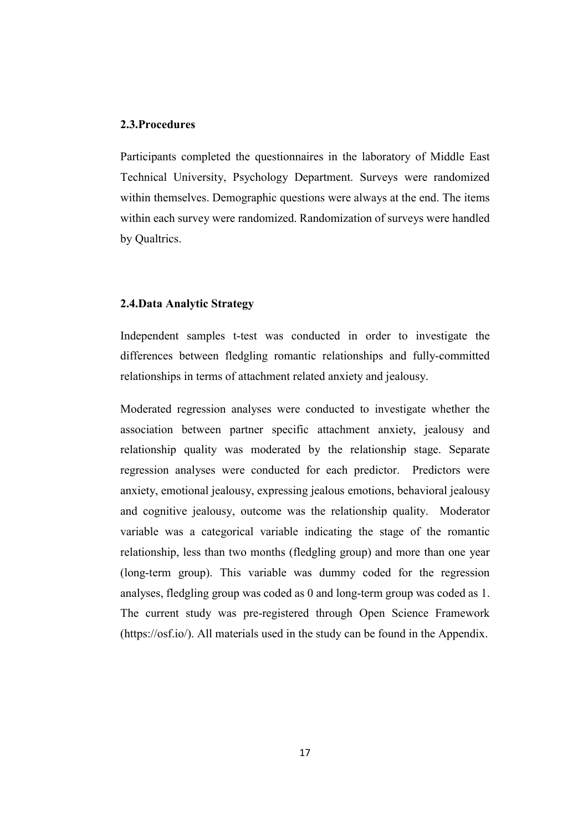#### <span id="page-29-0"></span>2.3.Procedures

Participants completed the questionnaires in the laboratory of Middle East Technical University, Psychology Department. Surveys were randomized within themselves. Demographic questions were always at the end. The items within each survey were randomized. Randomization of surveys were handled by Qualtrics.

## <span id="page-29-1"></span>2.4.Data Analytic Strategy

Independent samples t-test was conducted in order to investigate the differences between fledgling romantic relationships and fully-committed relationships in terms of attachment related anxiety and jealousy.

Moderated regression analyses were conducted to investigate whether the association between partner specific attachment anxiety, jealousy and relationship quality was moderated by the relationship stage. Separate regression analyses were conducted for each predictor. Predictors were anxiety, emotional jealousy, expressing jealous emotions, behavioral jealousy and cognitive jealousy, outcome was the relationship quality. Moderator variable was a categorical variable indicating the stage of the romantic relationship, less than two months (fledgling group) and more than one year (long-term group). This variable was dummy coded for the regression analyses, fledgling group was coded as 0 and long-term group was coded as 1. The current study was pre-registered through Open Science Framework (https://osf.io/). All materials used in the study can be found in the Appendix.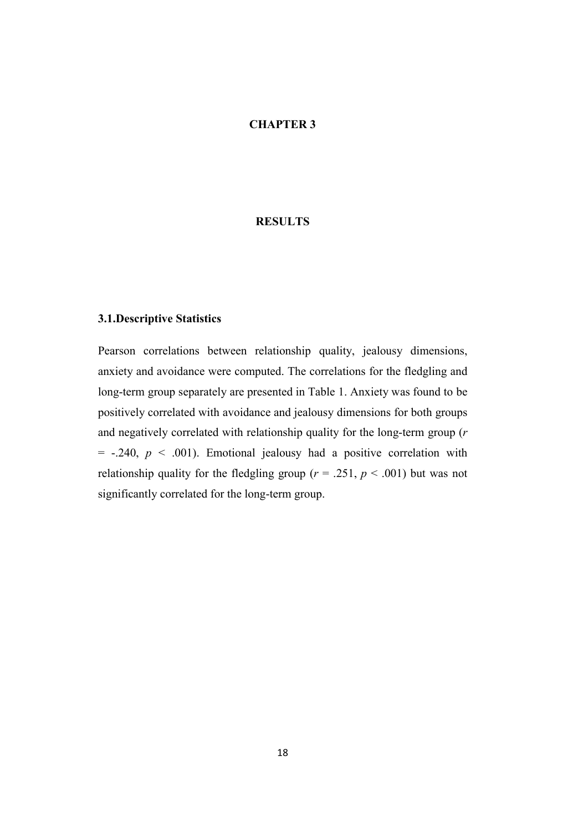## CHAPTER 3

## **RESULTS**

## <span id="page-30-1"></span><span id="page-30-0"></span>3.1.Descriptive Statistics

Pearson correlations between relationship quality, jealousy dimensions, anxiety and avoidance were computed. The correlations for the fledgling and long-term group separately are presented in Table 1. Anxiety was found to be positively correlated with avoidance and jealousy dimensions for both groups and negatively correlated with relationship quality for the long-term group (*r*   $= -0.240, p \le 0.001$ . Emotional jealousy had a positive correlation with relationship quality for the fledgling group ( $r = .251$ ,  $p < .001$ ) but was not significantly correlated for the long-term group.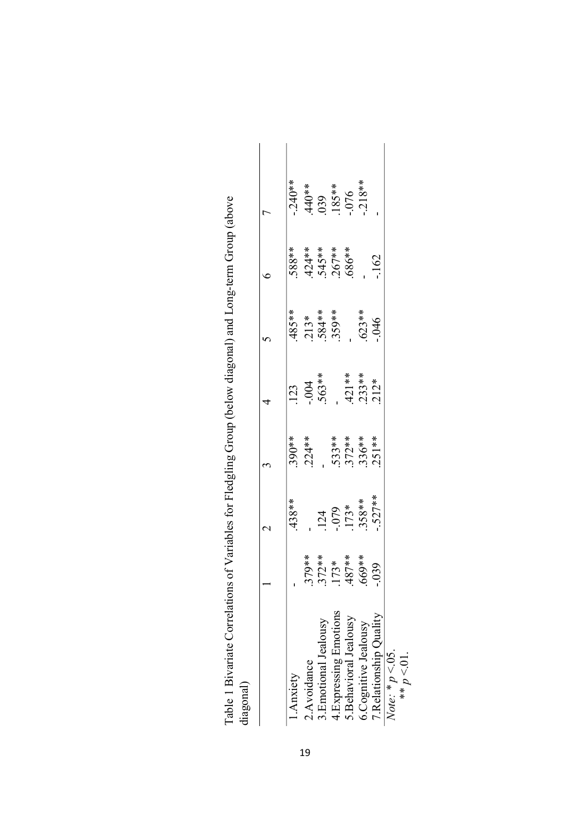|                        |                                              | $\mathrel{\sim}$          |                           |                                 |                                  |                                            |                                  |
|------------------------|----------------------------------------------|---------------------------|---------------------------|---------------------------------|----------------------------------|--------------------------------------------|----------------------------------|
| 1. Anxiety             |                                              | $.438**$                  | 390**                     |                                 | .485**                           |                                            | $-240**$                         |
| 2. Avoidance           | 79**                                         |                           | $.224**$                  | $-0.03$<br>$-0.004$<br>$-563**$ |                                  | *********<br>4245***<br>4545***<br>4686*** |                                  |
| 3. Emotional Jealousy  |                                              |                           |                           |                                 | $.213**$<br>$.584**$<br>$.359**$ |                                            |                                  |
| 4.Expressing Emotions  |                                              |                           |                           |                                 |                                  |                                            |                                  |
| 5. Behavioral Jealousy | $.372**$<br>$.173**$<br>$.487**$<br>$.669**$ | $124$<br>$.079$<br>$173*$ | $533**$<br>372**<br>336** |                                 |                                  |                                            | $440**$<br>039<br>185**<br>185** |
| 6.Cognitive Jealousy   |                                              | 358**                     |                           | $.421**$<br>$.233**$<br>$.212*$ | $.623**$                         |                                            | $-218**$                         |
| Relationship Quality   | 39                                           | $-527**$                  | 251**                     |                                 | $-046$                           | $-162$                                     |                                  |

<span id="page-31-0"></span>

| Arrelations of Variables tor Hiedolino (troin Ibelow diagonal) and I and I co-term (troin labou<br>University first team of the state of the state of the control of the state of the state of the state of the state of the state of the state of the state of the state of the state of the state of the state of the state of<br>$\frac{1}{\pi}$ . The set of $\frac{1}{\pi}$ |  |
|----------------------------------------------------------------------------------------------------------------------------------------------------------------------------------------------------------------------------------------------------------------------------------------------------------------------------------------------------------------------------------|--|
|                                                                                                                                                                                                                                                                                                                                                                                  |  |
| ישבעת של המוני בישראל במה של המוני                                                                                                                                                                                                                                                                                                                                               |  |
|                                                                                                                                                                                                                                                                                                                                                                                  |  |
|                                                                                                                                                                                                                                                                                                                                                                                  |  |
|                                                                                                                                                                                                                                                                                                                                                                                  |  |
|                                                                                                                                                                                                                                                                                                                                                                                  |  |
|                                                                                                                                                                                                                                                                                                                                                                                  |  |
| )<br>)<br>)                                                                                                                                                                                                                                                                                                                                                                      |  |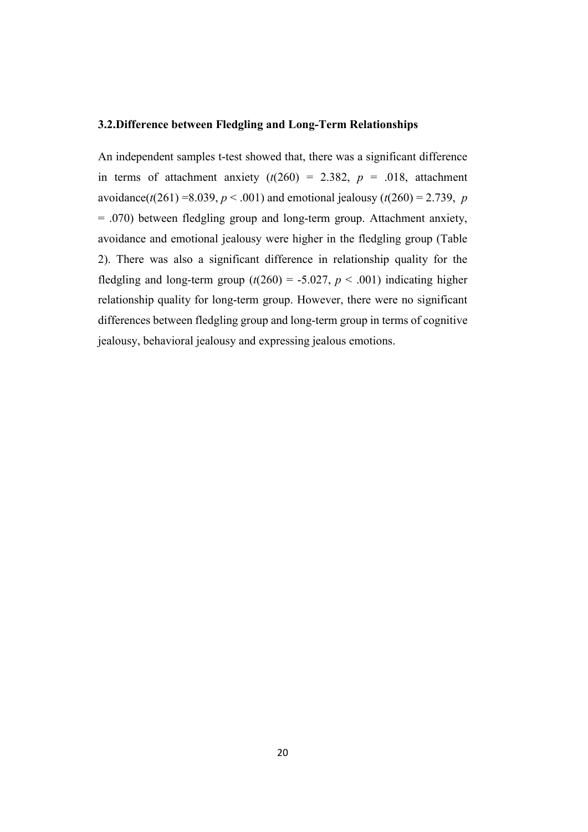## <span id="page-32-0"></span>3.2.Difference between Fledgling and Long-Term Relationships

An independent samples t-test showed that, there was a significant difference in terms of attachment anxiety  $(t(260) = 2.382, p = .018,$  attachment avoidance( $t(261) = 8.039$ ,  $p < .001$ ) and emotional jealousy ( $t(260) = 2.739$ , *p* = .070) between fledgling group and long-term group. Attachment anxiety, avoidance and emotional jealousy were higher in the fledgling group (Table 2). There was also a significant difference in relationship quality for the fledgling and long-term group  $(t(260) = -5.027, p < .001)$  indicating higher relationship quality for long-term group. However, there were no significant differences between fledgling group and long-term group in terms of cognitive jealousy, behavioral jealousy and expressing jealous emotions.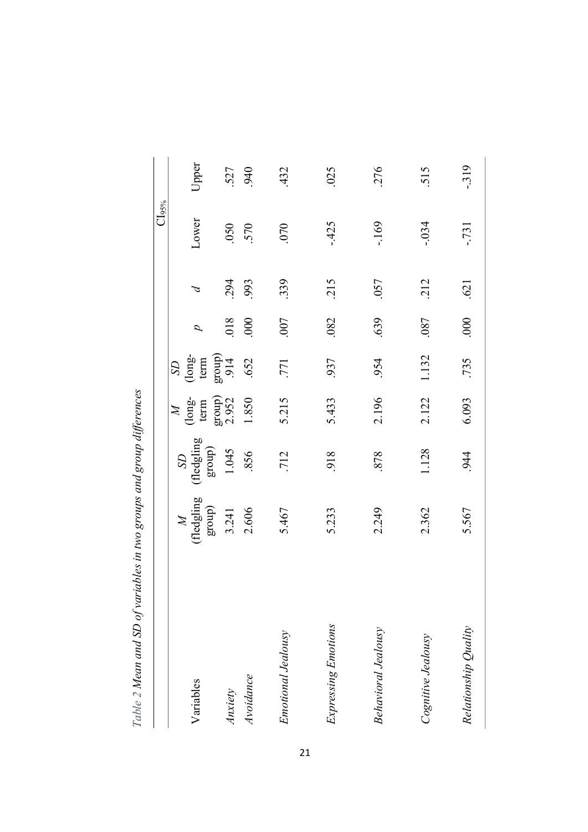<span id="page-33-0"></span>

|                            |                                                                       |                                  |                                                                  |                                                                                                                                    |           |               | CIs%       |        |
|----------------------------|-----------------------------------------------------------------------|----------------------------------|------------------------------------------------------------------|------------------------------------------------------------------------------------------------------------------------------------|-----------|---------------|------------|--------|
| Variables                  | $\begin{array}{c} M \\ \text{(Hegling)} \\ \text{group)} \end{array}$ | (fledgling<br>group)<br>$\Omega$ | $\begin{array}{c} M \\ \text{(long-} \\ \text{term} \end{array}$ | $\begin{array}{c} {\rm (long}\\ {\rm term}\\ {\rm group})\\ 0.914 \end{array}$<br>$\boldsymbol{\mathrm{S}}\boldsymbol{\mathrm{D}}$ | $\vec{a}$ | $\mathcal{A}$ | Lower      | Upper  |
| <b>Anxiety</b>             | 3.241                                                                 | 1.045                            | group)<br>2.952                                                  |                                                                                                                                    | 018       | 294           | 050        | 527    |
| Avoidance                  | 2.606                                                                 | 856                              | 1.850                                                            | .652                                                                                                                               | 000       | 993           | 570        | 940    |
| Emotional Jealousy         | 5.467                                                                 | 712                              | 5.215                                                            | .771                                                                                                                               | 007       | 339           | 070        | 432    |
| Expressing Emotions        | 5.233                                                                 | 918                              | 5.433                                                            | 937                                                                                                                                | .082      | 215           | $-425$     | 025    |
| <b>Behavioral Jealousy</b> | 2.249                                                                 | 878                              | 2.196                                                            | 954                                                                                                                                | 639       | .057          | $-169$     | 276    |
| Cognitive Jealousy         | 2.362                                                                 | 1.128                            | 2.122                                                            | 1.132                                                                                                                              | .087      | 212           | $-0.34$    | 515    |
| Relationship Quality       | 5.567                                                                 | 944                              | 6.093                                                            | .735                                                                                                                               | 000       | .621          | <b>131</b> | $-319$ |

Table 2 Mean and SD of variables in two groups and group differences *Table 2 Mean and SD of variables in two groups and group differences*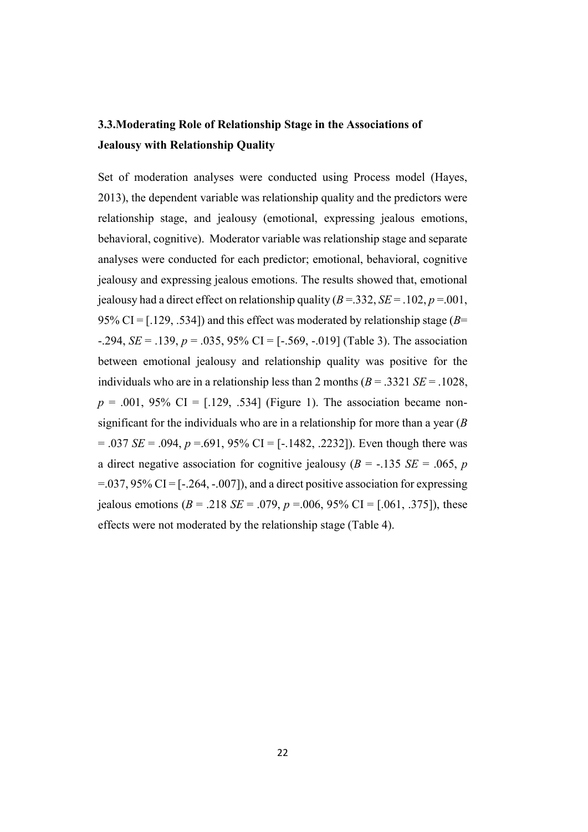# <span id="page-34-0"></span>3.3.Moderating Role of Relationship Stage in the Associations of Jealousy with Relationship Quality

Set of moderation analyses were conducted using Process model (Hayes, 2013), the dependent variable was relationship quality and the predictors were relationship stage, and jealousy (emotional, expressing jealous emotions, behavioral, cognitive). Moderator variable was relationship stage and separate analyses were conducted for each predictor; emotional, behavioral, cognitive jealousy and expressing jealous emotions. The results showed that, emotional jealousy had a direct effect on relationship quality  $(B = .332, SE = .102, p = .001,$ 95% CI =  $(129, 534)$  and this effect was moderated by relationship stage ( $B=$ -.294, *SE* = .139, *p* = .035, 95% CI = [-.569, -.019] (Table 3). The association between emotional jealousy and relationship quality was positive for the individuals who are in a relationship less than 2 months  $(B = .3321 \text{ } SE = .1028$ ,  $p = .001, 95\% \text{ CI} = [.129, .534]$  (Figure 1). The association became nonsignificant for the individuals who are in a relationship for more than a year (*B*  $= .037 \text{ } SE = .094, p = .691, 95\% \text{ } CI = [-.1482, .2232]$ . Even though there was a direct negative association for cognitive jealousy ( $B = -135$  *SE* = .065, *p*  $=$ .037, 95% CI = [-.264, -.007]), and a direct positive association for expressing iealous emotions ( $B = .218$  *SE* = .079,  $p = .006$ , 95% CI = [.061, .375]), these effects were not moderated by the relationship stage (Table 4).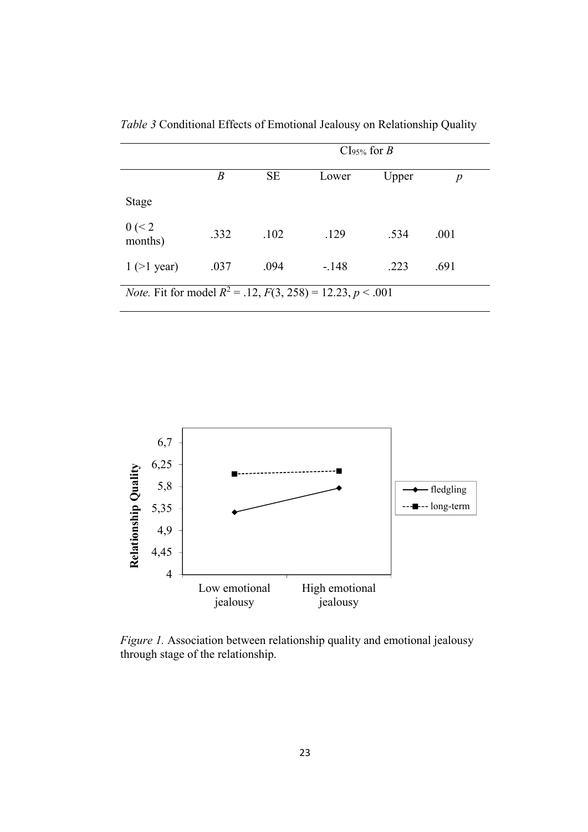|                                                                           | $CIs_{\frac{5}{6}}$ for B |           |         |       |      |  |  |
|---------------------------------------------------------------------------|---------------------------|-----------|---------|-------|------|--|--|
|                                                                           | B                         | <b>SE</b> | Lower   | Upper | p    |  |  |
| <b>Stage</b>                                                              |                           |           |         |       |      |  |  |
| 0 (< 2<br>months)                                                         | .332                      | .102      | .129    | .534  | .001 |  |  |
| $1$ (>1 year)                                                             | .037                      | .094      | $-.148$ | .223  | .691 |  |  |
| <i>Note.</i> Fit for model $R^2 = .12$ , $F(3, 258) = 12.23$ , $p < .001$ |                           |           |         |       |      |  |  |

<span id="page-35-0"></span>*Table 3* Conditional Effects of Emotional Jealousy on Relationship Quality



*Figure 1.* Association between relationship quality and emotional jealousy through stage of the relationship.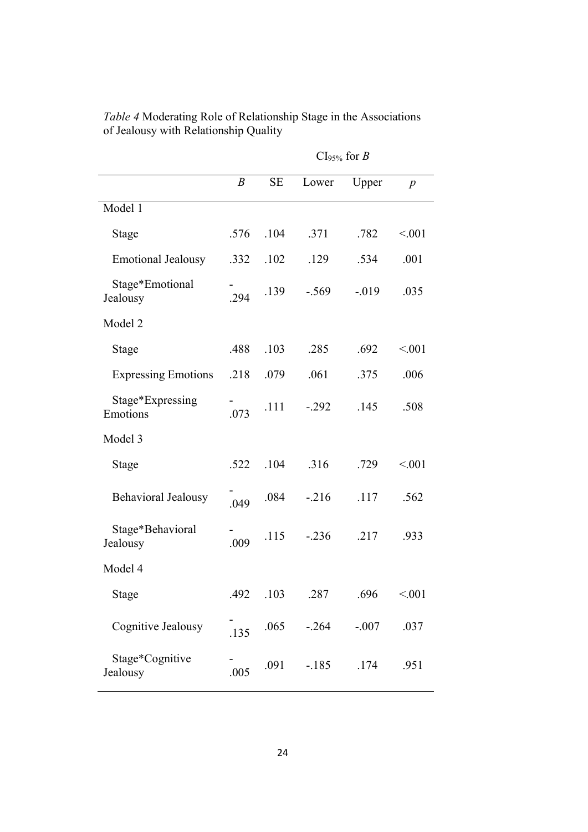|                              |                  | $CIs_{95\%}$ for B |          |         |                  |
|------------------------------|------------------|--------------------|----------|---------|------------------|
|                              | $\boldsymbol{B}$ | <b>SE</b>          | Lower    | Upper   | $\boldsymbol{p}$ |
| Model 1                      |                  |                    |          |         |                  |
| Stage                        | .576             | .104               | .371     | .782    | < 001            |
| <b>Emotional Jealousy</b>    | .332             | .102               | .129     | .534    | .001             |
| Stage*Emotional<br>Jealousy  | .294             | .139               | $-.569$  | $-019$  | .035             |
| Model 2                      |                  |                    |          |         |                  |
| Stage                        | .488             | .103               | .285     | .692    | < 001            |
| <b>Expressing Emotions</b>   | .218             | .079               | .061     | .375    | .006             |
| Stage*Expressing<br>Emotions | .073             | .111               | $-.292$  | .145    | .508             |
| Model 3                      |                  |                    |          |         |                  |
| Stage                        | .522             | .104               | .316     | .729    | < 001            |
| <b>Behavioral Jealousy</b>   | .049             | .084               | $-216$   | .117    | .562             |
| Stage*Behavioral<br>Jealousy | .009             | .115               | $-0.236$ | .217    | .933             |
| Model 4                      |                  |                    |          |         |                  |
| Stage                        | .492             | .103               | .287     | .696    | < 0.01           |
| Cognitive Jealousy           | .135             | .065               | $-.264$  | $-.007$ | .037             |
| Stage*Cognitive<br>Jealousy  | .005             | .091               | $-185$   | .174    | .951             |

*Table 4* Moderating Role of Relationship Stage in the Associations of Jealousy with Relationship Quality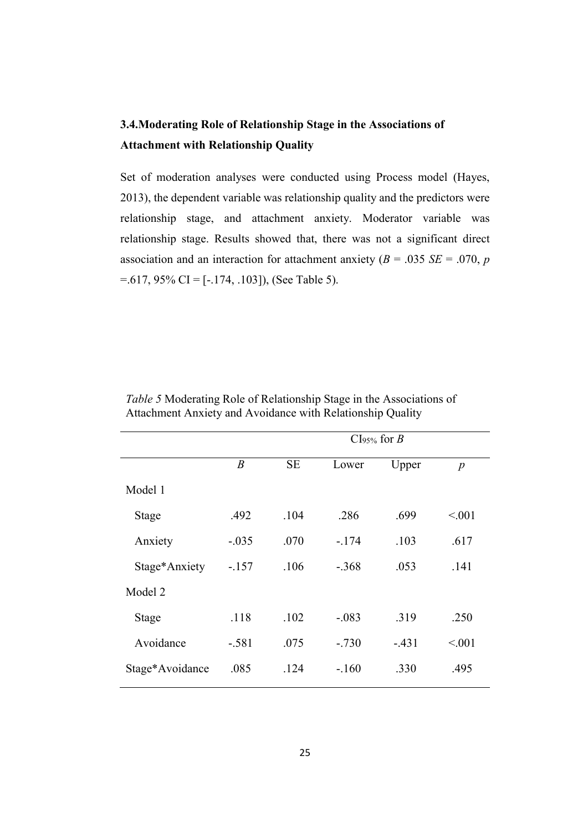# 3.4.Moderating Role of Relationship Stage in the Associations of Attachment with Relationship Quality

Set of moderation analyses were conducted using Process model (Hayes, 2013), the dependent variable was relationship quality and the predictors were relationship stage, and attachment anxiety. Moderator variable was relationship stage. Results showed that, there was not a significant direct association and an interaction for attachment anxiety ( $B = .035$  *SE* = .070, *p* =.617, 95% CI = [-.174, .103]), (See Table 5).

|                 | $CIs_{\frac{9}{2}}$ for B |           |         |        |                  |
|-----------------|---------------------------|-----------|---------|--------|------------------|
|                 | $\boldsymbol{B}$          | <b>SE</b> | Lower   | Upper  | $\boldsymbol{p}$ |
| Model 1         |                           |           |         |        |                  |
| Stage           | .492                      | .104      | .286    | .699   | < 0.01           |
| Anxiety         | $-.035$                   | .070      | $-.174$ | .103   | .617             |
| Stage*Anxiety   | $-.157$                   | .106      | $-.368$ | .053   | .141             |
| Model 2         |                           |           |         |        |                  |
| Stage           | .118                      | .102      | $-.083$ | .319   | .250             |
| Avoidance       | $-.581$                   | .075      | $-.730$ | $-431$ | < 0.01           |
| Stage*Avoidance | .085                      | .124      | $-160$  | .330   | .495             |

*Table 5* Moderating Role of Relationship Stage in the Associations of Attachment Anxiety and Avoidance with Relationship Quality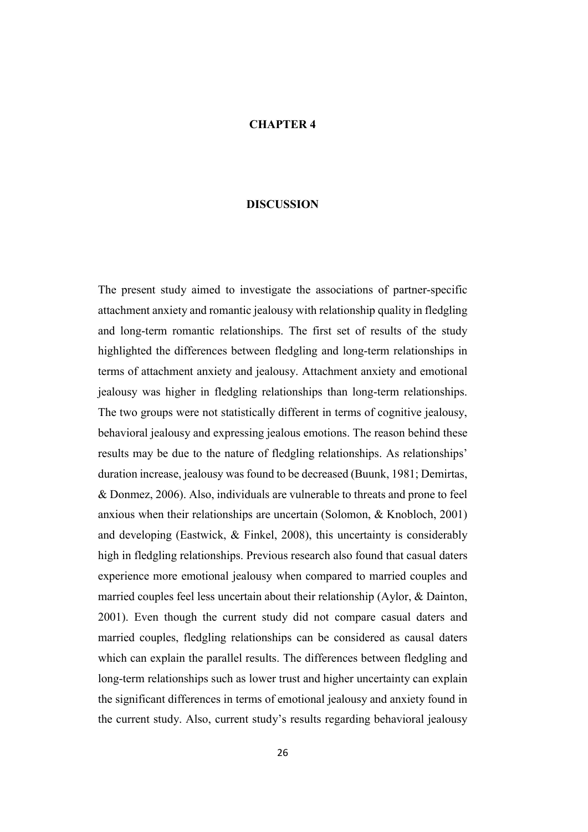## CHAPTER 4

#### **DISCUSSION**

The present study aimed to investigate the associations of partner-specific attachment anxiety and romantic jealousy with relationship quality in fledgling and long-term romantic relationships. The first set of results of the study highlighted the differences between fledgling and long-term relationships in terms of attachment anxiety and jealousy. Attachment anxiety and emotional jealousy was higher in fledgling relationships than long-term relationships. The two groups were not statistically different in terms of cognitive jealousy, behavioral jealousy and expressing jealous emotions. The reason behind these results may be due to the nature of fledgling relationships. As relationships' duration increase, jealousy was found to be decreased (Buunk, 1981; Demirtas, & Donmez, 2006). Also, individuals are vulnerable to threats and prone to feel anxious when their relationships are uncertain (Solomon, & Knobloch, 2001) and developing (Eastwick, & Finkel, 2008), this uncertainty is considerably high in fledgling relationships. Previous research also found that casual daters experience more emotional jealousy when compared to married couples and married couples feel less uncertain about their relationship (Aylor, & Dainton, 2001). Even though the current study did not compare casual daters and married couples, fledgling relationships can be considered as causal daters which can explain the parallel results. The differences between fledgling and long-term relationships such as lower trust and higher uncertainty can explain the significant differences in terms of emotional jealousy and anxiety found in the current study. Also, current study's results regarding behavioral jealousy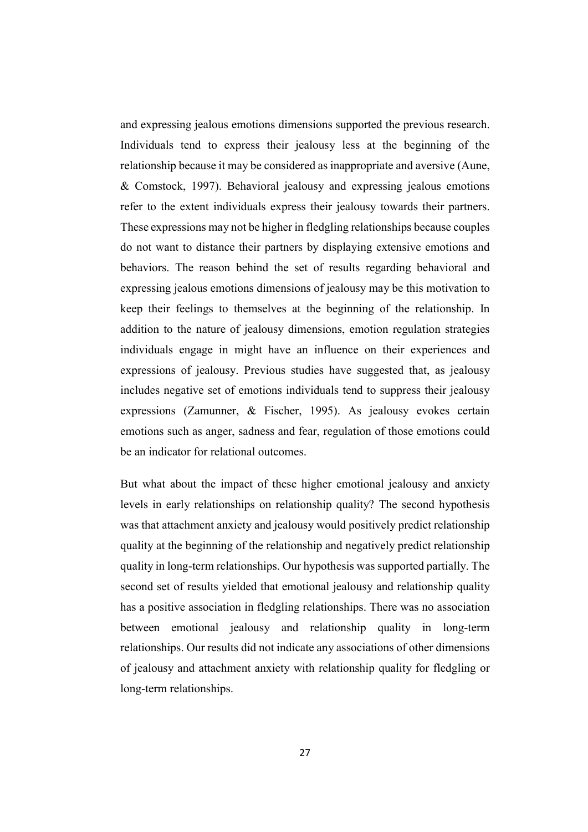and expressing jealous emotions dimensions supported the previous research. Individuals tend to express their jealousy less at the beginning of the relationship because it may be considered as inappropriate and aversive (Aune, & Comstock, 1997). Behavioral jealousy and expressing jealous emotions refer to the extent individuals express their jealousy towards their partners. These expressions may not be higher in fledgling relationships because couples do not want to distance their partners by displaying extensive emotions and behaviors. The reason behind the set of results regarding behavioral and expressing jealous emotions dimensions of jealousy may be this motivation to keep their feelings to themselves at the beginning of the relationship. In addition to the nature of jealousy dimensions, emotion regulation strategies individuals engage in might have an influence on their experiences and expressions of jealousy. Previous studies have suggested that, as jealousy includes negative set of emotions individuals tend to suppress their jealousy expressions (Zamunner, & Fischer, 1995). As jealousy evokes certain emotions such as anger, sadness and fear, regulation of those emotions could be an indicator for relational outcomes.

But what about the impact of these higher emotional jealousy and anxiety levels in early relationships on relationship quality? The second hypothesis was that attachment anxiety and jealousy would positively predict relationship quality at the beginning of the relationship and negatively predict relationship quality in long-term relationships. Our hypothesis was supported partially. The second set of results yielded that emotional jealousy and relationship quality has a positive association in fledgling relationships. There was no association between emotional jealousy and relationship quality in long-term relationships. Our results did not indicate any associations of other dimensions of jealousy and attachment anxiety with relationship quality for fledgling or long-term relationships.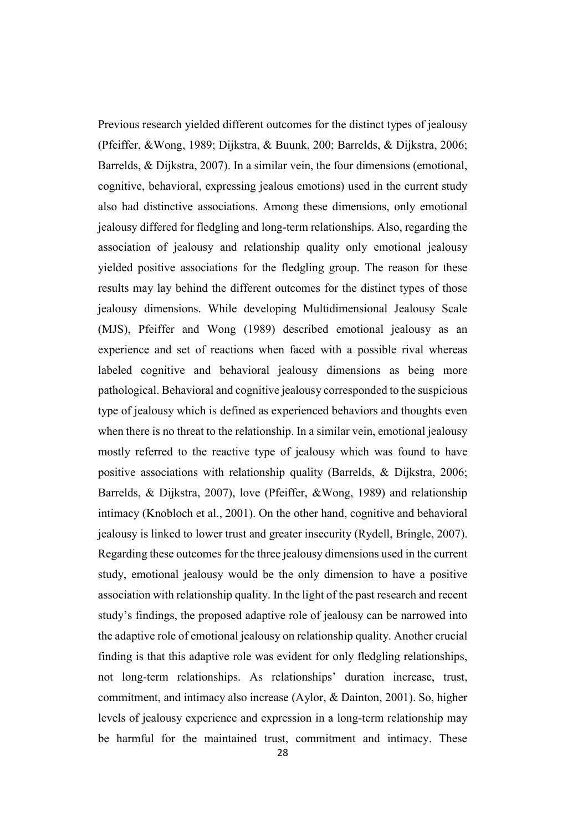Previous research yielded different outcomes for the distinct types of jealousy (Pfeiffer, &Wong, 1989; Dijkstra, & Buunk, 200; Barrelds, & Dijkstra, 2006; Barrelds, & Dijkstra, 2007). In a similar vein, the four dimensions (emotional, cognitive, behavioral, expressing jealous emotions) used in the current study also had distinctive associations. Among these dimensions, only emotional jealousy differed for fledgling and long-term relationships. Also, regarding the association of jealousy and relationship quality only emotional jealousy yielded positive associations for the fledgling group. The reason for these results may lay behind the different outcomes for the distinct types of those jealousy dimensions. While developing Multidimensional Jealousy Scale (MJS), Pfeiffer and Wong (1989) described emotional jealousy as an experience and set of reactions when faced with a possible rival whereas labeled cognitive and behavioral jealousy dimensions as being more pathological. Behavioral and cognitive jealousy corresponded to the suspicious type of jealousy which is defined as experienced behaviors and thoughts even when there is no threat to the relationship. In a similar vein, emotional jealousy mostly referred to the reactive type of jealousy which was found to have positive associations with relationship quality (Barrelds, & Dijkstra, 2006; Barrelds, & Dijkstra, 2007), love (Pfeiffer, &Wong, 1989) and relationship intimacy (Knobloch et al., 2001). On the other hand, cognitive and behavioral jealousy is linked to lower trust and greater insecurity (Rydell, Bringle, 2007). Regarding these outcomes for the three jealousy dimensions used in the current study, emotional jealousy would be the only dimension to have a positive association with relationship quality. In the light of the past research and recent study's findings, the proposed adaptive role of jealousy can be narrowed into the adaptive role of emotional jealousy on relationship quality. Another crucial finding is that this adaptive role was evident for only fledgling relationships, not long-term relationships. As relationships' duration increase, trust, commitment, and intimacy also increase (Aylor, & Dainton, 2001). So, higher levels of jealousy experience and expression in a long-term relationship may be harmful for the maintained trust, commitment and intimacy. These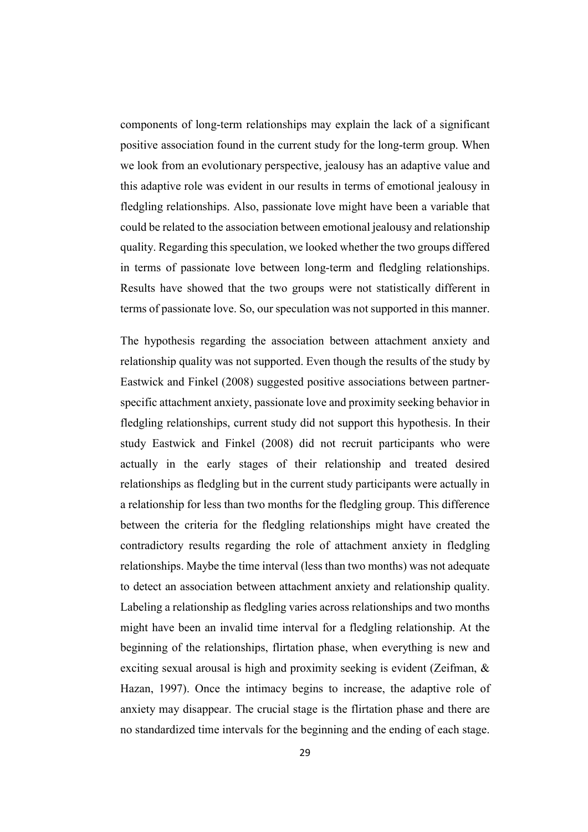components of long-term relationships may explain the lack of a significant positive association found in the current study for the long-term group. When we look from an evolutionary perspective, jealousy has an adaptive value and this adaptive role was evident in our results in terms of emotional jealousy in fledgling relationships. Also, passionate love might have been a variable that could be related to the association between emotional jealousy and relationship quality. Regarding this speculation, we looked whether the two groups differed in terms of passionate love between long-term and fledgling relationships. Results have showed that the two groups were not statistically different in terms of passionate love. So, our speculation was not supported in this manner.

The hypothesis regarding the association between attachment anxiety and relationship quality was not supported. Even though the results of the study by Eastwick and Finkel (2008) suggested positive associations between partnerspecific attachment anxiety, passionate love and proximity seeking behavior in fledgling relationships, current study did not support this hypothesis. In their study Eastwick and Finkel (2008) did not recruit participants who were actually in the early stages of their relationship and treated desired relationships as fledgling but in the current study participants were actually in a relationship for less than two months for the fledgling group. This difference between the criteria for the fledgling relationships might have created the contradictory results regarding the role of attachment anxiety in fledgling relationships. Maybe the time interval (less than two months) was not adequate to detect an association between attachment anxiety and relationship quality. Labeling a relationship as fledgling varies across relationships and two months might have been an invalid time interval for a fledgling relationship. At the beginning of the relationships, flirtation phase, when everything is new and exciting sexual arousal is high and proximity seeking is evident (Zeifman, & Hazan, 1997). Once the intimacy begins to increase, the adaptive role of anxiety may disappear. The crucial stage is the flirtation phase and there are no standardized time intervals for the beginning and the ending of each stage.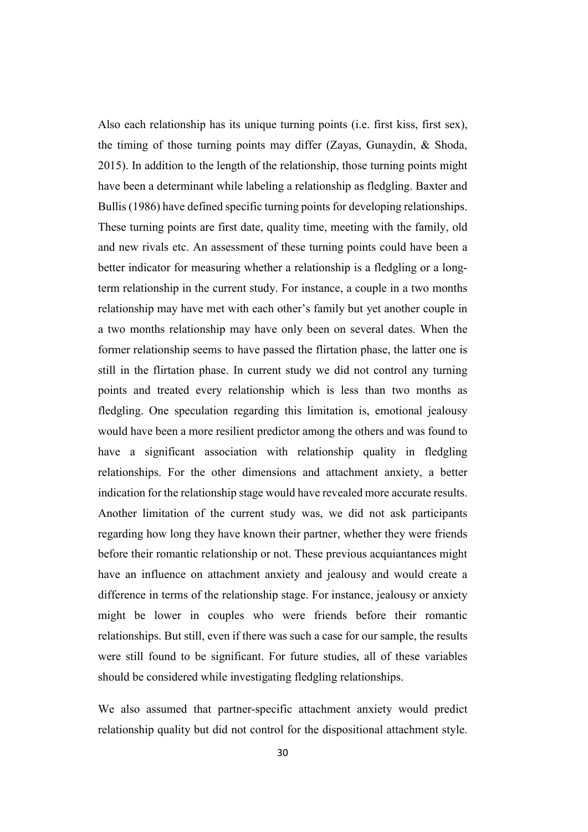Also each relationship has its unique turning points (i.e. first kiss, first sex), the timing of those turning points may differ (Zayas, Gunaydin, & Shoda, 2015). In addition to the length of the relationship, those turning points might have been a determinant while labeling a relationship as fledgling. Baxter and Bullis (1986) have defined specific turning points for developing relationships. These turning points are first date, quality time, meeting with the family, old and new rivals etc. An assessment of these turning points could have been a better indicator for measuring whether a relationship is a fledgling or a longterm relationship in the current study. For instance, a couple in a two months relationship may have met with each other's family but yet another couple in a two months relationship may have only been on several dates. When the former relationship seems to have passed the flirtation phase, the latter one is still in the flirtation phase. In current study we did not control any turning points and treated every relationship which is less than two months as fledgling. One speculation regarding this limitation is, emotional jealousy would have been a more resilient predictor among the others and was found to have a significant association with relationship quality in fledgling relationships. For the other dimensions and attachment anxiety, a better indication for the relationship stage would have revealed more accurate results. Another limitation of the current study was, we did not ask participants regarding how long they have known their partner, whether they were friends before their romantic relationship or not. These previous acquiantances might have an influence on attachment anxiety and jealousy and would create a difference in terms of the relationship stage. For instance, jealousy or anxiety might be lower in couples who were friends before their romantic relationships. But still, even if there was such a case for our sample, the results were still found to be significant. For future studies, all of these variables should be considered while investigating fledgling relationships.

We also assumed that partner-specific attachment anxiety would predict relationship quality but did not control for the dispositional attachment style.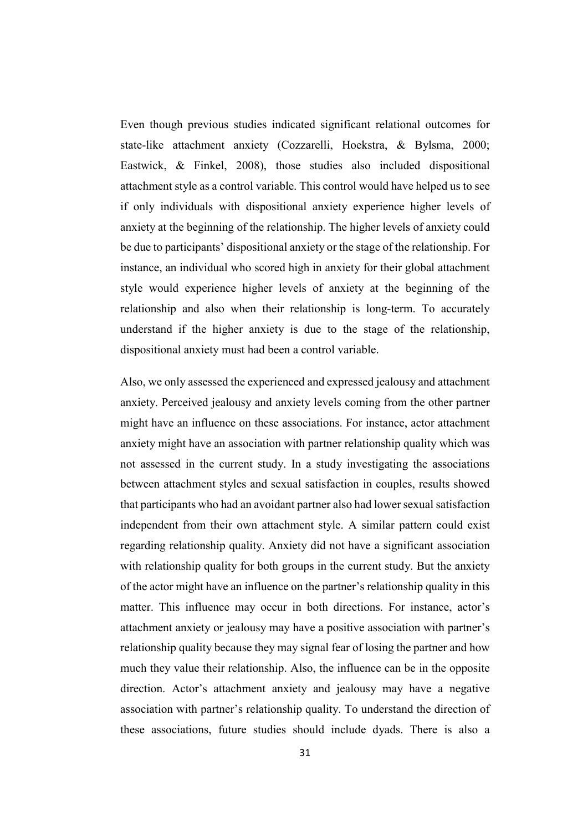Even though previous studies indicated significant relational outcomes for state-like attachment anxiety (Cozzarelli, Hoekstra, & Bylsma, 2000; Eastwick, & Finkel, 2008), those studies also included dispositional attachment style as a control variable. This control would have helped us to see if only individuals with dispositional anxiety experience higher levels of anxiety at the beginning of the relationship. The higher levels of anxiety could be due to participants' dispositional anxiety or the stage of the relationship. For instance, an individual who scored high in anxiety for their global attachment style would experience higher levels of anxiety at the beginning of the relationship and also when their relationship is long-term. To accurately understand if the higher anxiety is due to the stage of the relationship, dispositional anxiety must had been a control variable.

Also, we only assessed the experienced and expressed jealousy and attachment anxiety. Perceived jealousy and anxiety levels coming from the other partner might have an influence on these associations. For instance, actor attachment anxiety might have an association with partner relationship quality which was not assessed in the current study. In a study investigating the associations between attachment styles and sexual satisfaction in couples, results showed that participants who had an avoidant partner also had lower sexual satisfaction independent from their own attachment style. A similar pattern could exist regarding relationship quality. Anxiety did not have a significant association with relationship quality for both groups in the current study. But the anxiety of the actor might have an influence on the partner's relationship quality in this matter. This influence may occur in both directions. For instance, actor's attachment anxiety or jealousy may have a positive association with partner's relationship quality because they may signal fear of losing the partner and how much they value their relationship. Also, the influence can be in the opposite direction. Actor's attachment anxiety and jealousy may have a negative association with partner's relationship quality. To understand the direction of these associations, future studies should include dyads. There is also a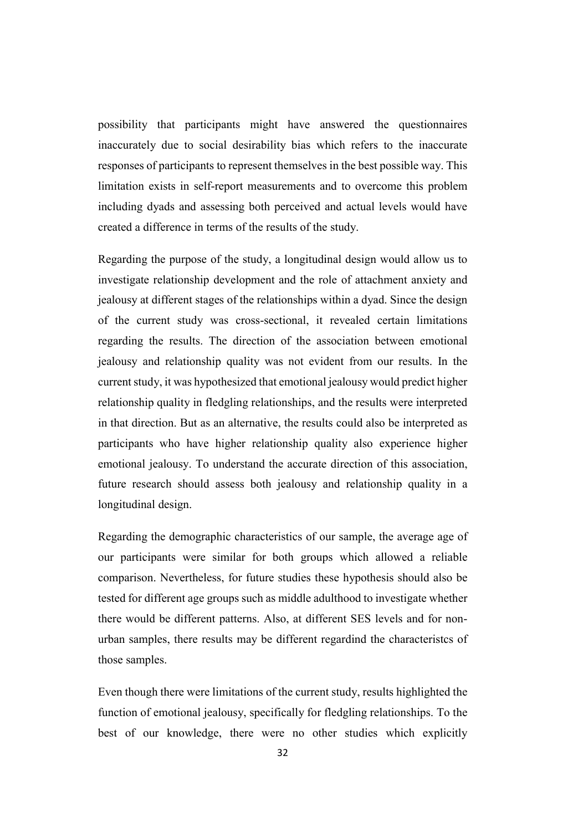possibility that participants might have answered the questionnaires inaccurately due to social desirability bias which refers to the inaccurate responses of participants to represent themselves in the best possible way. This limitation exists in self-report measurements and to overcome this problem including dyads and assessing both perceived and actual levels would have created a difference in terms of the results of the study.

Regarding the purpose of the study, a longitudinal design would allow us to investigate relationship development and the role of attachment anxiety and jealousy at different stages of the relationships within a dyad. Since the design of the current study was cross-sectional, it revealed certain limitations regarding the results. The direction of the association between emotional jealousy and relationship quality was not evident from our results. In the current study, it was hypothesized that emotional jealousy would predict higher relationship quality in fledgling relationships, and the results were interpreted in that direction. But as an alternative, the results could also be interpreted as participants who have higher relationship quality also experience higher emotional jealousy. To understand the accurate direction of this association, future research should assess both jealousy and relationship quality in a longitudinal design.

Regarding the demographic characteristics of our sample, the average age of our participants were similar for both groups which allowed a reliable comparison. Nevertheless, for future studies these hypothesis should also be tested for different age groups such as middle adulthood to investigate whether there would be different patterns. Also, at different SES levels and for nonurban samples, there results may be different regardind the characteristcs of those samples.

Even though there were limitations of the current study, results highlighted the function of emotional jealousy, specifically for fledgling relationships. To the best of our knowledge, there were no other studies which explicitly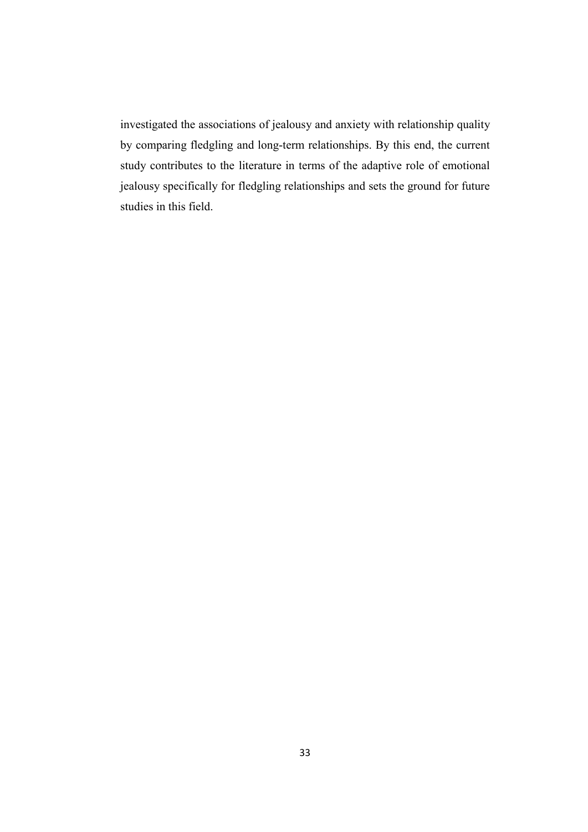investigated the associations of jealousy and anxiety with relationship quality by comparing fledgling and long-term relationships. By this end, the current study contributes to the literature in terms of the adaptive role of emotional jealousy specifically for fledgling relationships and sets the ground for future studies in this field.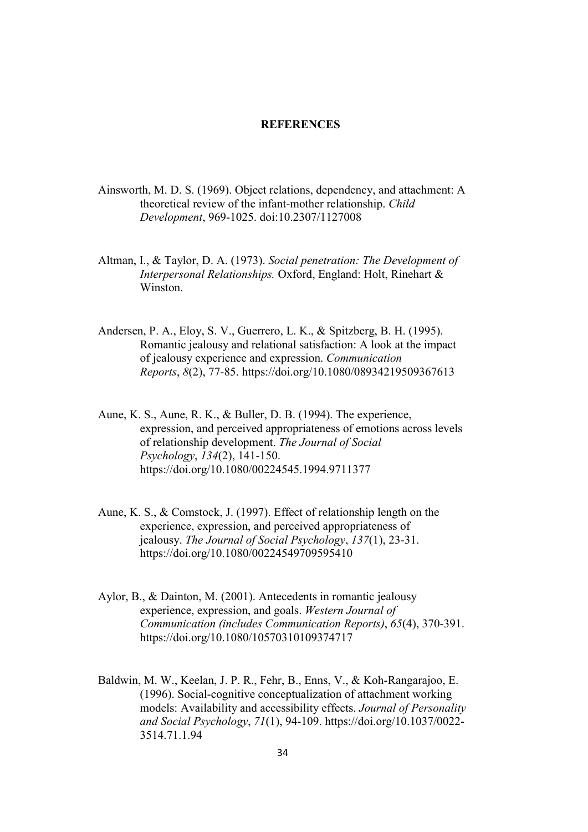#### **REFERENCES**

- Ainsworth, M. D. S. (1969). Object relations, dependency, and attachment: A theoretical review of the infant-mother relationship. *Child Development*, 969-1025. doi:10.2307/1127008
- Altman, I., & Taylor, D. A. (1973). *Social penetration: The Development of Interpersonal Relationships.* Oxford, England: Holt, Rinehart & Winston.
- Andersen, P. A., Eloy, S. V., Guerrero, L. K., & Spitzberg, B. H. (1995). Romantic jealousy and relational satisfaction: A look at the impact of jealousy experience and expression. *Communication Reports*, *8*(2), 77-85. https://doi.org/10.1080/08934219509367613
- Aune, K. S., Aune, R. K., & Buller, D. B. (1994). The experience, expression, and perceived appropriateness of emotions across levels of relationship development. *The Journal of Social Psychology*, *134*(2), 141-150. https://doi.org/10.1080/00224545.1994.9711377
- Aune, K. S., & Comstock, J. (1997). Effect of relationship length on the experience, expression, and perceived appropriateness of jealousy. *The Journal of Social Psychology*, *137*(1), 23-31. https://doi.org/10.1080/00224549709595410
- Aylor, B., & Dainton, M. (2001). Antecedents in romantic jealousy experience, expression, and goals. *Western Journal of Communication (includes Communication Reports)*, *65*(4), 370-391. https://doi.org/10.1080/10570310109374717
- Baldwin, M. W., Keelan, J. P. R., Fehr, B., Enns, V., & Koh-Rangarajoo, E. (1996). Social-cognitive conceptualization of attachment working models: Availability and accessibility effects. *Journal of Personality and Social Psychology*, *71*(1), 94-109. https://doi.org/10.1037/0022- 3514.71.1.94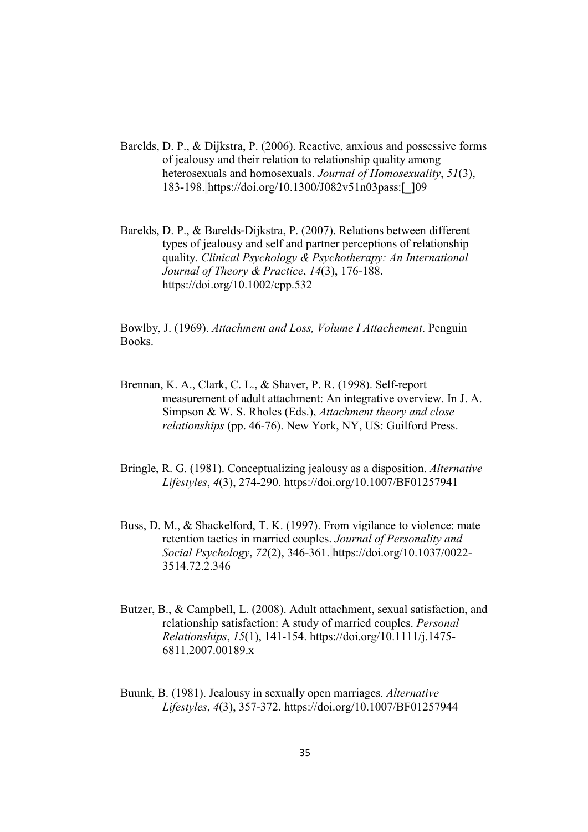- Barelds, D. P., & Dijkstra, P. (2006). Reactive, anxious and possessive forms of jealousy and their relation to relationship quality among heterosexuals and homosexuals. *Journal of Homosexuality*, *51*(3), 183-198. https://doi.org/10.1300/J082v51n03pass:[\_]09
- Barelds, D. P., & Barelds‐Dijkstra, P. (2007). Relations between different types of jealousy and self and partner perceptions of relationship quality. *Clinical Psychology & Psychotherapy: An International Journal of Theory & Practice*, *14*(3), 176-188. https://doi.org/10.1002/cpp.532

Bowlby, J. (1969). *Attachment and Loss, Volume I Attachement*. Penguin Books.

- Brennan, K. A., Clark, C. L., & Shaver, P. R. (1998). Self-report measurement of adult attachment: An integrative overview. In J. A. Simpson & W. S. Rholes (Eds.), *Attachment theory and close relationships* (pp. 46-76). New York, NY, US: Guilford Press.
- Bringle, R. G. (1981). Conceptualizing jealousy as a disposition. *Alternative Lifestyles*, *4*(3), 274-290. https://doi.org/10.1007/BF01257941
- Buss, D. M., & Shackelford, T. K. (1997). From vigilance to violence: mate retention tactics in married couples. *Journal of Personality and Social Psychology*, *72*(2), 346-361. https://doi.org/10.1037/0022- 3514.72.2.346
- Butzer, B., & Campbell, L. (2008). Adult attachment, sexual satisfaction, and relationship satisfaction: A study of married couples. *Personal Relationships*, *15*(1), 141-154. https://doi.org/10.1111/j.1475- 6811.2007.00189.x
- Buunk, B. (1981). Jealousy in sexually open marriages. *Alternative Lifestyles*, *4*(3), 357-372. https://doi.org/10.1007/BF01257944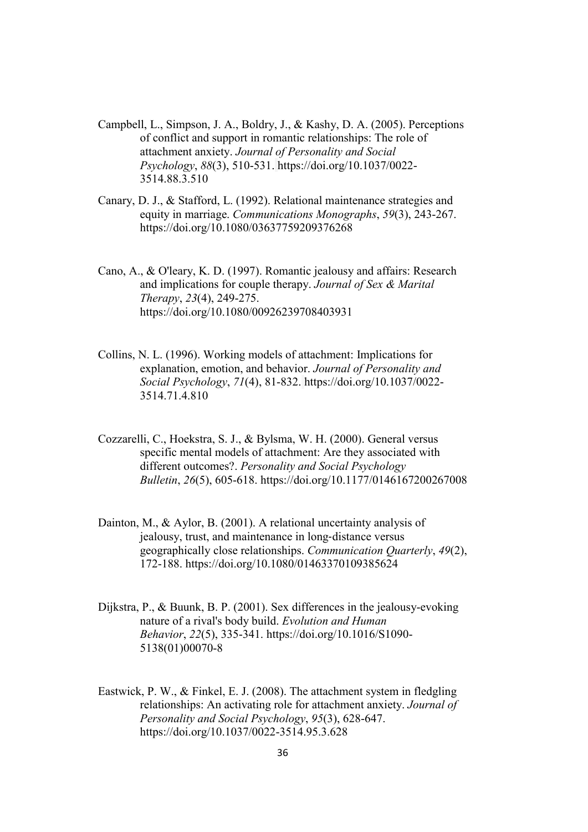- Campbell, L., Simpson, J. A., Boldry, J., & Kashy, D. A. (2005). Perceptions of conflict and support in romantic relationships: The role of attachment anxiety. *Journal of Personality and Social Psychology*, *88*(3), 510-531. https://doi.org/10.1037/0022- 3514.88.3.510
- Canary, D. J., & Stafford, L. (1992). Relational maintenance strategies and equity in marriage. *Communications Monographs*, *59*(3), 243-267. https://doi.org/10.1080/03637759209376268
- Cano, A., & O'leary, K. D. (1997). Romantic jealousy and affairs: Research and implications for couple therapy. *Journal of Sex & Marital Therapy*, *23*(4), 249-275. https://doi.org/10.1080/00926239708403931
- Collins, N. L. (1996). Working models of attachment: Implications for explanation, emotion, and behavior. *Journal of Personality and Social Psychology*, *71*(4), 81-832. https://doi.org/10.1037/0022- 3514.71.4.810
- Cozzarelli, C., Hoekstra, S. J., & Bylsma, W. H. (2000). General versus specific mental models of attachment: Are they associated with different outcomes?. *Personality and Social Psychology Bulletin*, *26*(5), 605-618. https://doi.org/10.1177/0146167200267008
- Dainton, M., & Aylor, B. (2001). A relational uncertainty analysis of jealousy, trust, and maintenance in long‐distance versus geographically close relationships. *Communication Quarterly*, *49*(2), 172-188. https://doi.org/10.1080/01463370109385624
- Dijkstra, P., & Buunk, B. P. (2001). Sex differences in the jealousy-evoking nature of a rival's body build. *Evolution and Human Behavior*, *22*(5), 335-341. https://doi.org/10.1016/S1090- 5138(01)00070-8
- Eastwick, P. W., & Finkel, E. J. (2008). The attachment system in fledgling relationships: An activating role for attachment anxiety. *Journal of Personality and Social Psychology*, *95*(3), 628-647. https://doi.org/10.1037/0022-3514.95.3.628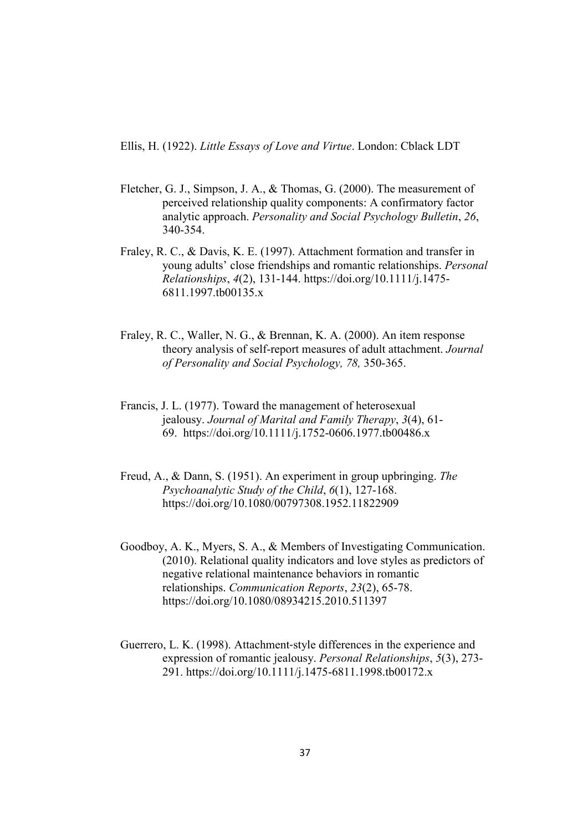Ellis, H. (1922). *Little Essays of Love and Virtue*. London: Cblack LDT

- Fletcher, G. J., Simpson, J. A., & Thomas, G. (2000). The measurement of perceived relationship quality components: A confirmatory factor analytic approach. *Personality and Social Psychology Bulletin*, *26*, 340-354.
- Fraley, R. C., & Davis, K. E. (1997). Attachment formation and transfer in young adults' close friendships and romantic relationships. *Personal Relationships*, *4*(2), 131-144. https://doi.org/10.1111/j.1475- 6811.1997.tb00135.x
- Fraley, R. C., Waller, N. G., & Brennan, K. A. (2000). An item response theory analysis of self-report measures of adult attachment. *Journal of Personality and Social Psychology, 78,* 350-365.
- Francis, J. L. (1977). Toward the management of heterosexual jealousy. *Journal of Marital and Family Therapy*, *3*(4), 61- 69. https://doi.org/10.1111/j.1752-0606.1977.tb00486.x
- Freud, A., & Dann, S. (1951). An experiment in group upbringing. *The Psychoanalytic Study of the Child*, *6*(1), 127-168. https://doi.org/10.1080/00797308.1952.11822909
- Goodboy, A. K., Myers, S. A., & Members of Investigating Communication. (2010). Relational quality indicators and love styles as predictors of negative relational maintenance behaviors in romantic relationships. *Communication Reports*, *23*(2), 65-78. https://doi.org/10.1080/08934215.2010.511397
- Guerrero, L. K. (1998). Attachment‐style differences in the experience and expression of romantic jealousy. *Personal Relationships*, *5*(3), 273- 291. https://doi.org/10.1111/j.1475-6811.1998.tb00172.x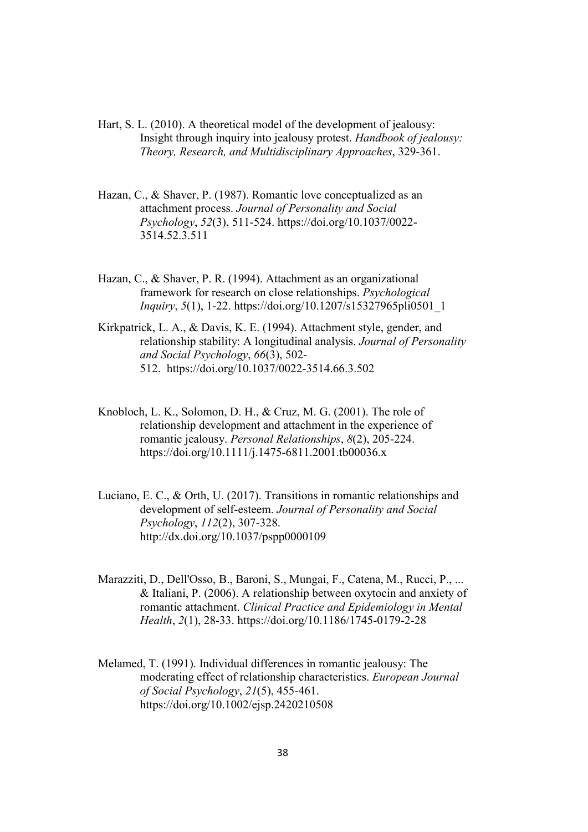- Hart, S. L. (2010). A theoretical model of the development of jealousy: Insight through inquiry into jealousy protest. *Handbook of jealousy: Theory, Research, and Multidisciplinary Approaches*, 329-361.
- Hazan, C., & Shaver, P. (1987). Romantic love conceptualized as an attachment process. *Journal of Personality and Social Psychology*, *52*(3), 511-524. https://doi.org/10.1037/0022- 3514.52.3.511
- Hazan, C., & Shaver, P. R. (1994). Attachment as an organizational framework for research on close relationships. *Psychological Inquiry*, *5*(1), 1-22. https://doi.org/10.1207/s15327965pli0501\_1
- Kirkpatrick, L. A., & Davis, K. E. (1994). Attachment style, gender, and relationship stability: A longitudinal analysis. *Journal of Personality and Social Psychology*, *66*(3), 502- 512. https://doi.org/10.1037/0022-3514.66.3.502
- Knobloch, L. K., Solomon, D. H., & Cruz, M. G. (2001). The role of relationship development and attachment in the experience of romantic jealousy. *Personal Relationships*, *8*(2), 205-224. https://doi.org/10.1111/j.1475-6811.2001.tb00036.x
- Luciano, E. C., & Orth, U. (2017). Transitions in romantic relationships and development of self-esteem. *Journal of Personality and Social Psychology*, *112*(2), 307-328. http://dx.doi.org/10.1037/pspp0000109
- Marazziti, D., Dell'Osso, B., Baroni, S., Mungai, F., Catena, M., Rucci, P., ... & Italiani, P. (2006). A relationship between oxytocin and anxiety of romantic attachment. *Clinical Practice and Epidemiology in Mental Health*, *2*(1), 28-33. https://doi.org/10.1186/1745-0179-2-28
- Melamed, T. (1991). Individual differences in romantic jealousy: The moderating effect of relationship characteristics. *European Journal of Social Psychology*, *21*(5), 455-461. https://doi.org/10.1002/ejsp.2420210508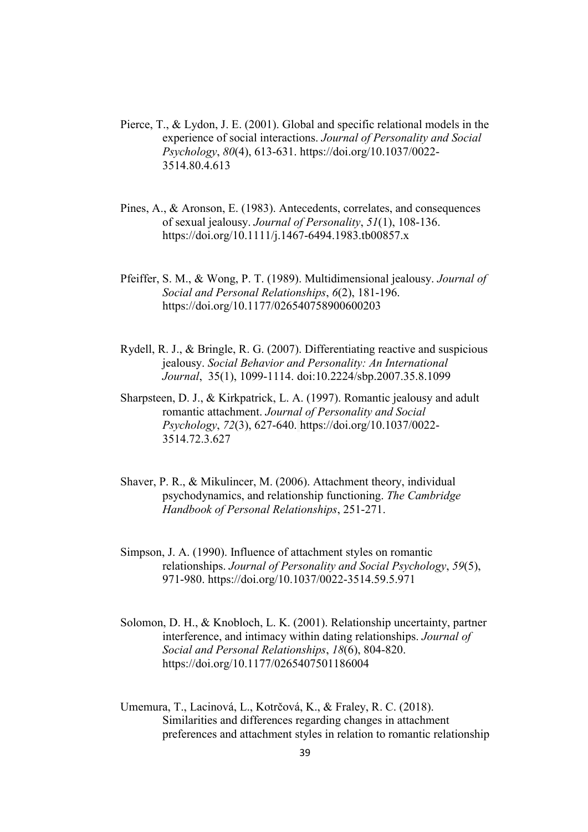- Pierce, T., & Lydon, J. E. (2001). Global and specific relational models in the experience of social interactions. *Journal of Personality and Social Psychology*, *80*(4), 613-631. https://doi.org/10.1037/0022- 3514.80.4.613
- Pines, A., & Aronson, E. (1983). Antecedents, correlates, and consequences of sexual jealousy. *Journal of Personality*, *51*(1), 108-136. https://doi.org/10.1111/j.1467-6494.1983.tb00857.x
- Pfeiffer, S. M., & Wong, P. T. (1989). Multidimensional jealousy. *Journal of Social and Personal Relationships*, *6*(2), 181-196. https://doi.org/10.1177/026540758900600203
- Rydell, R. J., & Bringle, R. G. (2007). Differentiating reactive and suspicious jealousy. *Social Behavior and Personality: An International Journal*, 35(1), 1099-1114. doi:10.2224/sbp.2007.35.8.1099
- Sharpsteen, D. J., & Kirkpatrick, L. A. (1997). Romantic jealousy and adult romantic attachment. *Journal of Personality and Social Psychology*, *72*(3), 627-640. https://doi.org/10.1037/0022- 3514.72.3.627
- Shaver, P. R., & Mikulincer, M. (2006). Attachment theory, individual psychodynamics, and relationship functioning. *The Cambridge Handbook of Personal Relationships*, 251-271.
- Simpson, J. A. (1990). Influence of attachment styles on romantic relationships. *Journal of Personality and Social Psychology*, *59*(5), 971-980. https://doi.org/10.1037/0022-3514.59.5.971
- Solomon, D. H., & Knobloch, L. K. (2001). Relationship uncertainty, partner interference, and intimacy within dating relationships. *Journal of Social and Personal Relationships*, *18*(6), 804-820. https://doi.org/10.1177/0265407501186004
- Umemura, T., Lacinová, L., Kotrčová, K., & Fraley, R. C. (2018). Similarities and differences regarding changes in attachment preferences and attachment styles in relation to romantic relationship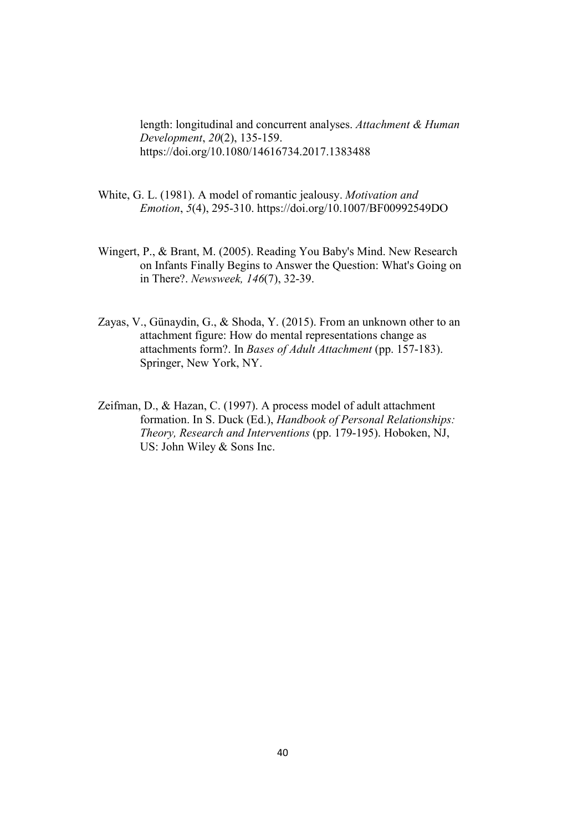length: longitudinal and concurrent analyses. *Attachment & Human Development*, *20*(2), 135-159. https://doi.org/10.1080/14616734.2017.1383488

- White, G. L. (1981). A model of romantic jealousy. *Motivation and Emotion*, *5*(4), 295-310. https://doi.org/10.1007/BF00992549DO
- Wingert, P., & Brant, M. (2005). Reading You Baby's Mind. New Research on Infants Finally Begins to Answer the Question: What's Going on in There?. *Newsweek, 146*(7), 32-39.
- Zayas, V., Günaydin, G., & Shoda, Y. (2015). From an unknown other to an attachment figure: How do mental representations change as attachments form?. In *Bases of Adult Attachment* (pp. 157-183). Springer, New York, NY.
- Zeifman, D., & Hazan, C. (1997). A process model of adult attachment formation. In S. Duck (Ed.), *Handbook of Personal Relationships: Theory, Research and Interventions* (pp. 179-195). Hoboken, NJ, US: John Wiley & Sons Inc.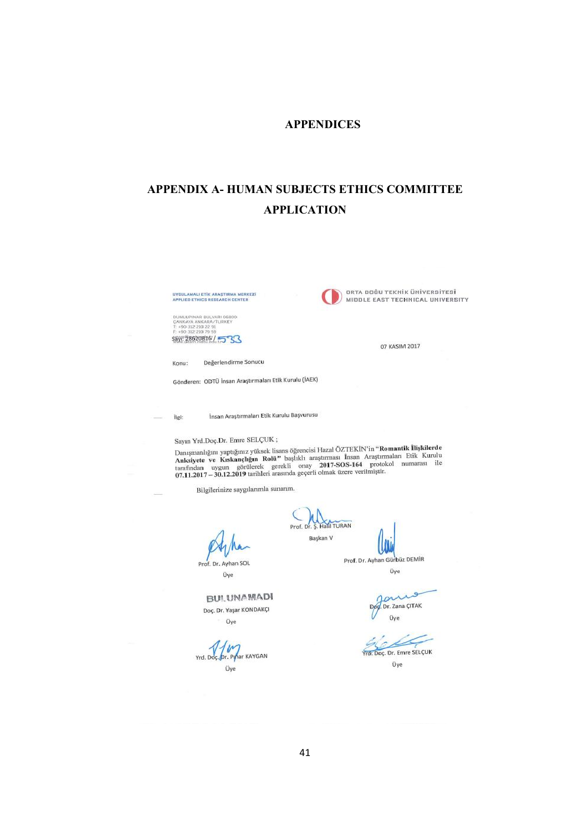## APPENDICES

# APPENDIX A- HUMAN SUBJECTS ETHICS COMMITTEE APPLICATION

UYGULAMALI ETİK ARAŞTIRMA MERKEZİ<br>APPLIED ETHICS RESEARCH CENTER



ORTA DOĞU TEKNİK ÜNİVERSİTESİ MIDDLE EAST TECHNICAL UNIVERSITY

07 KASIM 2017

DUMLUPINAR BULYARI 06800<br>ÇANKAYA ANKARA/TURKEY<br>T: +90 312 210 22 91<br>F: +90 312 210 79 59 \$891 28620816 / 533

Değerlendirme Sonucu Konu:

Gönderen: ODTÜ İnsan Araştırmaları Etik Kurulu (İAEK)

İnsan Araştırmaları Etik Kurulu Başvurusu ilgi:

## Sayın Yrd.Doç.Dr. Emre SELÇUK;

Sayın Yrd.Doç.Dr. Emre SELÇUK;<br>Danışmanlığını yaptığınız yüksek lisans öğrencisi Hazal ÖZTEKİN'in "Romantik İlişkilerde<br>Anksiyete ve Kıskançlığın Rolü" başlıklı arastırması İnsan Araştırmaları Etik Kurulu<br>tarafından uygun

Prof. D

Bilgilerinize saygılarımla sunarım.

SOL

Prof. Dr. Ayhan Üye

Prof. Dr. Ayhan Gürbüz DEMİR

Halil TURAN

Başkan V

 $\sim$ Dr. Zana CITAK Üve

Üye

Yrd. Doc. Dr. Emre SELÇUK

Üye

Doç. Dr. Yaşar KONDAKÇI Üye

**BUI.UNAMADI** 

 $\overline{u}$ Yrd, Doç. Dr. Pyhar KAYGAN Üye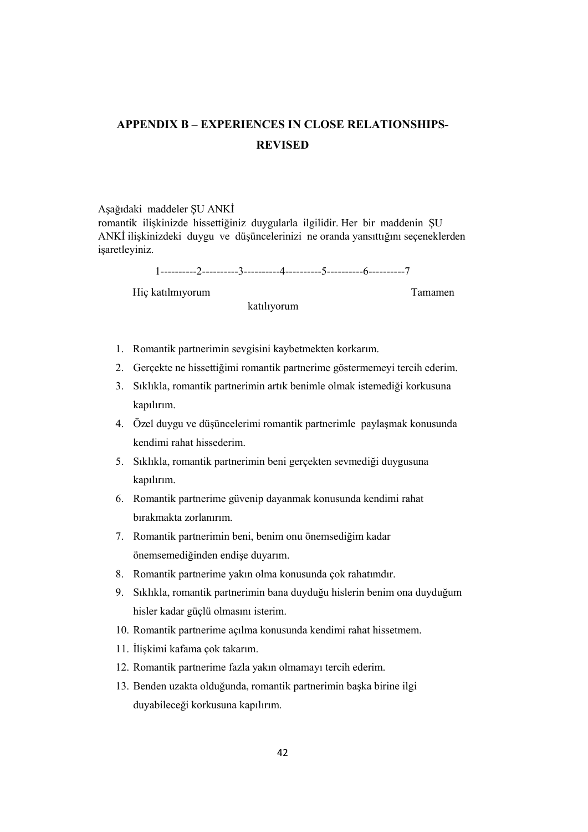# APPENDIX B – EXPERIENCES IN CLOSE RELATIONSHIPS-**REVISED**

#### Aşağıdaki maddeler ŞU ANKİ

romantik ilişkinizde hissettiğiniz duygularla ilgilidir. Her bir maddenin ŞU ANKİ ilişkinizdeki duygu ve düşüncelerinizi ne oranda yansıttığını seçeneklerden isaretleyiniz.

1----------2----------3----------4----------5----------6----------7

Hiç katılmıyorum Tamamen

katılıyorum

- 1. Romantik partnerimin sevgisini kaybetmekten korkarım.
- 2. Gerçekte ne hissettiğimi romantik partnerime göstermemeyi tercih ederim.
- 3. Sıklıkla, romantik partnerimin artık benimle olmak istemediği korkusuna kapılırım.
- 4. Özel duygu ve düşüncelerimi romantik partnerimle paylaşmak konusunda kendimi rahat hissederim.
- 5. Sıklıkla, romantik partnerimin beni gerçekten sevmediği duygusuna kapılırım.
- 6. Romantik partnerime güvenip dayanmak konusunda kendimi rahat bırakmakta zorlanırım.
- 7. Romantik partnerimin beni, benim onu önemsediğim kadar önemsemediğinden endişe duyarım.
- 8. Romantik partnerime yakın olma konusunda çok rahatımdır.
- 9. Sıklıkla, romantik partnerimin bana duyduğu hislerin benim ona duyduğum hisler kadar güçlü olmasını isterim.
- 10. Romantik partnerime açılma konusunda kendimi rahat hissetmem.
- 11. İlişkimi kafama çok takarım.
- 12. Romantik partnerime fazla yakın olmamayı tercih ederim.
- 13. Benden uzakta olduğunda, romantik partnerimin başka birine ilgi duyabileceği korkusuna kapılırım.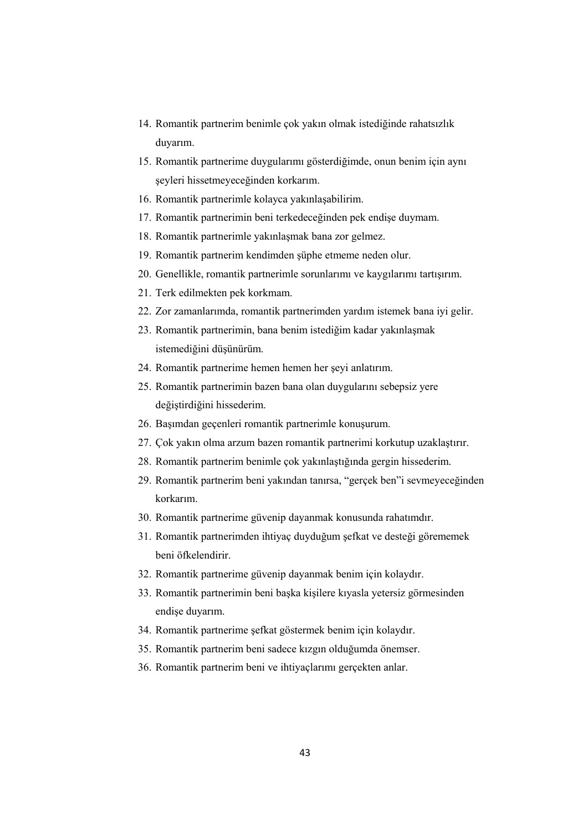- 14. Romantik partnerim benimle çok yakın olmak istediğinde rahatsızlık duyarım.
- 15. Romantik partnerime duygularımı gösterdiğimde, onun benim için aynı şeyleri hissetmeyeceğinden korkarım.
- 16. Romantik partnerimle kolayca yakınlaşabilirim.
- 17. Romantik partnerimin beni terkedeceğinden pek endişe duymam.
- 18. Romantik partnerimle yakınlaşmak bana zor gelmez.
- 19. Romantik partnerim kendimden şüphe etmeme neden olur.
- 20. Genellikle, romantik partnerimle sorunlarımı ve kaygılarımı tartışırım.
- 21. Terk edilmekten pek korkmam.
- 22. Zor zamanlarımda, romantik partnerimden yardım istemek bana iyi gelir.
- 23. Romantik partnerimin, bana benim istediğim kadar yakınlaşmak istemediğini düşünürüm.
- 24. Romantik partnerime hemen hemen her şeyi anlatırım.
- 25. Romantik partnerimin bazen bana olan duygularını sebepsiz yere değiştirdiğini hissederim.
- 26. Başımdan geçenleri romantik partnerimle konuşurum.
- 27. Çok yakın olma arzum bazen romantik partnerimi korkutup uzaklaştırır.
- 28. Romantik partnerim benimle çok yakınlaştığında gergin hissederim.
- 29. Romantik partnerim beni yakından tanırsa, "gerçek ben"i sevmeyeceğinden korkarım.
- 30. Romantik partnerime güvenip dayanmak konusunda rahatımdır.
- 31. Romantik partnerimden ihtiyaç duyduğum şefkat ve desteği görememek beni öfkelendirir.
- 32. Romantik partnerime güvenip dayanmak benim için kolaydır.
- 33. Romantik partnerimin beni başka kişilere kıyasla yetersiz görmesinden endişe duyarım.
- 34. Romantik partnerime şefkat göstermek benim için kolaydır.
- 35. Romantik partnerim beni sadece kızgın olduğumda önemser.
- 36. Romantik partnerim beni ve ihtiyaçlarımı gerçekten anlar.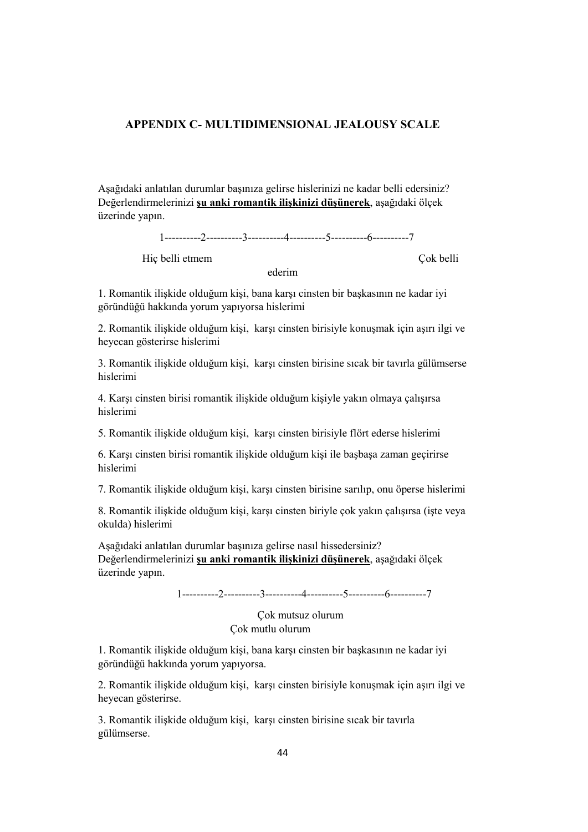### APPENDIX C- MULTIDIMENSIONAL JEALOUSY SCALE

Aşağıdaki anlatılan durumlar başınıza gelirse hislerinizi ne kadar belli edersiniz? Değerlendirmelerinizi şu anki romantik ilişkinizi düşünerek, aşağıdaki ölçek üzerinde yapın.

1----------2----------3----------4----------5----------6----------7

Hic belli etmem Cok belli

ederim

1. Romantik ilişkide olduğum kişi, bana karşı cinsten bir başkasının ne kadar iyi göründüğü hakkında yorum yapıyorsa hislerimi

2. Romantik ilişkide olduğum kişi, karşı cinsten birisiyle konuşmak için aşırı ilgi ve heyecan gösterirse hislerimi

3. Romantik ilişkide olduğum kişi, karşı cinsten birisine sıcak bir tavırla gülümserse hislerimi

4. Karşı cinsten birisi romantik ilişkide olduğum kişiyle yakın olmaya çalışırsa hislerimi

5. Romantik ilişkide olduğum kişi, karşı cinsten birisiyle flört ederse hislerimi

6. Karşı cinsten birisi romantik ilişkide olduğum kişi ile başbaşa zaman geçirirse hislerimi

7. Romantik ilişkide olduğum kişi, karşı cinsten birisine sarılıp, onu öperse hislerimi

8. Romantik ilişkide olduğum kişi, karşı cinsten biriyle çok yakın çalışırsa (işte veya okulda) hislerimi

Aşağıdaki anlatılan durumlar başınıza gelirse nasıl hissedersiniz? Değerlendirmelerinizi şu anki romantik ilişkinizi düşünerek, aşağıdaki ölçek üzerinde yapın.

1----------2----------3----------4----------5----------6----------7

 Çok mutsuz olurum Çok mutlu olurum

1. Romantik ilişkide olduğum kişi, bana karşı cinsten bir başkasının ne kadar iyi göründüğü hakkında yorum yapıyorsa.

2. Romantik ilişkide olduğum kişi, karşı cinsten birisiyle konuşmak için aşırı ilgi ve heyecan gösterirse.

3. Romantik ilişkide olduğum kişi, karşı cinsten birisine sıcak bir tavırla gülümserse.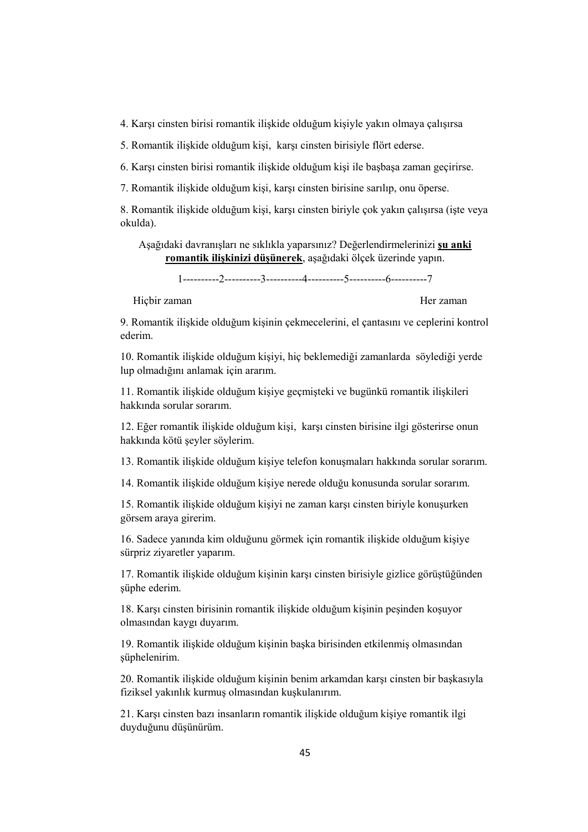4. Karşı cinsten birisi romantik ilişkide olduğum kişiyle yakın olmaya çalışırsa

5. Romantik ilişkide olduğum kişi, karşı cinsten birisiyle flört ederse.

6. Karşı cinsten birisi romantik ilişkide olduğum kişi ile başbaşa zaman geçirirse.

7. Romantik ilişkide olduğum kişi, karşı cinsten birisine sarılıp, onu öperse.

8. Romantik ilişkide olduğum kişi, karşı cinsten biriyle çok yakın çalışırsa (işte veya okulda).

Aşağıdaki davranışları ne sıklıkla yaparsınız? Değerlendirmelerinizi şu anki romantik ilişkinizi düşünerek, aşağıdaki ölçek üzerinde yapın.

1----------2----------3----------4----------5----------6----------7

Hiçbir zaman Her zaman Her zaman Her zaman Her zaman Her zaman Her zaman Her zaman Her zaman Her zaman Her zaman Her zaman Her zaman Her zaman Her zaman Her zaman Her zaman Her zaman Her zaman Her zaman Her zaman Her zaman

9. Romantik ilişkide olduğum kişinin çekmecelerini, el çantasını ve ceplerini kontrol ederim.

10. Romantik ilişkide olduğum kişiyi, hiç beklemediği zamanlarda söylediği yerde lup olmadığını anlamak için ararım.

11. Romantik ilişkide olduğum kişiye geçmişteki ve bugünkü romantik ilişkileri hakkında sorular sorarım.

12. Eğer romantik ilişkide olduğum kişi, karşı cinsten birisine ilgi gösterirse onun hakkında kötü şeyler söylerim.

13. Romantik ilişkide olduğum kişiye telefon konuşmaları hakkında sorular sorarım.

14. Romantik ilişkide olduğum kişiye nerede olduğu konusunda sorular sorarım.

15. Romantik ilişkide olduğum kişiyi ne zaman karşı cinsten biriyle konuşurken görsem araya girerim.

16. Sadece yanında kim olduğunu görmek için romantik ilişkide olduğum kişiye sürpriz ziyaretler yaparım.

17. Romantik ilişkide olduğum kişinin karşı cinsten birisiyle gizlice görüştüğünden süphe ederim.

18. Karşı cinsten birisinin romantik ilişkide olduğum kişinin peşinden koşuyor olmasından kaygı duyarım.

19. Romantik ilişkide olduğum kişinin başka birisinden etkilenmiş olmasından şüphelenirim.

20. Romantik ilişkide olduğum kişinin benim arkamdan karşı cinsten bir başkasıyla fiziksel yakınlık kurmuş olmasından kuşkulanırım.

21. Karşı cinsten bazı insanların romantik ilişkide olduğum kişiye romantik ilgi duyduğunu düşünürüm.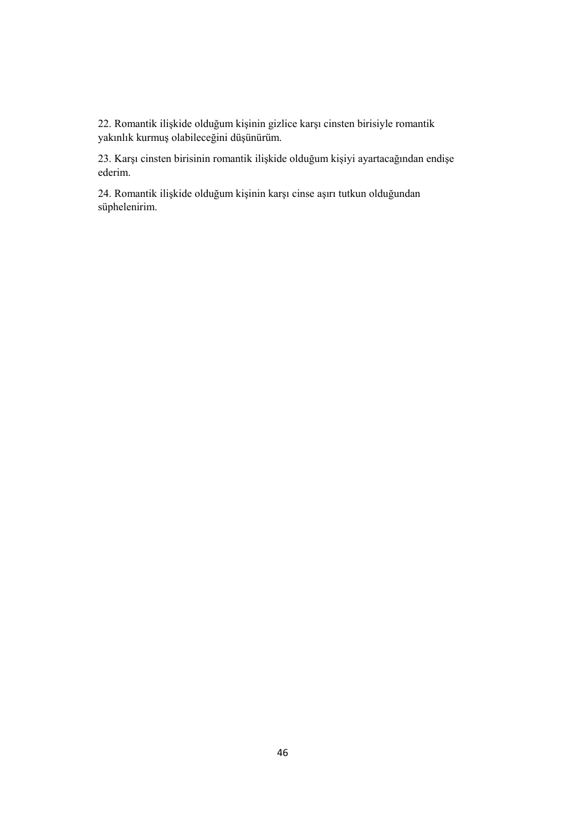22. Romantik ilişkide olduğum kişinin gizlice karşı cinsten birisiyle romantik yakınlık kurmuş olabileceğini düşünürüm.

23. Karşı cinsten birisinin romantik ilişkide olduğum kişiyi ayartacağından endişe ederim.

24. Romantik ilişkide olduğum kişinin karşı cinse aşırı tutkun olduğundan süphelenirim.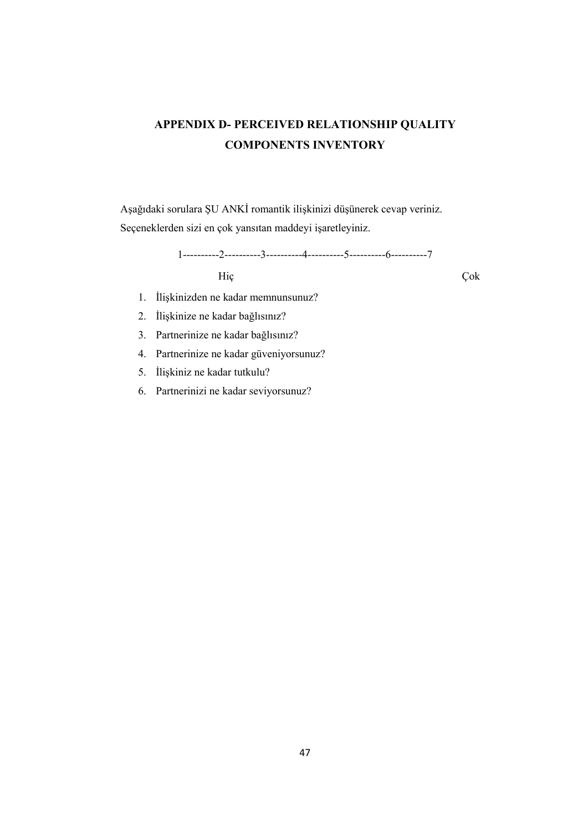# APPENDIX D- PERCEIVED RELATIONSHIP QUALITY COMPONENTS INVENTORY

Aşağıdaki sorulara ŞU ANKİ romantik ilişkinizi düşünerek cevap veriniz. Seçeneklerden sizi en çok yansıtan maddeyi işaretleyiniz.

1----------2----------3----------4----------5----------6----------7 Hiç Çok

- 1. İlişkinizden ne kadar memnunsunuz?
- 2. İlişkinize ne kadar bağlısınız?
- 3. Partnerinize ne kadar bağlısınız?
- 4. Partnerinize ne kadar güveniyorsunuz?
- 5. İlişkiniz ne kadar tutkulu?
- 6. Partnerinizi ne kadar seviyorsunuz?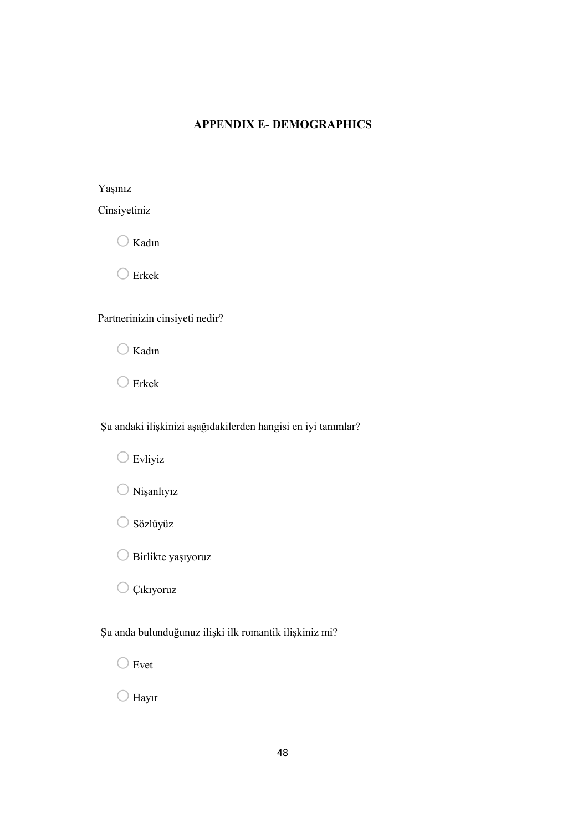# APPENDIX E- DEMOGRAPHICS

Yaşınız

| Cinsiyetiniz |  |  |
|--------------|--|--|
|              |  |  |
|              |  |  |
|              |  |  |

 $\bigcirc$  Kadın

 $\bigcirc$  Erkek

Partnerinizin cinsiyeti nedir?

 $\bigcirc$  Kadın

 $\bigcirc$  Erkek

Şu andaki ilişkinizi aşağıdakilerden hangisi en iyi tanımlar?

 $\bigcirc$  Evliyiz



- Sözlüyüz
- O Birlikte yaşıyoruz

O Çıkıyoruz

Şu anda bulunduğunuz ilişki ilk romantik ilişkiniz mi?

 $\bigcirc$  Evet

 $\bigcirc$  Hayır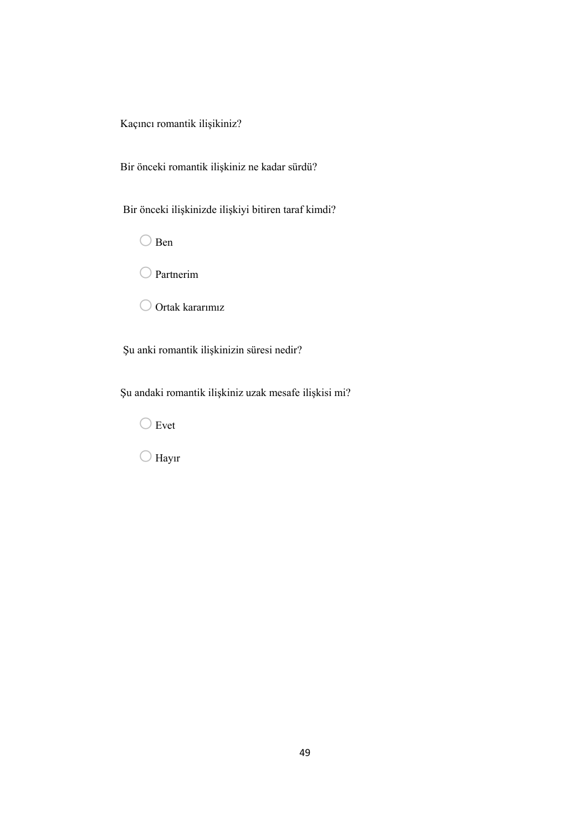Kaçıncı romantik ilişikiniz?

Bir önceki romantik ilişkiniz ne kadar sürdü?

Bir önceki ilişkinizde ilişkiyi bitiren taraf kimdi?

 $\bigcirc$ Ben

O Partnerim

 $\bigcirc$  Ortak kararımız

Şu anki romantik ilişkinizin süresi nedir?

Şu andaki romantik ilişkiniz uzak mesafe ilişkisi mi?

 $\bigcirc$  Evet

 $\bigcirc$  Hayır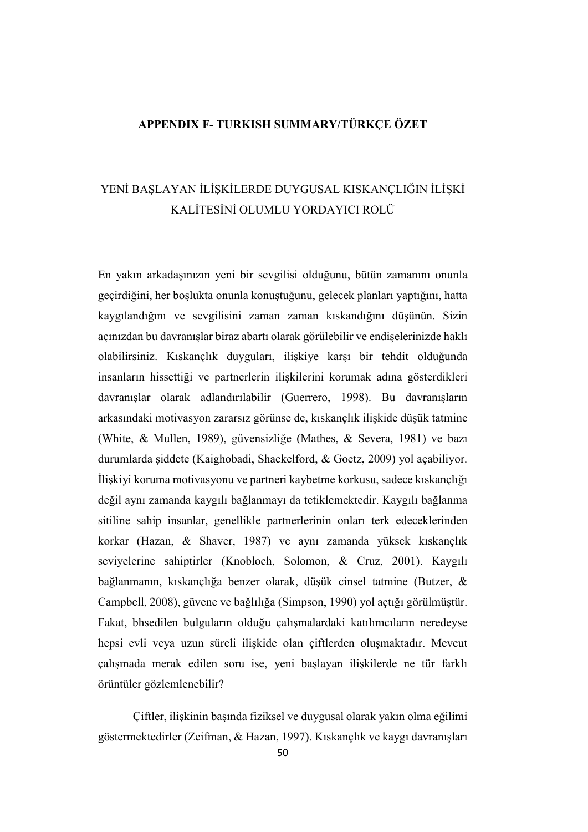# APPENDIX F- TURKISH SUMMARY/TÜRKÇE ÖZET

# YENİ BAŞLAYAN İLİŞKİLERDE DUYGUSAL KISKANÇLIĞIN İLİŞKİ KALİTESİNİ OLUMLU YORDAYICI ROLÜ

En yakın arkadaşınızın yeni bir sevgilisi olduğunu, bütün zamanını onunla geçirdiğini, her boşlukta onunla konuştuğunu, gelecek planları yaptığını, hatta kaygılandığını ve sevgilisini zaman zaman kıskandığını düşünün. Sizin açınızdan bu davranışlar biraz abartı olarak görülebilir ve endişelerinizde haklı olabilirsiniz. Kıskançlık duyguları, ilişkiye karşı bir tehdit olduğunda insanların hissettiği ve partnerlerin ilişkilerini korumak adına gösterdikleri davranışlar olarak adlandırılabilir (Guerrero, 1998). Bu davranışların arkasındaki motivasyon zararsız görünse de, kıskançlık ilişkide düşük tatmine (White, & Mullen, 1989), güvensizliğe (Mathes, & Severa, 1981) ve bazı durumlarda şiddete (Kaighobadi, Shackelford, & Goetz, 2009) yol açabiliyor. İlişkiyi koruma motivasyonu ve partneri kaybetme korkusu, sadece kıskançlığı değil aynı zamanda kaygılı bağlanmayı da tetiklemektedir. Kaygılı bağlanma sitiline sahip insanlar, genellikle partnerlerinin onları terk edeceklerinden korkar (Hazan, & Shaver, 1987) ve aynı zamanda yüksek kıskançlık seviyelerine sahiptirler (Knobloch, Solomon, & Cruz, 2001). Kaygılı bağlanmanın, kıskançlığa benzer olarak, düşük cinsel tatmine (Butzer, & Campbell, 2008), güvene ve bağlılığa (Simpson, 1990) yol açtığı görülmüştür. Fakat, bhsedilen bulguların olduğu çalışmalardaki katılımcıların neredeyse hepsi evli veya uzun süreli ilişkide olan çiftlerden oluşmaktadır. Mevcut çalışmada merak edilen soru ise, yeni başlayan ilişkilerde ne tür farklı örüntüler gözlemlenebilir?

Çiftler, ilişkinin başında fiziksel ve duygusal olarak yakın olma eğilimi göstermektedirler (Zeifman, & Hazan, 1997). Kıskançlık ve kaygı davranışları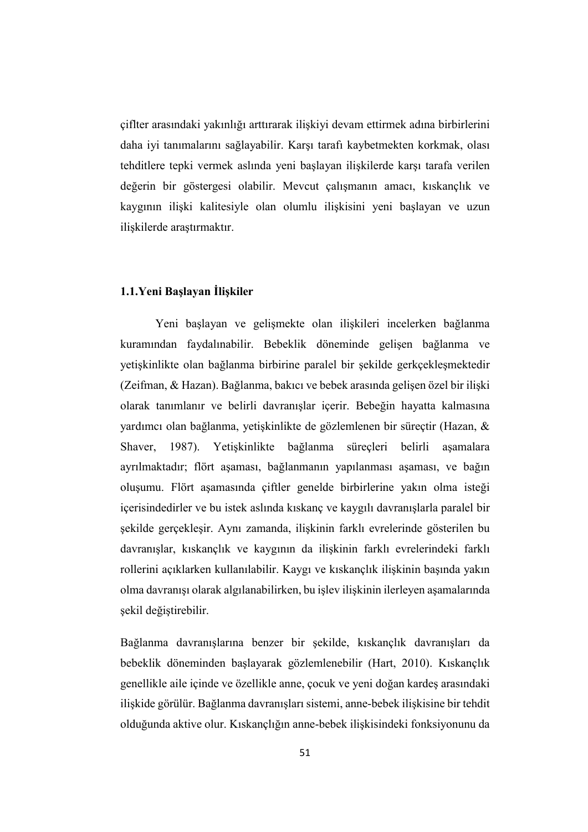çiflter arasındaki yakınlığı arttırarak ilişkiyi devam ettirmek adına birbirlerini daha iyi tanımalarını sağlayabilir. Karşı tarafı kaybetmekten korkmak, olası tehditlere tepki vermek aslında yeni başlayan ilişkilerde karşı tarafa verilen değerin bir göstergesi olabilir. Mevcut çalışmanın amacı, kıskançlık ve kaygının ilişki kalitesiyle olan olumlu ilişkisini yeni başlayan ve uzun ilişkilerde araştırmaktır.

## 1.1.Yeni Başlayan İlişkiler

Yeni başlayan ve gelişmekte olan ilişkileri incelerken bağlanma kuramından faydalınabilir. Bebeklik döneminde gelişen bağlanma ve yetişkinlikte olan bağlanma birbirine paralel bir şekilde gerkçekleşmektedir (Zeifman, & Hazan). Bağlanma, bakıcı ve bebek arasında gelişen özel bir ilişki olarak tanımlanır ve belirli davranışlar içerir. Bebeğin hayatta kalmasına yardımcı olan bağlanma, yetişkinlikte de gözlemlenen bir süreçtir (Hazan, & Shaver, 1987). Yetişkinlikte bağlanma süreçleri belirli aşamalara ayrılmaktadır; flört aşaması, bağlanmanın yapılanması aşaması, ve bağın oluşumu. Flört aşamasında çiftler genelde birbirlerine yakın olma isteği içerisindedirler ve bu istek aslında kıskanç ve kaygılı davranışlarla paralel bir şekilde gerçekleşir. Aynı zamanda, ilişkinin farklı evrelerinde gösterilen bu davranışlar, kıskançlık ve kaygının da ilişkinin farklı evrelerindeki farklı rollerini açıklarken kullanılabilir. Kaygı ve kıskançlık ilişkinin başında yakın olma davranışı olarak algılanabilirken, bu işlev ilişkinin ilerleyen aşamalarında şekil değiştirebilir.

Bağlanma davranışlarına benzer bir şekilde, kıskançlık davranışları da bebeklik döneminden başlayarak gözlemlenebilir (Hart, 2010). Kıskançlık genellikle aile içinde ve özellikle anne, çocuk ve yeni doğan kardeş arasındaki ilişkide görülür. Bağlanma davranışları sistemi, anne-bebek ilişkisine bir tehdit olduğunda aktive olur. Kıskançlığın anne-bebek ilişkisindeki fonksiyonunu da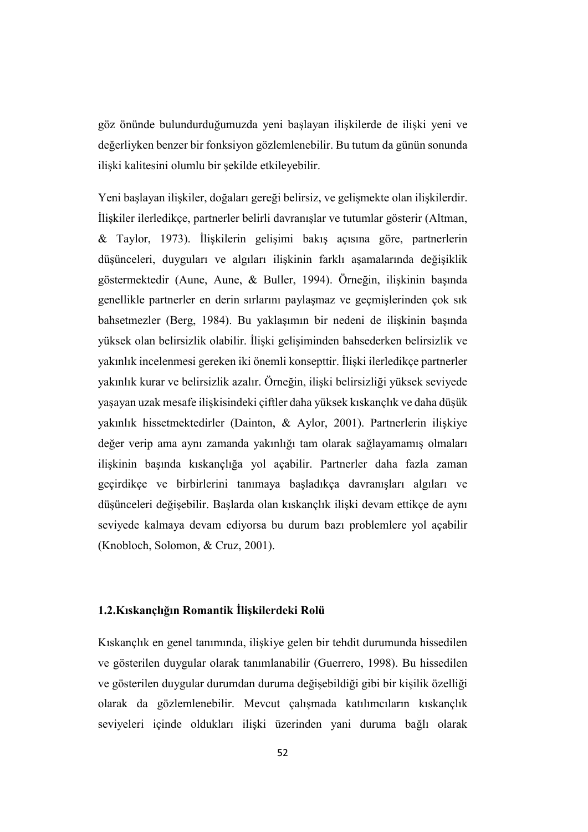göz önünde bulundurduğumuzda yeni başlayan ilişkilerde de ilişki yeni ve değerliyken benzer bir fonksiyon gözlemlenebilir. Bu tutum da günün sonunda ilişki kalitesini olumlu bir şekilde etkileyebilir.

Yeni başlayan ilişkiler, doğaları gereği belirsiz, ve gelişmekte olan ilişkilerdir. İlişkiler ilerledikçe, partnerler belirli davranışlar ve tutumlar gösterir (Altman, & Taylor, 1973). İlişkilerin gelişimi bakış açısına göre, partnerlerin düşünceleri, duyguları ve algıları ilişkinin farklı aşamalarında değişiklik göstermektedir (Aune, Aune, & Buller, 1994). Örneğin, ilişkinin başında genellikle partnerler en derin sırlarını paylaşmaz ve geçmişlerinden çok sık bahsetmezler (Berg, 1984). Bu yaklaşımın bir nedeni de ilişkinin başında yüksek olan belirsizlik olabilir. İlişki gelişiminden bahsederken belirsizlik ve yakınlık incelenmesi gereken iki önemli konsepttir. İlişki ilerledikçe partnerler yakınlık kurar ve belirsizlik azalır. Örneğin, ilişki belirsizliği yüksek seviyede yaşayan uzak mesafe ilişkisindeki çiftler daha yüksek kıskançlık ve daha düşük yakınlık hissetmektedirler (Dainton, & Aylor, 2001). Partnerlerin ilişkiye değer verip ama aynı zamanda yakınlığı tam olarak sağlayamamış olmaları ilişkinin başında kıskançlığa yol açabilir. Partnerler daha fazla zaman geçirdikçe ve birbirlerini tanımaya başladıkça davranışları algıları ve düşünceleri değişebilir. Başlarda olan kıskançlık ilişki devam ettikçe de aynı seviyede kalmaya devam ediyorsa bu durum bazı problemlere yol açabilir (Knobloch, Solomon, & Cruz, 2001).

# 1.2.Kıskançlığın Romantik İlişkilerdeki Rolü

Kıskançlık en genel tanımında, ilişkiye gelen bir tehdit durumunda hissedilen ve gösterilen duygular olarak tanımlanabilir (Guerrero, 1998). Bu hissedilen ve gösterilen duygular durumdan duruma değişebildiği gibi bir kişilik özelliği olarak da gözlemlenebilir. Mevcut çalışmada katılımcıların kıskançlık seviyeleri içinde oldukları ilişki üzerinden yani duruma bağlı olarak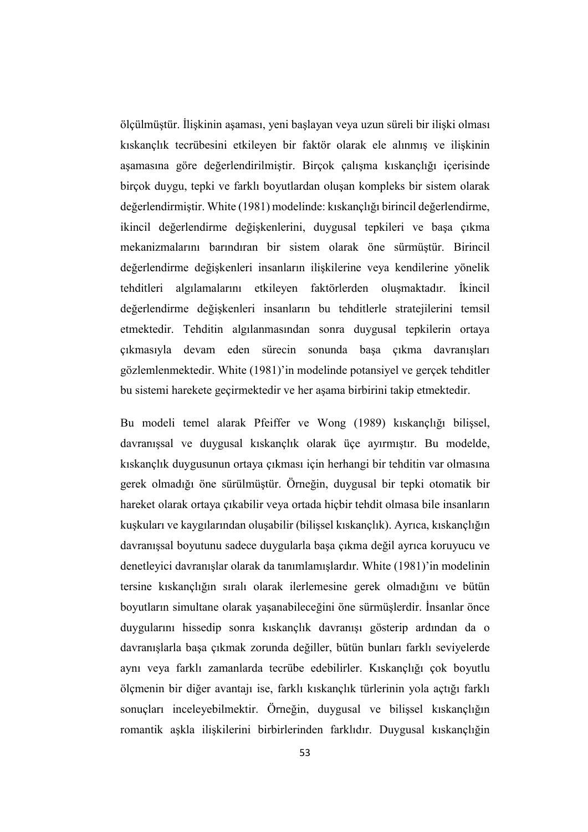ölçülmüştür. İlişkinin aşaması, yeni başlayan veya uzun süreli bir ilişki olması kıskançlık tecrübesini etkileyen bir faktör olarak ele alınmış ve ilişkinin aşamasına göre değerlendirilmiştir. Birçok çalışma kıskançlığı içerisinde birçok duygu, tepki ve farklı boyutlardan oluşan kompleks bir sistem olarak değerlendirmiştir. White (1981) modelinde: kıskançlığı birincil değerlendirme, ikincil değerlendirme değişkenlerini, duygusal tepkileri ve başa çıkma mekanizmalarını barındıran bir sistem olarak öne sürmüştür. Birincil değerlendirme değişkenleri insanların ilişkilerine veya kendilerine yönelik tehditleri algılamalarını etkileyen faktörlerden oluşmaktadır. İkincil değerlendirme değişkenleri insanların bu tehditlerle stratejilerini temsil etmektedir. Tehditin algılanmasından sonra duygusal tepkilerin ortaya çıkmasıyla devam eden sürecin sonunda başa çıkma davranışları gözlemlenmektedir. White (1981)'in modelinde potansiyel ve gerçek tehditler bu sistemi harekete geçirmektedir ve her aşama birbirini takip etmektedir.

Bu modeli temel alarak Pfeiffer ve Wong (1989) kıskançlığı bilişsel, davranışsal ve duygusal kıskançlık olarak üçe ayırmıştır. Bu modelde, kıskançlık duygusunun ortaya çıkması için herhangi bir tehditin var olmasına gerek olmadığı öne sürülmüştür. Örneğin, duygusal bir tepki otomatik bir hareket olarak ortaya çıkabilir veya ortada hiçbir tehdit olmasa bile insanların kuşkuları ve kaygılarından oluşabilir (bilişsel kıskançlık). Ayrıca, kıskançlığın davranışsal boyutunu sadece duygularla başa çıkma değil ayrıca koruyucu ve denetleyici davranışlar olarak da tanımlamışlardır. White (1981)'in modelinin tersine kıskançlığın sıralı olarak ilerlemesine gerek olmadığını ve bütün boyutların simultane olarak yaşanabileceğini öne sürmüşlerdir. İnsanlar önce duygularını hissedip sonra kıskançlık davranışı gösterip ardından da o davranışlarla başa çıkmak zorunda değiller, bütün bunları farklı seviyelerde aynı veya farklı zamanlarda tecrübe edebilirler. Kıskançlığı çok boyutlu ölçmenin bir diğer avantajı ise, farklı kıskançlık türlerinin yola açtığı farklı sonuçları inceleyebilmektir. Örneğin, duygusal ve bilişsel kıskançlığın romantik aşkla ilişkilerini birbirlerinden farklıdır. Duygusal kıskançlığin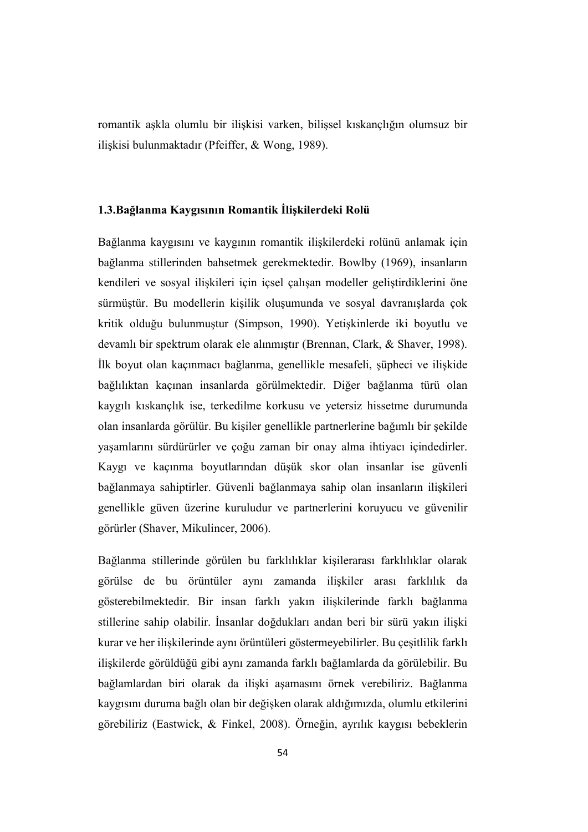romantik aşkla olumlu bir ilişkisi varken, bilişsel kıskançlığın olumsuz bir ilişkisi bulunmaktadır (Pfeiffer, & Wong, 1989).

#### 1.3.Bağlanma Kaygısının Romantik İlişkilerdeki Rolü

Bağlanma kaygısını ve kaygının romantik ilişkilerdeki rolünü anlamak için bağlanma stillerinden bahsetmek gerekmektedir. Bowlby (1969), insanların kendileri ve sosyal ilişkileri için içsel çalışan modeller geliştirdiklerini öne sürmüştür. Bu modellerin kişilik oluşumunda ve sosyal davranışlarda çok kritik olduğu bulunmuştur (Simpson, 1990). Yetişkinlerde iki boyutlu ve devamlı bir spektrum olarak ele alınmıştır (Brennan, Clark, & Shaver, 1998). İlk boyut olan kaçınmacı bağlanma, genellikle mesafeli, şüpheci ve ilişkide bağlılıktan kaçınan insanlarda görülmektedir. Diğer bağlanma türü olan kaygılı kıskançlık ise, terkedilme korkusu ve yetersiz hissetme durumunda olan insanlarda görülür. Bu kişiler genellikle partnerlerine bağımlı bir şekilde yaşamlarını sürdürürler ve çoğu zaman bir onay alma ihtiyacı içindedirler. Kaygı ve kaçınma boyutlarından düşük skor olan insanlar ise güvenli bağlanmaya sahiptirler. Güvenli bağlanmaya sahip olan insanların ilişkileri genellikle güven üzerine kuruludur ve partnerlerini koruyucu ve güvenilir görürler (Shaver, Mikulincer, 2006).

Bağlanma stillerinde görülen bu farklılıklar kişilerarası farklılıklar olarak görülse de bu örüntüler aynı zamanda ilişkiler arası farklılık da gösterebilmektedir. Bir insan farklı yakın ilişkilerinde farklı bağlanma stillerine sahip olabilir. İnsanlar doğdukları andan beri bir sürü yakın ilişki kurar ve her ilişkilerinde aynı örüntüleri göstermeyebilirler. Bu çeşitlilik farklı ilişkilerde görüldüğü gibi aynı zamanda farklı bağlamlarda da görülebilir. Bu bağlamlardan biri olarak da ilişki aşamasını örnek verebiliriz. Bağlanma kaygısını duruma bağlı olan bir değişken olarak aldığımızda, olumlu etkilerini görebiliriz (Eastwick, & Finkel, 2008). Örneğin, ayrılık kaygısı bebeklerin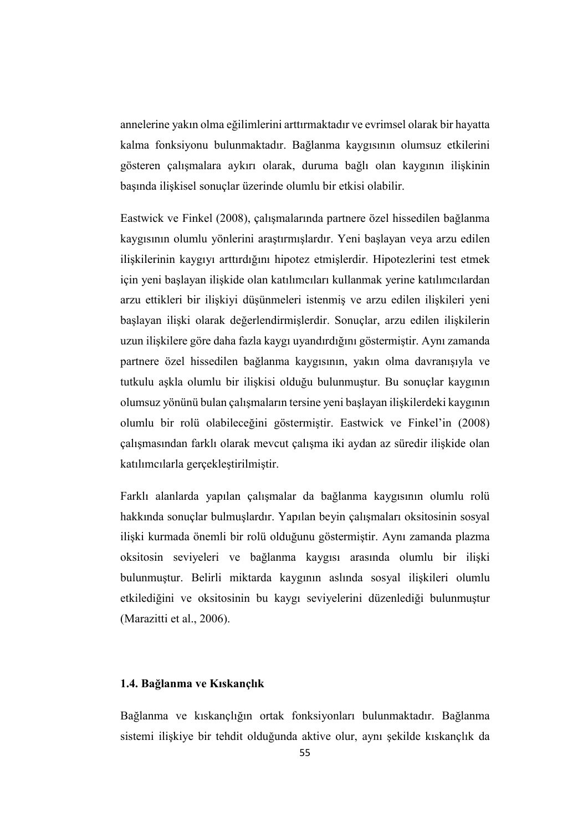annelerine yakın olma eğilimlerini arttırmaktadır ve evrimsel olarak bir hayatta kalma fonksiyonu bulunmaktadır. Bağlanma kaygısının olumsuz etkilerini gösteren çalışmalara aykırı olarak, duruma bağlı olan kaygının ilişkinin başında ilişkisel sonuçlar üzerinde olumlu bir etkisi olabilir.

Eastwick ve Finkel (2008), çalışmalarında partnere özel hissedilen bağlanma kaygısının olumlu yönlerini araştırmışlardır. Yeni başlayan veya arzu edilen ilişkilerinin kaygıyı arttırdığını hipotez etmişlerdir. Hipotezlerini test etmek için yeni başlayan ilişkide olan katılımcıları kullanmak yerine katılımcılardan arzu ettikleri bir ilişkiyi düşünmeleri istenmiş ve arzu edilen ilişkileri yeni başlayan ilişki olarak değerlendirmişlerdir. Sonuçlar, arzu edilen ilişkilerin uzun ilişkilere göre daha fazla kaygı uyandırdığını göstermiştir. Aynı zamanda partnere özel hissedilen bağlanma kaygısının, yakın olma davranışıyla ve tutkulu aşkla olumlu bir ilişkisi olduğu bulunmuştur. Bu sonuçlar kaygının olumsuz yönünü bulan çalışmaların tersine yeni başlayan ilişkilerdeki kaygının olumlu bir rolü olabileceğini göstermiştir. Eastwick ve Finkel'in (2008) çalışmasından farklı olarak mevcut çalışma iki aydan az süredir ilişkide olan katılımcılarla gerçekleştirilmiştir.

Farklı alanlarda yapılan çalışmalar da bağlanma kaygısının olumlu rolü hakkında sonuçlar bulmuşlardır. Yapılan beyin çalışmaları oksitosinin sosyal ilişki kurmada önemli bir rolü olduğunu göstermiştir. Aynı zamanda plazma oksitosin seviyeleri ve bağlanma kaygısı arasında olumlu bir ilişki bulunmuştur. Belirli miktarda kaygının aslında sosyal ilişkileri olumlu etkilediğini ve oksitosinin bu kaygı seviyelerini düzenlediği bulunmuştur (Marazitti et al., 2006).

## 1.4. Bağlanma ve Kıskançlık

Bağlanma ve kıskançlığın ortak fonksiyonları bulunmaktadır. Bağlanma sistemi ilişkiye bir tehdit olduğunda aktive olur, aynı şekilde kıskançlık da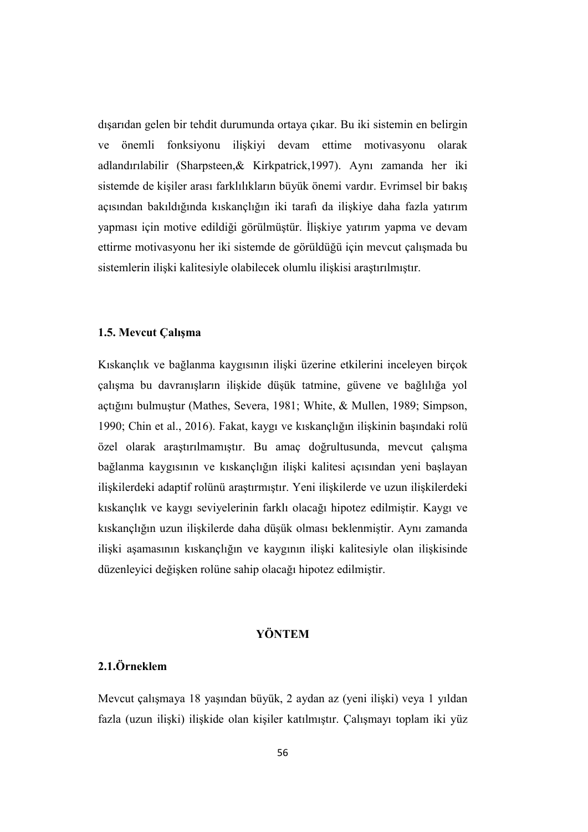dışarıdan gelen bir tehdit durumunda ortaya çıkar. Bu iki sistemin en belirgin ve önemli fonksiyonu ilişkiyi devam ettime motivasyonu olarak adlandırılabilir (Sharpsteen,& Kirkpatrick,1997). Aynı zamanda her iki sistemde de kişiler arası farklılıkların büyük önemi vardır. Evrimsel bir bakış açısından bakıldığında kıskançlığın iki tarafı da ilişkiye daha fazla yatırım yapması için motive edildiği görülmüştür. İlişkiye yatırım yapma ve devam ettirme motivasyonu her iki sistemde de görüldüğü için mevcut çalışmada bu sistemlerin ilişki kalitesiyle olabilecek olumlu ilişkisi araştırılmıştır.

## 1.5. Mevcut Çalışma

Kıskançlık ve bağlanma kaygısının ilişki üzerine etkilerini inceleyen birçok çalışma bu davranışların ilişkide düşük tatmine, güvene ve bağlılığa yol açtığını bulmuştur (Mathes, Severa, 1981; White, & Mullen, 1989; Simpson, 1990; Chin et al., 2016). Fakat, kaygı ve kıskançlığın ilişkinin başındaki rolü özel olarak araştırılmamıştır. Bu amaç doğrultusunda, mevcut çalışma bağlanma kaygısının ve kıskançlığın ilişki kalitesi açısından yeni başlayan ilişkilerdeki adaptif rolünü araştırmıştır. Yeni ilişkilerde ve uzun ilişkilerdeki kıskançlık ve kaygı seviyelerinin farklı olacağı hipotez edilmiştir. Kaygı ve kıskançlığın uzun ilişkilerde daha düşük olması beklenmiştir. Aynı zamanda ilişki aşamasının kıskançlığın ve kaygının ilişki kalitesiyle olan ilişkisinde düzenleyici değişken rolüne sahip olacağı hipotez edilmiştir.

# YÖNTEM

# 2.1.Örneklem

Mevcut çalışmaya 18 yaşından büyük, 2 aydan az (yeni ilişki) veya 1 yıldan fazla (uzun ilişki) ilişkide olan kişiler katılmıştır. Çalışmayı toplam iki yüz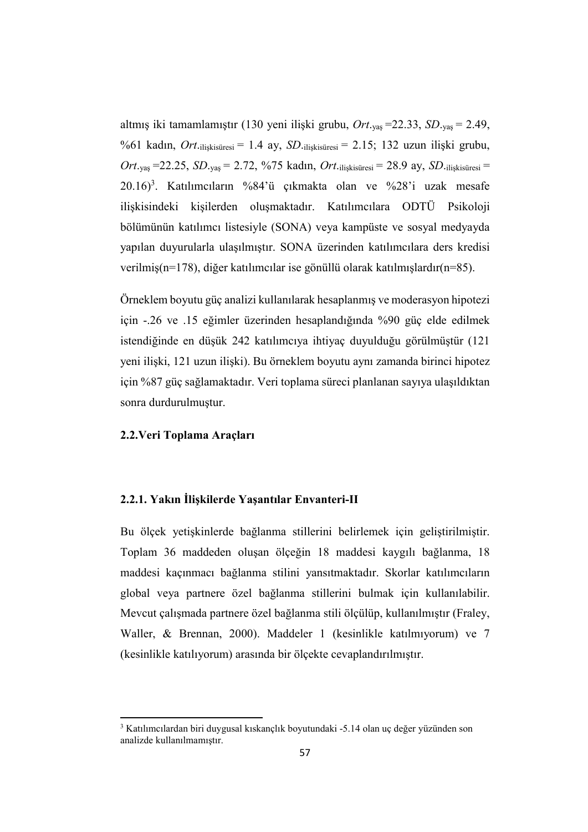altmış iki tamamlamıştır (130 yeni ilişki grubu, *Ort*.yaş =22.33, *SD*.yaş = 2.49, %61 kadın, *Ort*.ilişkisüresi = 1.4 ay, *SD*.ilişkisüresi = 2.15; 132 uzun ilişki grubu, *Ort*.yaş =22.25, *SD*.yaş = 2.72, %75 kadın, *Ort*.ilişkisüresi = 28.9 ay, *SD*.ilişkisüresi =  $20.16$ <sup>3</sup>. Katılımcıların %84'ü çıkmakta olan ve %28'i uzak mesafe ilişkisindeki kişilerden oluşmaktadır. Katılımcılara ODTÜ Psikoloji bölümünün katılımcı listesiyle (SONA) veya kampüste ve sosyal medyayda yapılan duyurularla ulaşılmıştır. SONA üzerinden katılımcılara ders kredisi verilmiş(n=178), diğer katılımcılar ise gönüllü olarak katılmışlardır(n=85).

Örneklem boyutu güç analizi kullanılarak hesaplanmış ve moderasyon hipotezi için -.26 ve .15 eğimler üzerinden hesaplandığında %90 güç elde edilmek istendiğinde en düşük 242 katılımcıya ihtiyaç duyulduğu görülmüştür (121 yeni ilişki, 121 uzun ilişki). Bu örneklem boyutu aynı zamanda birinci hipotez için %87 güç sağlamaktadır. Veri toplama süreci planlanan sayıya ulaşıldıktan sonra durdurulmuştur.

#### 2.2.Veri Toplama Araçları

1

## 2.2.1. Yakın İlişkilerde Yaşantılar Envanteri-II

Bu ölçek yetişkinlerde bağlanma stillerini belirlemek için geliştirilmiştir. Toplam 36 maddeden oluşan ölçeğin 18 maddesi kaygılı bağlanma, 18 maddesi kaçınmacı bağlanma stilini yansıtmaktadır. Skorlar katılımcıların global veya partnere özel bağlanma stillerini bulmak için kullanılabilir. Mevcut çalışmada partnere özel bağlanma stili ölçülüp, kullanılmıştır (Fraley, Waller, & Brennan, 2000). Maddeler 1 (kesinlikle katılmıyorum) ve 7 (kesinlikle katılıyorum) arasında bir ölçekte cevaplandırılmıştır.

<sup>3</sup> Katılımcılardan biri duygusal kıskançlık boyutundaki -5.14 olan uç değer yüzünden son analizde kullanılmamıştır.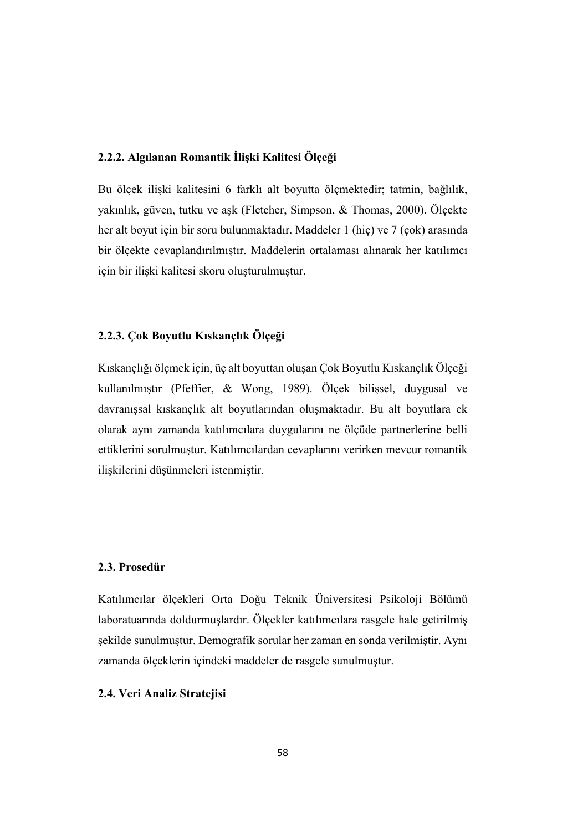## 2.2.2. Algılanan Romantik İlişki Kalitesi Ölçeği

Bu ölçek ilişki kalitesini 6 farklı alt boyutta ölçmektedir; tatmin, bağlılık, yakınlık, güven, tutku ve aşk (Fletcher, Simpson, & Thomas, 2000). Ölçekte her alt boyut için bir soru bulunmaktadır. Maddeler 1 (hiç) ve 7 (çok) arasında bir ölçekte cevaplandırılmıştır. Maddelerin ortalaması alınarak her katılımcı için bir ilişki kalitesi skoru oluşturulmuştur.

# 2.2.3. Çok Boyutlu Kıskançlık Ölçeği

Kıskançlığı ölçmek için, üç alt boyuttan oluşan Çok Boyutlu Kıskançlık Ölçeği kullanılmıştır (Pfeffier, & Wong, 1989). Ölçek bilişsel, duygusal ve davranışsal kıskançlık alt boyutlarından oluşmaktadır. Bu alt boyutlara ek olarak aynı zamanda katılımcılara duygularını ne ölçüde partnerlerine belli ettiklerini sorulmuştur. Katılımcılardan cevaplarını verirken mevcur romantik ilişkilerini düşünmeleri istenmiştir.

# 2.3. Prosedür

Katılımcılar ölçekleri Orta Doğu Teknik Üniversitesi Psikoloji Bölümü laboratuarında doldurmuşlardır. Ölçekler katılımcılara rasgele hale getirilmiş şekilde sunulmuştur. Demografik sorular her zaman en sonda verilmiştir. Aynı zamanda ölçeklerin içindeki maddeler de rasgele sunulmuştur.

### 2.4. Veri Analiz Stratejisi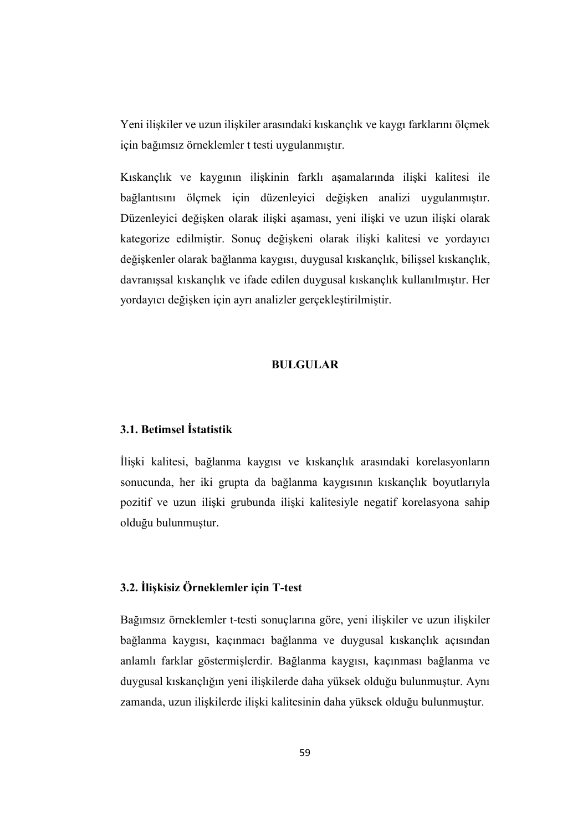Yeni ilişkiler ve uzun ilişkiler arasındaki kıskançlık ve kaygı farklarını ölçmek için bağımsız örneklemler t testi uygulanmıştır.

Kıskançlık ve kaygının ilişkinin farklı aşamalarında ilişki kalitesi ile bağlantısını ölçmek için düzenleyici değişken analizi uygulanmıştır. Düzenleyici değişken olarak ilişki aşaması, yeni ilişki ve uzun ilişki olarak kategorize edilmiştir. Sonuç değişkeni olarak ilişki kalitesi ve yordayıcı değişkenler olarak bağlanma kaygısı, duygusal kıskançlık, bilişsel kıskançlık, davranışsal kıskançlık ve ifade edilen duygusal kıskançlık kullanılmıştır. Her yordayıcı değişken için ayrı analizler gerçekleştirilmiştir.

#### BULGULAR

## 3.1. Betimsel İstatistik

İlişki kalitesi, bağlanma kaygısı ve kıskançlık arasındaki korelasyonların sonucunda, her iki grupta da bağlanma kaygısının kıskançlık boyutlarıyla pozitif ve uzun ilişki grubunda ilişki kalitesiyle negatif korelasyona sahip olduğu bulunmuştur.

## 3.2. İlişkisiz Örneklemler için T-test

Bağımsız örneklemler t-testi sonuçlarına göre, yeni ilişkiler ve uzun ilişkiler bağlanma kaygısı, kaçınmacı bağlanma ve duygusal kıskançlık açısından anlamlı farklar göstermişlerdir. Bağlanma kaygısı, kaçınması bağlanma ve duygusal kıskançlığın yeni ilişkilerde daha yüksek olduğu bulunmuştur. Aynı zamanda, uzun ilişkilerde ilişki kalitesinin daha yüksek olduğu bulunmuştur.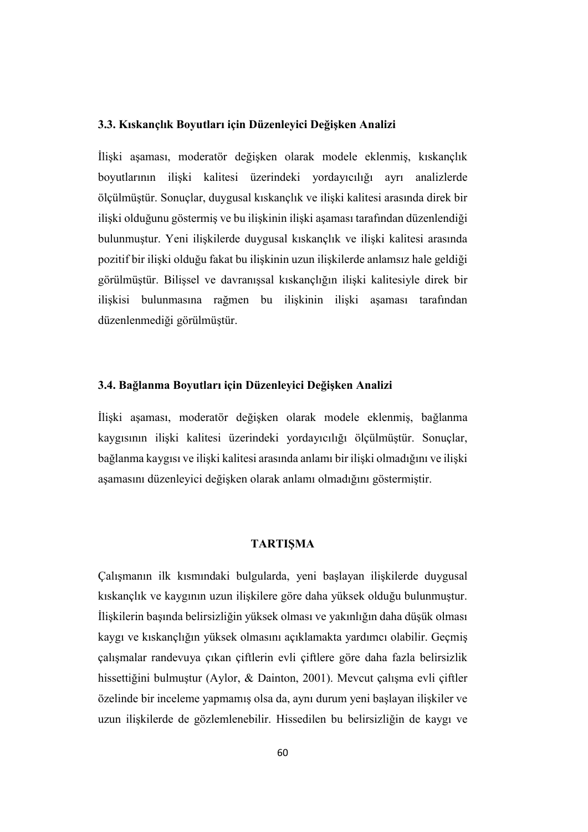#### 3.3. Kıskançlık Boyutları için Düzenleyici Değişken Analizi

İlişki aşaması, moderatör değişken olarak modele eklenmiş, kıskançlık boyutlarının ilişki kalitesi üzerindeki yordayıcılığı ayrı analizlerde ölçülmüştür. Sonuçlar, duygusal kıskançlık ve ilişki kalitesi arasında direk bir ilişki olduğunu göstermiş ve bu ilişkinin ilişki aşaması tarafından düzenlendiği bulunmuştur. Yeni ilişkilerde duygusal kıskançlık ve ilişki kalitesi arasında pozitif bir ilişki olduğu fakat bu ilişkinin uzun ilişkilerde anlamsız hale geldiği görülmüştür. Bilişsel ve davranışsal kıskançlığın ilişki kalitesiyle direk bir ilişkisi bulunmasına rağmen bu ilişkinin ilişki aşaması tarafından düzenlenmediği görülmüştür.

### 3.4. Bağlanma Boyutları için Düzenleyici Değişken Analizi

İlişki aşaması, moderatör değişken olarak modele eklenmiş, bağlanma kaygısının ilişki kalitesi üzerindeki yordayıcılığı ölçülmüştür. Sonuçlar, bağlanma kaygısı ve ilişki kalitesi arasında anlamı bir ilişki olmadığını ve ilişki aşamasını düzenleyici değişken olarak anlamı olmadığını göstermiştir.

### TARTIŞMA

Çalışmanın ilk kısmındaki bulgularda, yeni başlayan ilişkilerde duygusal kıskançlık ve kaygının uzun ilişkilere göre daha yüksek olduğu bulunmuştur. İlişkilerin başında belirsizliğin yüksek olması ve yakınlığın daha düşük olması kaygı ve kıskançlığın yüksek olmasını açıklamakta yardımcı olabilir. Geçmiş çalışmalar randevuya çıkan çiftlerin evli çiftlere göre daha fazla belirsizlik hissettiğini bulmuştur (Aylor, & Dainton, 2001). Mevcut çalışma evli çiftler özelinde bir inceleme yapmamış olsa da, aynı durum yeni başlayan ilişkiler ve uzun ilişkilerde de gözlemlenebilir. Hissedilen bu belirsizliğin de kaygı ve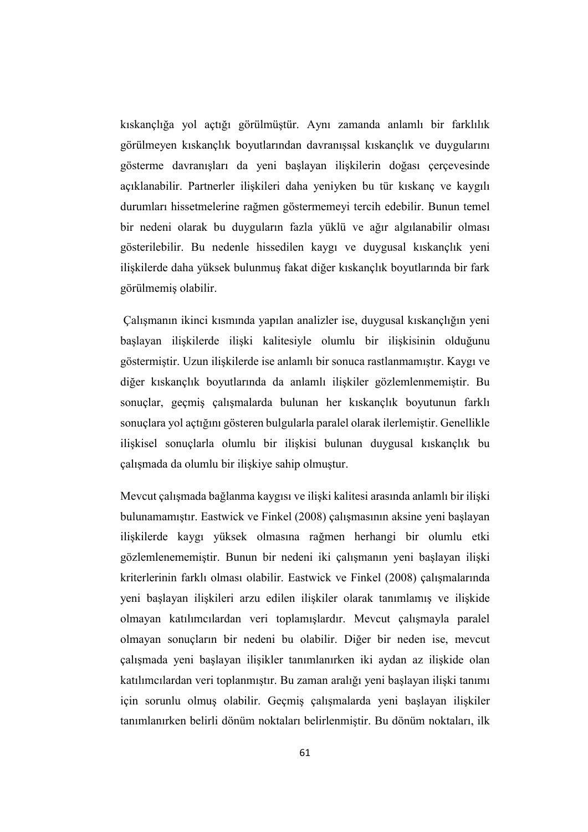kıskançlığa yol açtığı görülmüştür. Aynı zamanda anlamlı bir farklılık görülmeyen kıskançlık boyutlarından davranışsal kıskançlık ve duygularını gösterme davranışları da yeni başlayan ilişkilerin doğası çerçevesinde açıklanabilir. Partnerler ilişkileri daha yeniyken bu tür kıskanç ve kaygılı durumları hissetmelerine rağmen göstermemeyi tercih edebilir. Bunun temel bir nedeni olarak bu duyguların fazla yüklü ve ağır algılanabilir olması gösterilebilir. Bu nedenle hissedilen kaygı ve duygusal kıskançlık yeni ilişkilerde daha yüksek bulunmuş fakat diğer kıskançlık boyutlarında bir fark görülmemiş olabilir.

Çalışmanın ikinci kısmında yapılan analizler ise, duygusal kıskançlığın yeni başlayan ilişkilerde ilişki kalitesiyle olumlu bir ilişkisinin olduğunu göstermiştir. Uzun ilişkilerde ise anlamlı bir sonuca rastlanmamıştır. Kaygı ve diğer kıskançlık boyutlarında da anlamlı ilişkiler gözlemlenmemiştir. Bu sonuçlar, geçmiş çalışmalarda bulunan her kıskançlık boyutunun farklı sonuçlara yol açtığını gösteren bulgularla paralel olarak ilerlemiştir. Genellikle ilişkisel sonuçlarla olumlu bir ilişkisi bulunan duygusal kıskançlık bu çalışmada da olumlu bir ilişkiye sahip olmuştur.

Mevcut çalışmada bağlanma kaygısı ve ilişki kalitesi arasında anlamlı bir ilişki bulunamamıştır. Eastwick ve Finkel (2008) çalışmasının aksine yeni başlayan ilişkilerde kaygı yüksek olmasına rağmen herhangi bir olumlu etki gözlemlenememiştir. Bunun bir nedeni iki çalışmanın yeni başlayan ilişki kriterlerinin farklı olması olabilir. Eastwick ve Finkel (2008) çalışmalarında yeni başlayan ilişkileri arzu edilen ilişkiler olarak tanımlamış ve ilişkide olmayan katılımcılardan veri toplamışlardır. Mevcut çalışmayla paralel olmayan sonuçların bir nedeni bu olabilir. Diğer bir neden ise, mevcut çalışmada yeni başlayan ilişikler tanımlanırken iki aydan az ilişkide olan katılımcılardan veri toplanmıştır. Bu zaman aralığı yeni başlayan ilişki tanımı için sorunlu olmuş olabilir. Geçmiş çalışmalarda yeni başlayan ilişkiler tanımlanırken belirli dönüm noktaları belirlenmiştir. Bu dönüm noktaları, ilk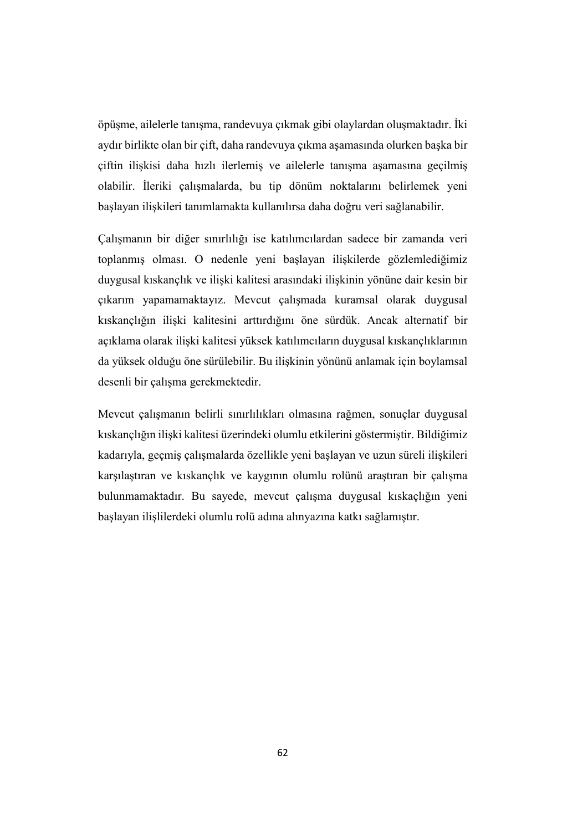öpüşme, ailelerle tanışma, randevuya çıkmak gibi olaylardan oluşmaktadır. İki aydır birlikte olan bir çift, daha randevuya çıkma aşamasında olurken başka bir çiftin ilişkisi daha hızlı ilerlemiş ve ailelerle tanışma aşamasına geçilmiş olabilir. İleriki çalışmalarda, bu tip dönüm noktalarını belirlemek yeni başlayan ilişkileri tanımlamakta kullanılırsa daha doğru veri sağlanabilir.

Çalışmanın bir diğer sınırlılığı ise katılımcılardan sadece bir zamanda veri toplanmış olması. O nedenle yeni başlayan ilişkilerde gözlemlediğimiz duygusal kıskançlık ve ilişki kalitesi arasındaki ilişkinin yönüne dair kesin bir çıkarım yapamamaktayız. Mevcut çalışmada kuramsal olarak duygusal kıskançlığın ilişki kalitesini arttırdığını öne sürdük. Ancak alternatif bir açıklama olarak ilişki kalitesi yüksek katılımcıların duygusal kıskançlıklarının da yüksek olduğu öne sürülebilir. Bu ilişkinin yönünü anlamak için boylamsal desenli bir çalışma gerekmektedir.

Mevcut çalışmanın belirli sınırlılıkları olmasına rağmen, sonuçlar duygusal kıskançlığın ilişki kalitesi üzerindeki olumlu etkilerini göstermiştir. Bildiğimiz kadarıyla, geçmiş çalışmalarda özellikle yeni başlayan ve uzun süreli ilişkileri karşılaştıran ve kıskançlık ve kaygının olumlu rolünü araştıran bir çalışma bulunmamaktadır. Bu sayede, mevcut çalışma duygusal kıskaçlığın yeni başlayan ilişlilerdeki olumlu rolü adına alınyazına katkı sağlamıştır.